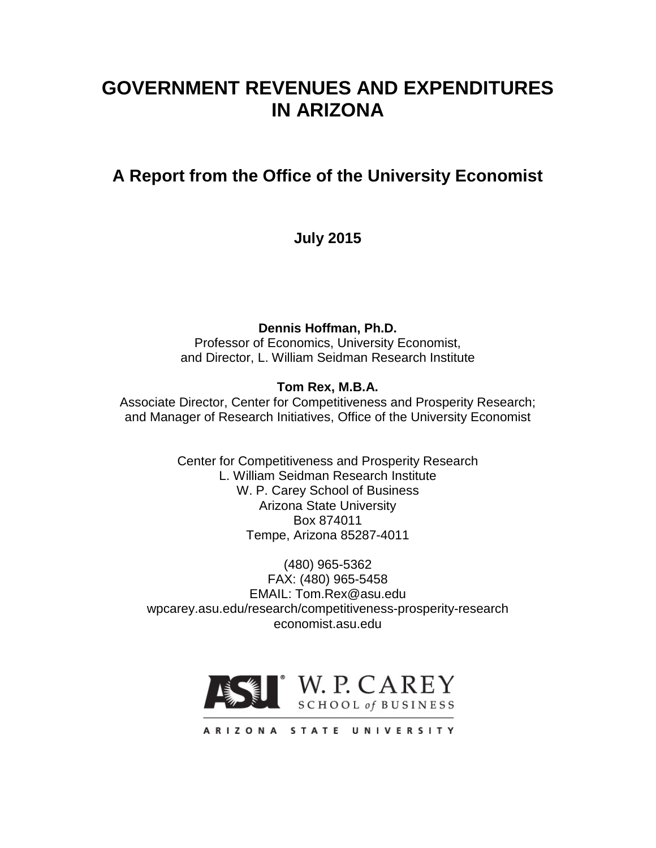# **GOVERNMENT REVENUES AND EXPENDITURES IN ARIZONA**

# **A Report from the Office of the University Economist**

**July 2015**

**Dennis Hoffman, Ph.D.**

Professor of Economics, University Economist, and Director, L. William Seidman Research Institute

# **Tom Rex, M.B.A.**

Associate Director, Center for Competitiveness and Prosperity Research; and Manager of Research Initiatives, Office of the University Economist

> Center for Competitiveness and Prosperity Research L. William Seidman Research Institute W. P. Carey School of Business Arizona State University Box 874011 Tempe, Arizona 85287-4011

(480) 965-5362 FAX: (480) 965-5458 EMAIL: Tom.Rex@asu.edu wpcarey.asu.edu/research/competitiveness-prosperity-research economist.asu.edu



ARIZONA STATE UNIVERSITY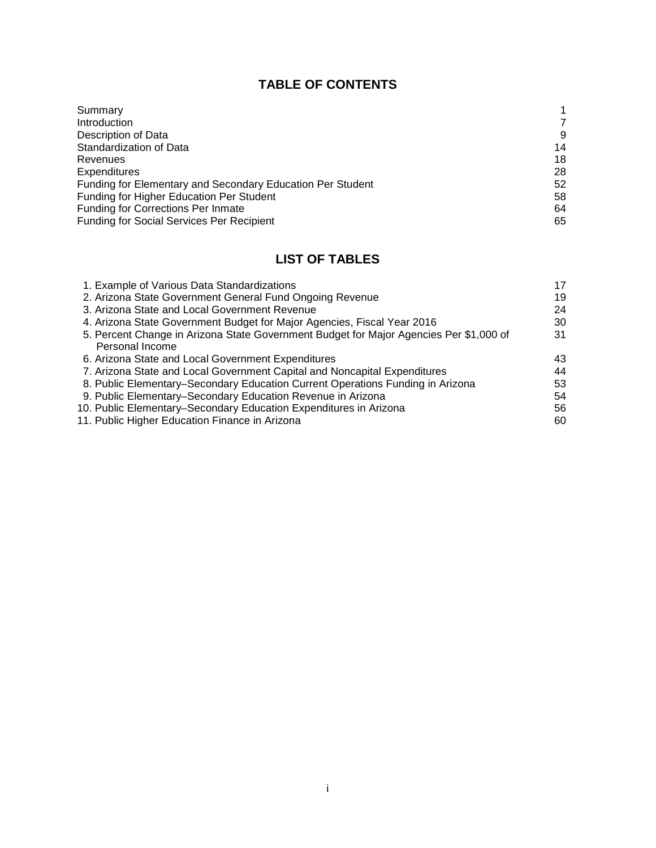# **TABLE OF CONTENTS**

| Summary                                                    |    |
|------------------------------------------------------------|----|
| Introduction                                               | 7  |
| Description of Data                                        | 9  |
| Standardization of Data                                    | 14 |
| Revenues                                                   | 18 |
| <b>Expenditures</b>                                        | 28 |
| Funding for Elementary and Secondary Education Per Student | 52 |
| <b>Funding for Higher Education Per Student</b>            | 58 |
| <b>Funding for Corrections Per Inmate</b>                  | 64 |
| <b>Funding for Social Services Per Recipient</b>           | 65 |

# **LIST OF TABLES**

| 1. Example of Various Data Standardizations                                            | 17 |
|----------------------------------------------------------------------------------------|----|
| 2. Arizona State Government General Fund Ongoing Revenue                               | 19 |
| 3. Arizona State and Local Government Revenue                                          | 24 |
| 4. Arizona State Government Budget for Major Agencies, Fiscal Year 2016                | 30 |
| 5. Percent Change in Arizona State Government Budget for Major Agencies Per \$1,000 of | 31 |
| Personal Income                                                                        |    |
| 6. Arizona State and Local Government Expenditures                                     | 43 |
| 7. Arizona State and Local Government Capital and Noncapital Expenditures              | 44 |
| 8. Public Elementary-Secondary Education Current Operations Funding in Arizona         | 53 |
| 9. Public Elementary–Secondary Education Revenue in Arizona                            | 54 |
| 10. Public Elementary–Secondary Education Expenditures in Arizona                      | 56 |
| 11. Public Higher Education Finance in Arizona                                         | 60 |
|                                                                                        |    |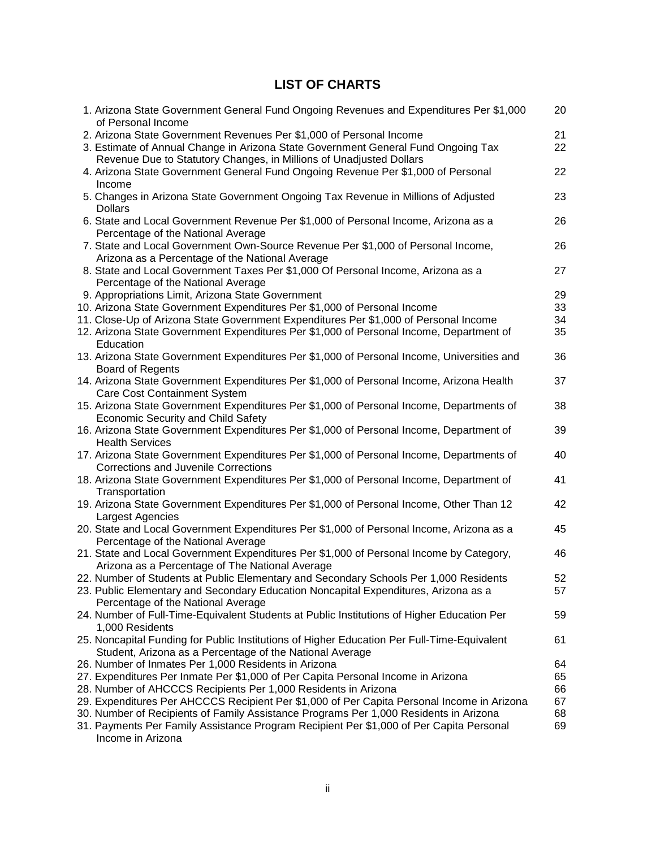# **LIST OF CHARTS**

| 1. Arizona State Government General Fund Ongoing Revenues and Expenditures Per \$1,000<br>of Personal Income                                             | 20       |
|----------------------------------------------------------------------------------------------------------------------------------------------------------|----------|
| 2. Arizona State Government Revenues Per \$1,000 of Personal Income<br>3. Estimate of Annual Change in Arizona State Government General Fund Ongoing Tax | 21<br>22 |
| Revenue Due to Statutory Changes, in Millions of Unadjusted Dollars                                                                                      |          |
| 4. Arizona State Government General Fund Ongoing Revenue Per \$1,000 of Personal<br>Income                                                               | 22       |
| 5. Changes in Arizona State Government Ongoing Tax Revenue in Millions of Adjusted                                                                       | 23       |
| <b>Dollars</b><br>6. State and Local Government Revenue Per \$1,000 of Personal Income, Arizona as a                                                     | 26       |
| Percentage of the National Average<br>7. State and Local Government Own-Source Revenue Per \$1,000 of Personal Income,                                   | 26       |
| Arizona as a Percentage of the National Average                                                                                                          |          |
| 8. State and Local Government Taxes Per \$1,000 Of Personal Income, Arizona as a<br>Percentage of the National Average                                   | 27       |
| 9. Appropriations Limit, Arizona State Government                                                                                                        | 29       |
| 10. Arizona State Government Expenditures Per \$1,000 of Personal Income                                                                                 | 33       |
| 11. Close-Up of Arizona State Government Expenditures Per \$1,000 of Personal Income                                                                     | 34       |
| 12. Arizona State Government Expenditures Per \$1,000 of Personal Income, Department of<br>Education                                                     | 35       |
| 13. Arizona State Government Expenditures Per \$1,000 of Personal Income, Universities and                                                               | 36       |
| <b>Board of Regents</b>                                                                                                                                  |          |
| 14. Arizona State Government Expenditures Per \$1,000 of Personal Income, Arizona Health                                                                 | 37       |
| Care Cost Containment System                                                                                                                             |          |
| 15. Arizona State Government Expenditures Per \$1,000 of Personal Income, Departments of<br>Economic Security and Child Safety                           | 38       |
| 16. Arizona State Government Expenditures Per \$1,000 of Personal Income, Department of                                                                  | 39       |
| <b>Health Services</b>                                                                                                                                   |          |
| 17. Arizona State Government Expenditures Per \$1,000 of Personal Income, Departments of<br><b>Corrections and Juvenile Corrections</b>                  | 40       |
| 18. Arizona State Government Expenditures Per \$1,000 of Personal Income, Department of                                                                  | 41       |
| Transportation                                                                                                                                           |          |
| 19. Arizona State Government Expenditures Per \$1,000 of Personal Income, Other Than 12                                                                  | 42       |
| Largest Agencies                                                                                                                                         |          |
| 20. State and Local Government Expenditures Per \$1,000 of Personal Income, Arizona as a                                                                 | 45       |
| Percentage of the National Average                                                                                                                       |          |
| 21. State and Local Government Expenditures Per \$1,000 of Personal Income by Category,                                                                  | 46       |
| Arizona as a Percentage of The National Average                                                                                                          |          |
| 22. Number of Students at Public Elementary and Secondary Schools Per 1,000 Residents                                                                    | 52       |
| 23. Public Elementary and Secondary Education Noncapital Expenditures, Arizona as a                                                                      | 57       |
| Percentage of the National Average                                                                                                                       |          |
| 24. Number of Full-Time-Equivalent Students at Public Institutions of Higher Education Per<br>1,000 Residents                                            | 59       |
| 25. Noncapital Funding for Public Institutions of Higher Education Per Full-Time-Equivalent                                                              | 61       |
| Student, Arizona as a Percentage of the National Average                                                                                                 |          |
| 26. Number of Inmates Per 1,000 Residents in Arizona                                                                                                     | 64       |
| 27. Expenditures Per Inmate Per \$1,000 of Per Capita Personal Income in Arizona                                                                         | 65       |
| 28. Number of AHCCCS Recipients Per 1,000 Residents in Arizona                                                                                           | 66       |
| 29. Expenditures Per AHCCCS Recipient Per \$1,000 of Per Capita Personal Income in Arizona                                                               | 67       |
| 30. Number of Recipients of Family Assistance Programs Per 1,000 Residents in Arizona                                                                    | 68       |
| 31. Payments Per Family Assistance Program Recipient Per \$1,000 of Per Capita Personal                                                                  | 69       |
| Income in Arizona                                                                                                                                        |          |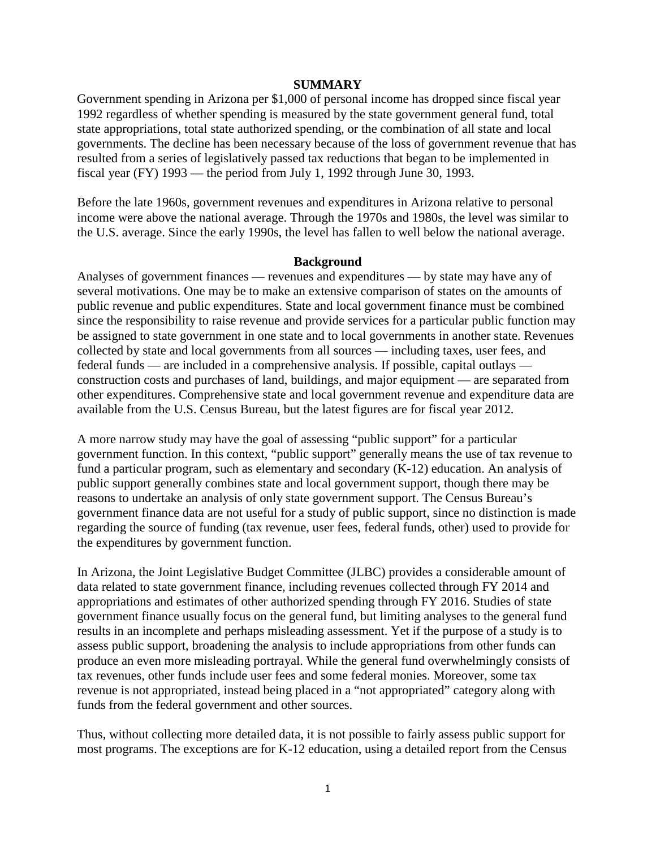#### **SUMMARY**

Government spending in Arizona per \$1,000 of personal income has dropped since fiscal year 1992 regardless of whether spending is measured by the state government general fund, total state appropriations, total state authorized spending, or the combination of all state and local governments. The decline has been necessary because of the loss of government revenue that has resulted from a series of legislatively passed tax reductions that began to be implemented in fiscal year (FY) 1993 — the period from July 1, 1992 through June 30, 1993.

Before the late 1960s, government revenues and expenditures in Arizona relative to personal income were above the national average. Through the 1970s and 1980s, the level was similar to the U.S. average. Since the early 1990s, the level has fallen to well below the national average.

#### **Background**

Analyses of government finances — revenues and expenditures — by state may have any of several motivations. One may be to make an extensive comparison of states on the amounts of public revenue and public expenditures. State and local government finance must be combined since the responsibility to raise revenue and provide services for a particular public function may be assigned to state government in one state and to local governments in another state. Revenues collected by state and local governments from all sources — including taxes, user fees, and federal funds — are included in a comprehensive analysis. If possible, capital outlays construction costs and purchases of land, buildings, and major equipment — are separated from other expenditures. Comprehensive state and local government revenue and expenditure data are available from the U.S. Census Bureau, but the latest figures are for fiscal year 2012.

A more narrow study may have the goal of assessing "public support" for a particular government function. In this context, "public support" generally means the use of tax revenue to fund a particular program, such as elementary and secondary (K-12) education. An analysis of public support generally combines state and local government support, though there may be reasons to undertake an analysis of only state government support. The Census Bureau's government finance data are not useful for a study of public support, since no distinction is made regarding the source of funding (tax revenue, user fees, federal funds, other) used to provide for the expenditures by government function.

In Arizona, the Joint Legislative Budget Committee (JLBC) provides a considerable amount of data related to state government finance, including revenues collected through FY 2014 and appropriations and estimates of other authorized spending through FY 2016. Studies of state government finance usually focus on the general fund, but limiting analyses to the general fund results in an incomplete and perhaps misleading assessment. Yet if the purpose of a study is to assess public support, broadening the analysis to include appropriations from other funds can produce an even more misleading portrayal. While the general fund overwhelmingly consists of tax revenues, other funds include user fees and some federal monies. Moreover, some tax revenue is not appropriated, instead being placed in a "not appropriated" category along with funds from the federal government and other sources.

Thus, without collecting more detailed data, it is not possible to fairly assess public support for most programs. The exceptions are for K-12 education, using a detailed report from the Census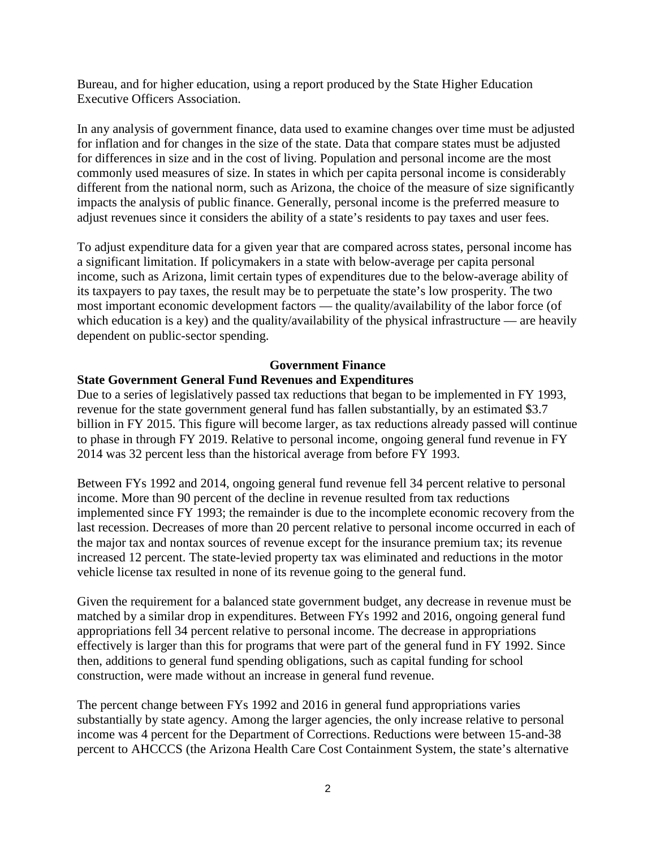Bureau, and for higher education, using a report produced by the State Higher Education Executive Officers Association.

In any analysis of government finance, data used to examine changes over time must be adjusted for inflation and for changes in the size of the state. Data that compare states must be adjusted for differences in size and in the cost of living. Population and personal income are the most commonly used measures of size. In states in which per capita personal income is considerably different from the national norm, such as Arizona, the choice of the measure of size significantly impacts the analysis of public finance. Generally, personal income is the preferred measure to adjust revenues since it considers the ability of a state's residents to pay taxes and user fees.

To adjust expenditure data for a given year that are compared across states, personal income has a significant limitation. If policymakers in a state with below-average per capita personal income, such as Arizona, limit certain types of expenditures due to the below-average ability of its taxpayers to pay taxes, the result may be to perpetuate the state's low prosperity. The two most important economic development factors — the quality/availability of the labor force (of which education is a key) and the quality/availability of the physical infrastructure — are heavily dependent on public-sector spending.

#### **Government Finance**

#### **State Government General Fund Revenues and Expenditures**

Due to a series of legislatively passed tax reductions that began to be implemented in FY 1993, revenue for the state government general fund has fallen substantially, by an estimated \$3.7 billion in FY 2015. This figure will become larger, as tax reductions already passed will continue to phase in through FY 2019. Relative to personal income, ongoing general fund revenue in FY 2014 was 32 percent less than the historical average from before FY 1993.

Between FYs 1992 and 2014, ongoing general fund revenue fell 34 percent relative to personal income. More than 90 percent of the decline in revenue resulted from tax reductions implemented since FY 1993; the remainder is due to the incomplete economic recovery from the last recession. Decreases of more than 20 percent relative to personal income occurred in each of the major tax and nontax sources of revenue except for the insurance premium tax; its revenue increased 12 percent. The state-levied property tax was eliminated and reductions in the motor vehicle license tax resulted in none of its revenue going to the general fund.

Given the requirement for a balanced state government budget, any decrease in revenue must be matched by a similar drop in expenditures. Between FYs 1992 and 2016, ongoing general fund appropriations fell 34 percent relative to personal income. The decrease in appropriations effectively is larger than this for programs that were part of the general fund in FY 1992. Since then, additions to general fund spending obligations, such as capital funding for school construction, were made without an increase in general fund revenue.

The percent change between FYs 1992 and 2016 in general fund appropriations varies substantially by state agency. Among the larger agencies, the only increase relative to personal income was 4 percent for the Department of Corrections. Reductions were between 15-and-38 percent to AHCCCS (the Arizona Health Care Cost Containment System, the state's alternative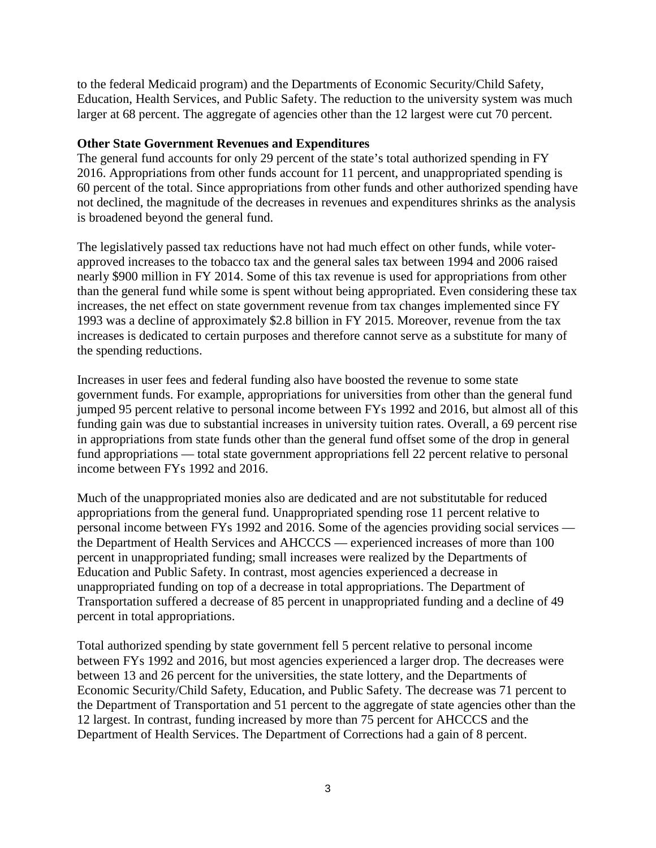to the federal Medicaid program) and the Departments of Economic Security/Child Safety, Education, Health Services, and Public Safety. The reduction to the university system was much larger at 68 percent. The aggregate of agencies other than the 12 largest were cut 70 percent.

#### **Other State Government Revenues and Expenditures**

The general fund accounts for only 29 percent of the state's total authorized spending in FY 2016. Appropriations from other funds account for 11 percent, and unappropriated spending is 60 percent of the total. Since appropriations from other funds and other authorized spending have not declined, the magnitude of the decreases in revenues and expenditures shrinks as the analysis is broadened beyond the general fund.

The legislatively passed tax reductions have not had much effect on other funds, while voterapproved increases to the tobacco tax and the general sales tax between 1994 and 2006 raised nearly \$900 million in FY 2014. Some of this tax revenue is used for appropriations from other than the general fund while some is spent without being appropriated. Even considering these tax increases, the net effect on state government revenue from tax changes implemented since FY 1993 was a decline of approximately \$2.8 billion in FY 2015. Moreover, revenue from the tax increases is dedicated to certain purposes and therefore cannot serve as a substitute for many of the spending reductions.

Increases in user fees and federal funding also have boosted the revenue to some state government funds. For example, appropriations for universities from other than the general fund jumped 95 percent relative to personal income between FYs 1992 and 2016, but almost all of this funding gain was due to substantial increases in university tuition rates. Overall, a 69 percent rise in appropriations from state funds other than the general fund offset some of the drop in general fund appropriations — total state government appropriations fell 22 percent relative to personal income between FYs 1992 and 2016.

Much of the unappropriated monies also are dedicated and are not substitutable for reduced appropriations from the general fund. Unappropriated spending rose 11 percent relative to personal income between FYs 1992 and 2016. Some of the agencies providing social services the Department of Health Services and AHCCCS — experienced increases of more than 100 percent in unappropriated funding; small increases were realized by the Departments of Education and Public Safety. In contrast, most agencies experienced a decrease in unappropriated funding on top of a decrease in total appropriations. The Department of Transportation suffered a decrease of 85 percent in unappropriated funding and a decline of 49 percent in total appropriations.

Total authorized spending by state government fell 5 percent relative to personal income between FYs 1992 and 2016, but most agencies experienced a larger drop. The decreases were between 13 and 26 percent for the universities, the state lottery, and the Departments of Economic Security/Child Safety, Education, and Public Safety. The decrease was 71 percent to the Department of Transportation and 51 percent to the aggregate of state agencies other than the 12 largest. In contrast, funding increased by more than 75 percent for AHCCCS and the Department of Health Services. The Department of Corrections had a gain of 8 percent.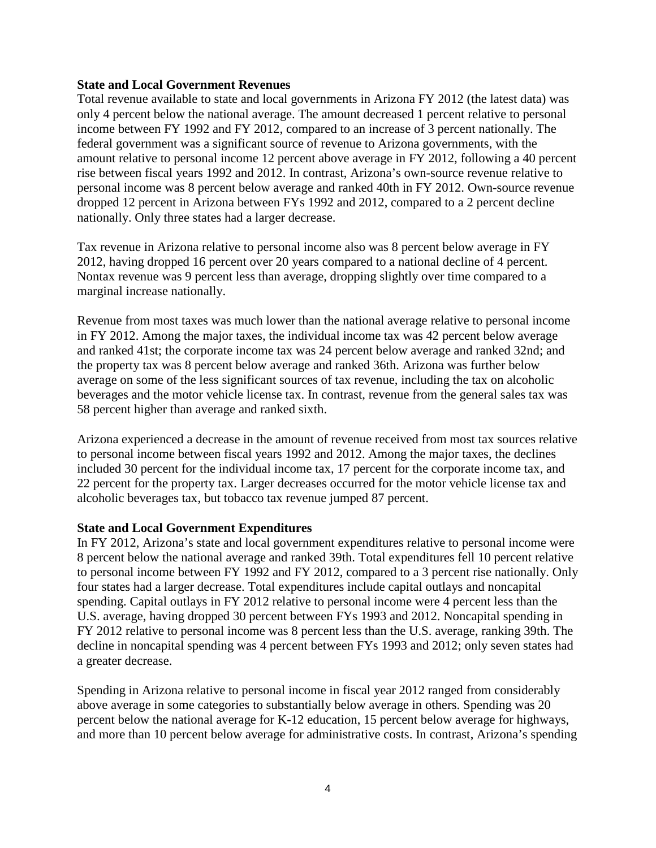#### **State and Local Government Revenues**

Total revenue available to state and local governments in Arizona FY 2012 (the latest data) was only 4 percent below the national average. The amount decreased 1 percent relative to personal income between FY 1992 and FY 2012, compared to an increase of 3 percent nationally. The federal government was a significant source of revenue to Arizona governments, with the amount relative to personal income 12 percent above average in FY 2012, following a 40 percent rise between fiscal years 1992 and 2012. In contrast, Arizona's own-source revenue relative to personal income was 8 percent below average and ranked 40th in FY 2012. Own-source revenue dropped 12 percent in Arizona between FYs 1992 and 2012, compared to a 2 percent decline nationally. Only three states had a larger decrease.

Tax revenue in Arizona relative to personal income also was 8 percent below average in FY 2012, having dropped 16 percent over 20 years compared to a national decline of 4 percent. Nontax revenue was 9 percent less than average, dropping slightly over time compared to a marginal increase nationally.

Revenue from most taxes was much lower than the national average relative to personal income in FY 2012. Among the major taxes, the individual income tax was 42 percent below average and ranked 41st; the corporate income tax was 24 percent below average and ranked 32nd; and the property tax was 8 percent below average and ranked 36th. Arizona was further below average on some of the less significant sources of tax revenue, including the tax on alcoholic beverages and the motor vehicle license tax. In contrast, revenue from the general sales tax was 58 percent higher than average and ranked sixth.

Arizona experienced a decrease in the amount of revenue received from most tax sources relative to personal income between fiscal years 1992 and 2012. Among the major taxes, the declines included 30 percent for the individual income tax, 17 percent for the corporate income tax, and 22 percent for the property tax. Larger decreases occurred for the motor vehicle license tax and alcoholic beverages tax, but tobacco tax revenue jumped 87 percent.

#### **State and Local Government Expenditures**

In FY 2012, Arizona's state and local government expenditures relative to personal income were 8 percent below the national average and ranked 39th. Total expenditures fell 10 percent relative to personal income between FY 1992 and FY 2012, compared to a 3 percent rise nationally. Only four states had a larger decrease. Total expenditures include capital outlays and noncapital spending. Capital outlays in FY 2012 relative to personal income were 4 percent less than the U.S. average, having dropped 30 percent between FYs 1993 and 2012. Noncapital spending in FY 2012 relative to personal income was 8 percent less than the U.S. average, ranking 39th. The decline in noncapital spending was 4 percent between FYs 1993 and 2012; only seven states had a greater decrease.

Spending in Arizona relative to personal income in fiscal year 2012 ranged from considerably above average in some categories to substantially below average in others. Spending was 20 percent below the national average for K-12 education, 15 percent below average for highways, and more than 10 percent below average for administrative costs. In contrast, Arizona's spending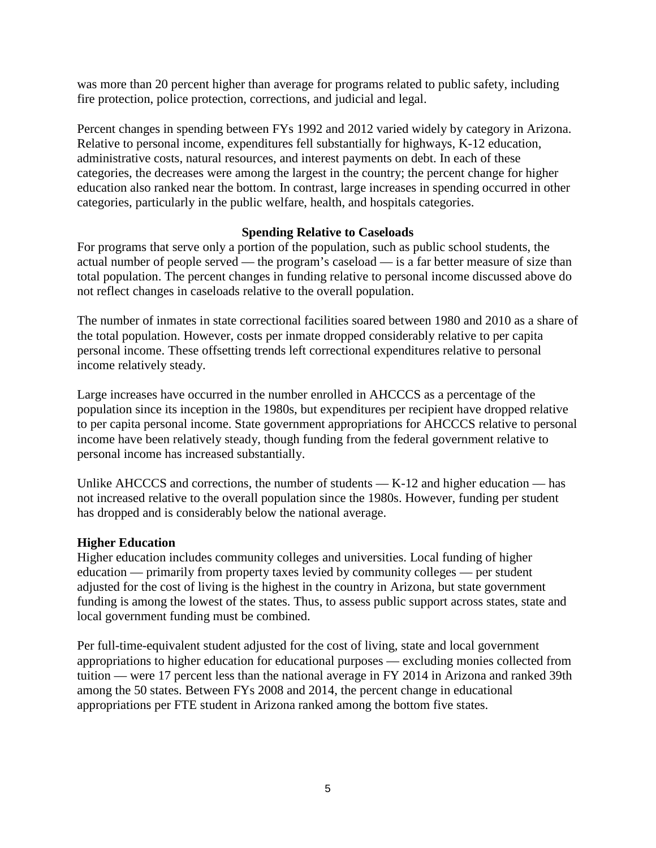was more than 20 percent higher than average for programs related to public safety, including fire protection, police protection, corrections, and judicial and legal.

Percent changes in spending between FYs 1992 and 2012 varied widely by category in Arizona. Relative to personal income, expenditures fell substantially for highways, K-12 education, administrative costs, natural resources, and interest payments on debt. In each of these categories, the decreases were among the largest in the country; the percent change for higher education also ranked near the bottom. In contrast, large increases in spending occurred in other categories, particularly in the public welfare, health, and hospitals categories.

## **Spending Relative to Caseloads**

For programs that serve only a portion of the population, such as public school students, the actual number of people served — the program's caseload — is a far better measure of size than total population. The percent changes in funding relative to personal income discussed above do not reflect changes in caseloads relative to the overall population.

The number of inmates in state correctional facilities soared between 1980 and 2010 as a share of the total population. However, costs per inmate dropped considerably relative to per capita personal income. These offsetting trends left correctional expenditures relative to personal income relatively steady.

Large increases have occurred in the number enrolled in AHCCCS as a percentage of the population since its inception in the 1980s, but expenditures per recipient have dropped relative to per capita personal income. State government appropriations for AHCCCS relative to personal income have been relatively steady, though funding from the federal government relative to personal income has increased substantially.

Unlike AHCCCS and corrections, the number of students — K-12 and higher education — has not increased relative to the overall population since the 1980s. However, funding per student has dropped and is considerably below the national average.

#### **Higher Education**

Higher education includes community colleges and universities. Local funding of higher education — primarily from property taxes levied by community colleges — per student adjusted for the cost of living is the highest in the country in Arizona, but state government funding is among the lowest of the states. Thus, to assess public support across states, state and local government funding must be combined.

Per full-time-equivalent student adjusted for the cost of living, state and local government appropriations to higher education for educational purposes — excluding monies collected from tuition — were 17 percent less than the national average in FY 2014 in Arizona and ranked 39th among the 50 states. Between FYs 2008 and 2014, the percent change in educational appropriations per FTE student in Arizona ranked among the bottom five states.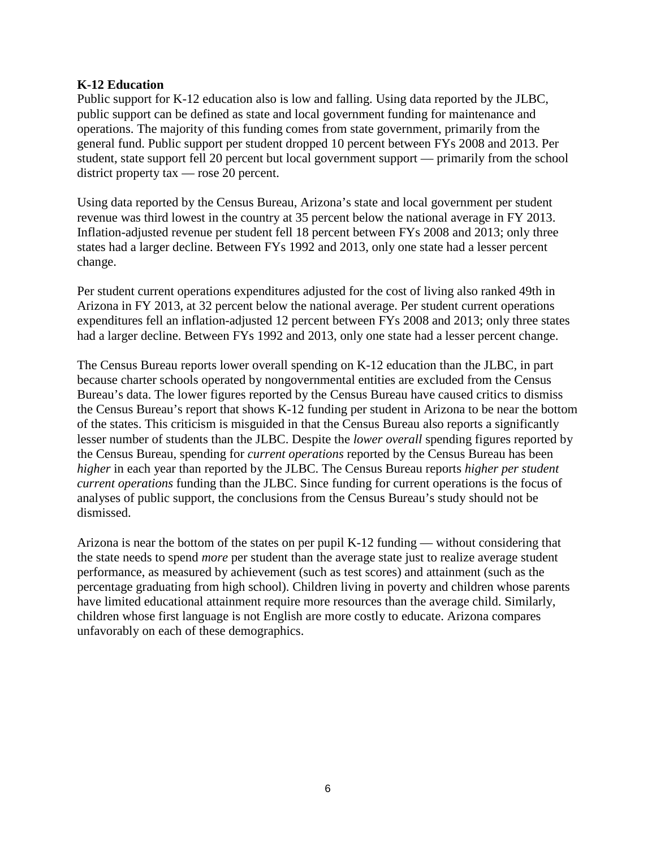#### **K-12 Education**

Public support for K-12 education also is low and falling. Using data reported by the JLBC, public support can be defined as state and local government funding for maintenance and operations. The majority of this funding comes from state government, primarily from the general fund. Public support per student dropped 10 percent between FYs 2008 and 2013. Per student, state support fell 20 percent but local government support — primarily from the school district property tax — rose 20 percent.

Using data reported by the Census Bureau, Arizona's state and local government per student revenue was third lowest in the country at 35 percent below the national average in FY 2013. Inflation-adjusted revenue per student fell 18 percent between FYs 2008 and 2013; only three states had a larger decline. Between FYs 1992 and 2013, only one state had a lesser percent change.

Per student current operations expenditures adjusted for the cost of living also ranked 49th in Arizona in FY 2013, at 32 percent below the national average. Per student current operations expenditures fell an inflation-adjusted 12 percent between FYs 2008 and 2013; only three states had a larger decline. Between FYs 1992 and 2013, only one state had a lesser percent change.

The Census Bureau reports lower overall spending on K-12 education than the JLBC, in part because charter schools operated by nongovernmental entities are excluded from the Census Bureau's data. The lower figures reported by the Census Bureau have caused critics to dismiss the Census Bureau's report that shows K-12 funding per student in Arizona to be near the bottom of the states. This criticism is misguided in that the Census Bureau also reports a significantly lesser number of students than the JLBC. Despite the *lower overall* spending figures reported by the Census Bureau, spending for *current operations* reported by the Census Bureau has been *higher* in each year than reported by the JLBC. The Census Bureau reports *higher per student current operations* funding than the JLBC. Since funding for current operations is the focus of analyses of public support, the conclusions from the Census Bureau's study should not be dismissed.

Arizona is near the bottom of the states on per pupil K-12 funding — without considering that the state needs to spend *more* per student than the average state just to realize average student performance, as measured by achievement (such as test scores) and attainment (such as the percentage graduating from high school). Children living in poverty and children whose parents have limited educational attainment require more resources than the average child. Similarly, children whose first language is not English are more costly to educate. Arizona compares unfavorably on each of these demographics.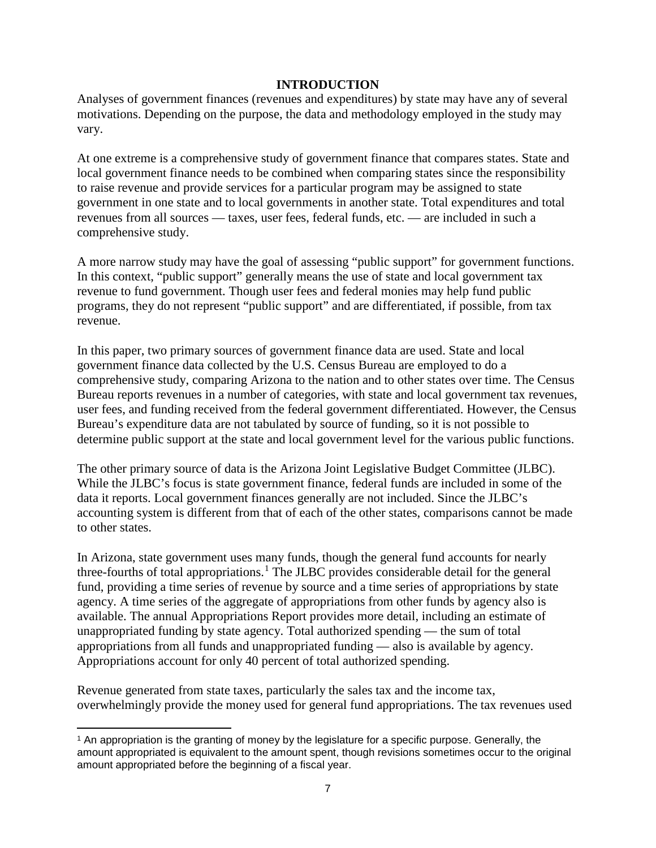#### **INTRODUCTION**

Analyses of government finances (revenues and expenditures) by state may have any of several motivations. Depending on the purpose, the data and methodology employed in the study may vary.

At one extreme is a comprehensive study of government finance that compares states. State and local government finance needs to be combined when comparing states since the responsibility to raise revenue and provide services for a particular program may be assigned to state government in one state and to local governments in another state. Total expenditures and total revenues from all sources — taxes, user fees, federal funds, etc. — are included in such a comprehensive study.

A more narrow study may have the goal of assessing "public support" for government functions. In this context, "public support" generally means the use of state and local government tax revenue to fund government. Though user fees and federal monies may help fund public programs, they do not represent "public support" and are differentiated, if possible, from tax revenue.

In this paper, two primary sources of government finance data are used. State and local government finance data collected by the U.S. Census Bureau are employed to do a comprehensive study, comparing Arizona to the nation and to other states over time. The Census Bureau reports revenues in a number of categories, with state and local government tax revenues, user fees, and funding received from the federal government differentiated. However, the Census Bureau's expenditure data are not tabulated by source of funding, so it is not possible to determine public support at the state and local government level for the various public functions.

The other primary source of data is the Arizona Joint Legislative Budget Committee (JLBC). While the JLBC's focus is state government finance, federal funds are included in some of the data it reports. Local government finances generally are not included. Since the JLBC's accounting system is different from that of each of the other states, comparisons cannot be made to other states.

In Arizona, state government uses many funds, though the general fund accounts for nearly three-fourths of total appropriations.<sup>[1](#page-9-0)</sup> The JLBC provides considerable detail for the general fund, providing a time series of revenue by source and a time series of appropriations by state agency. A time series of the aggregate of appropriations from other funds by agency also is available. The annual Appropriations Report provides more detail, including an estimate of unappropriated funding by state agency. Total authorized spending — the sum of total appropriations from all funds and unappropriated funding — also is available by agency. Appropriations account for only 40 percent of total authorized spending.

Revenue generated from state taxes, particularly the sales tax and the income tax, overwhelmingly provide the money used for general fund appropriations. The tax revenues used

<span id="page-9-0"></span> $\overline{\phantom{a}}$ <sup>1</sup> An appropriation is the granting of money by the legislature for a specific purpose. Generally, the amount appropriated is equivalent to the amount spent, though revisions sometimes occur to the original amount appropriated before the beginning of a fiscal year.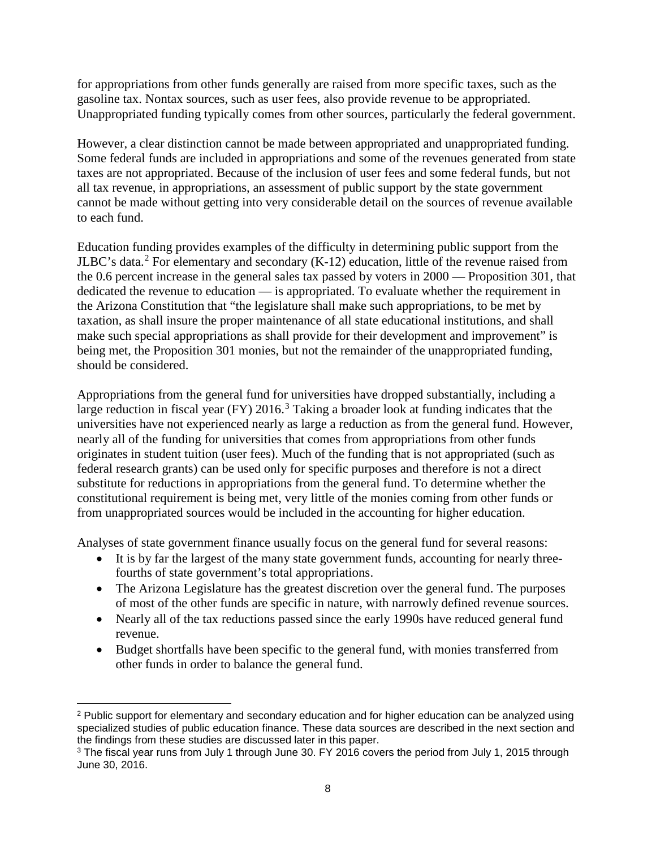for appropriations from other funds generally are raised from more specific taxes, such as the gasoline tax. Nontax sources, such as user fees, also provide revenue to be appropriated. Unappropriated funding typically comes from other sources, particularly the federal government.

However, a clear distinction cannot be made between appropriated and unappropriated funding. Some federal funds are included in appropriations and some of the revenues generated from state taxes are not appropriated. Because of the inclusion of user fees and some federal funds, but not all tax revenue, in appropriations, an assessment of public support by the state government cannot be made without getting into very considerable detail on the sources of revenue available to each fund.

Education funding provides examples of the difficulty in determining public support from the JLBC's data.<sup>[2](#page-10-0)</sup> For elementary and secondary  $(K-12)$  education, little of the revenue raised from the 0.6 percent increase in the general sales tax passed by voters in 2000 — Proposition 301, that dedicated the revenue to education — is appropriated. To evaluate whether the requirement in the Arizona Constitution that "the legislature shall make such appropriations, to be met by taxation, as shall insure the proper maintenance of all state educational institutions, and shall make such special appropriations as shall provide for their development and improvement" is being met, the Proposition 301 monies, but not the remainder of the unappropriated funding, should be considered.

Appropriations from the general fund for universities have dropped substantially, including a large reduction in fiscal year (FY) 2016.<sup>[3](#page-10-1)</sup> Taking a broader look at funding indicates that the universities have not experienced nearly as large a reduction as from the general fund. However, nearly all of the funding for universities that comes from appropriations from other funds originates in student tuition (user fees). Much of the funding that is not appropriated (such as federal research grants) can be used only for specific purposes and therefore is not a direct substitute for reductions in appropriations from the general fund. To determine whether the constitutional requirement is being met, very little of the monies coming from other funds or from unappropriated sources would be included in the accounting for higher education.

Analyses of state government finance usually focus on the general fund for several reasons:

- It is by far the largest of the many state government funds, accounting for nearly threefourths of state government's total appropriations.
- The Arizona Legislature has the greatest discretion over the general fund. The purposes of most of the other funds are specific in nature, with narrowly defined revenue sources.
- Nearly all of the tax reductions passed since the early 1990s have reduced general fund revenue.
- Budget shortfalls have been specific to the general fund, with monies transferred from other funds in order to balance the general fund.

 $\overline{\phantom{a}}$ 

<span id="page-10-0"></span><sup>2</sup> Public support for elementary and secondary education and for higher education can be analyzed using specialized studies of public education finance. These data sources are described in the next section and the findings from these studies are discussed later in this paper.

<span id="page-10-1"></span><sup>3</sup> The fiscal year runs from July 1 through June 30. FY 2016 covers the period from July 1, 2015 through June 30, 2016.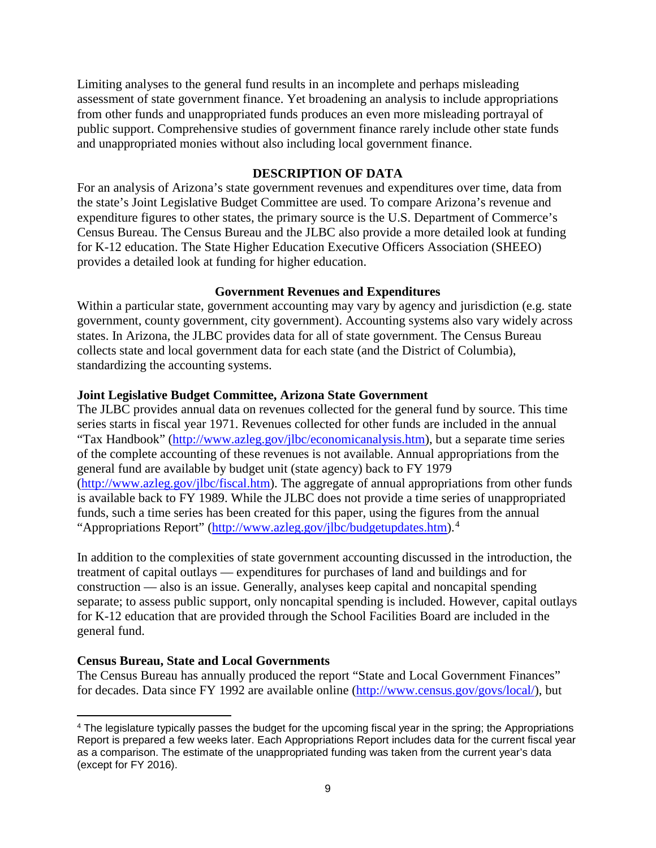Limiting analyses to the general fund results in an incomplete and perhaps misleading assessment of state government finance. Yet broadening an analysis to include appropriations from other funds and unappropriated funds produces an even more misleading portrayal of public support. Comprehensive studies of government finance rarely include other state funds and unappropriated monies without also including local government finance.

### **DESCRIPTION OF DATA**

For an analysis of Arizona's state government revenues and expenditures over time, data from the state's Joint Legislative Budget Committee are used. To compare Arizona's revenue and expenditure figures to other states, the primary source is the U.S. Department of Commerce's Census Bureau. The Census Bureau and the JLBC also provide a more detailed look at funding for K-12 education. The State Higher Education Executive Officers Association (SHEEO) provides a detailed look at funding for higher education.

## **Government Revenues and Expenditures**

Within a particular state, government accounting may vary by agency and jurisdiction (e.g. state government, county government, city government). Accounting systems also vary widely across states. In Arizona, the JLBC provides data for all of state government. The Census Bureau collects state and local government data for each state (and the District of Columbia), standardizing the accounting systems.

## **Joint Legislative Budget Committee, Arizona State Government**

The JLBC provides annual data on revenues collected for the general fund by source. This time series starts in fiscal year 1971. Revenues collected for other funds are included in the annual "Tax Handbook" [\(http://www.azleg.gov/jlbc/economicanalysis.htm\)](http://www.azleg.gov/jlbc/economicanalysis.htm), but a separate time series of the complete accounting of these revenues is not available. Annual appropriations from the general fund are available by budget unit (state agency) back to FY 1979 [\(http://www.azleg.gov/jlbc/fiscal.htm\)](http://www.azleg.gov/jlbc/fiscal.htm). The aggregate of annual appropriations from other funds is available back to FY 1989. While the JLBC does not provide a time series of unappropriated funds, such a time series has been created for this paper, using the figures from the annual "Appropriations Report" [\(http://www.azleg.gov/jlbc/budgetupdates.htm\)](http://www.azleg.gov/jlbc/budgetupdates.htm).<sup>[4](#page-11-0)</sup>

In addition to the complexities of state government accounting discussed in the introduction, the treatment of capital outlays — expenditures for purchases of land and buildings and for construction — also is an issue. Generally, analyses keep capital and noncapital spending separate; to assess public support, only noncapital spending is included. However, capital outlays for K-12 education that are provided through the School Facilities Board are included in the general fund.

# **Census Bureau, State and Local Governments**

The Census Bureau has annually produced the report "State and Local Government Finances" for decades. Data since FY 1992 are available online [\(http://www.census.gov/govs/local/\)](http://www.census.gov/govs/local/), but

<span id="page-11-0"></span>l <sup>4</sup> The legislature typically passes the budget for the upcoming fiscal year in the spring; the Appropriations Report is prepared a few weeks later. Each Appropriations Report includes data for the current fiscal year as a comparison. The estimate of the unappropriated funding was taken from the current year's data (except for FY 2016).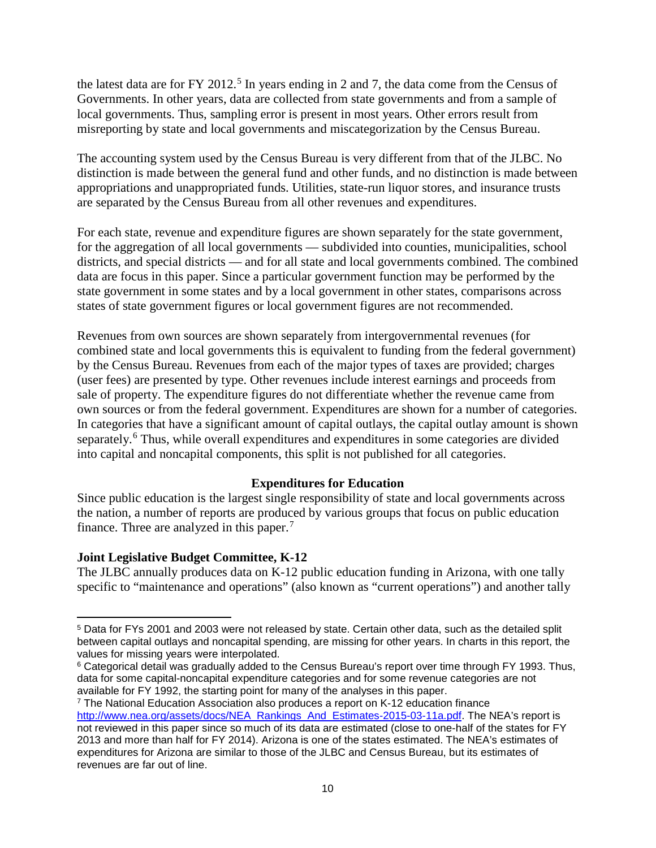the latest data are for FY 2012.<sup>[5](#page-12-0)</sup> In years ending in 2 and 7, the data come from the Census of Governments. In other years, data are collected from state governments and from a sample of local governments. Thus, sampling error is present in most years. Other errors result from misreporting by state and local governments and miscategorization by the Census Bureau.

The accounting system used by the Census Bureau is very different from that of the JLBC. No distinction is made between the general fund and other funds, and no distinction is made between appropriations and unappropriated funds. Utilities, state-run liquor stores, and insurance trusts are separated by the Census Bureau from all other revenues and expenditures.

For each state, revenue and expenditure figures are shown separately for the state government, for the aggregation of all local governments — subdivided into counties, municipalities, school districts, and special districts — and for all state and local governments combined. The combined data are focus in this paper. Since a particular government function may be performed by the state government in some states and by a local government in other states, comparisons across states of state government figures or local government figures are not recommended.

Revenues from own sources are shown separately from intergovernmental revenues (for combined state and local governments this is equivalent to funding from the federal government) by the Census Bureau. Revenues from each of the major types of taxes are provided; charges (user fees) are presented by type. Other revenues include interest earnings and proceeds from sale of property. The expenditure figures do not differentiate whether the revenue came from own sources or from the federal government. Expenditures are shown for a number of categories. In categories that have a significant amount of capital outlays, the capital outlay amount is shown separately.<sup>[6](#page-12-1)</sup> Thus, while overall expenditures and expenditures in some categories are divided into capital and noncapital components, this split is not published for all categories.

# **Expenditures for Education**

Since public education is the largest single responsibility of state and local governments across the nation, a number of reports are produced by various groups that focus on public education finance. Three are analyzed in this paper. $<sup>7</sup>$  $<sup>7</sup>$  $<sup>7</sup>$ </sup>

#### **Joint Legislative Budget Committee, K-12**

 $\overline{\phantom{a}}$ 

The JLBC annually produces data on K-12 public education funding in Arizona, with one tally specific to "maintenance and operations" (also known as "current operations") and another tally

<span id="page-12-0"></span><sup>5</sup> Data for FYs 2001 and 2003 were not released by state. Certain other data, such as the detailed split between capital outlays and noncapital spending, are missing for other years. In charts in this report, the values for missing years were interpolated.

<span id="page-12-1"></span><sup>6</sup> Categorical detail was gradually added to the Census Bureau's report over time through FY 1993. Thus, data for some capital-noncapital expenditure categories and for some revenue categories are not available for FY 1992, the starting point for many of the analyses in this paper.

<span id="page-12-2"></span><sup>7</sup> The National Education Association also produces a report on K-12 education finance [http://www.nea.org/assets/docs/NEA\\_Rankings\\_And\\_Estimates-2015-03-11a.pdf.](http://www.nea.org/assets/docs/NEA_Rankings_And_Estimates-2015-03-11a.pdf) The NEA's report is not reviewed in this paper since so much of its data are estimated (close to one-half of the states for FY 2013 and more than half for FY 2014). Arizona is one of the states estimated. The NEA's estimates of expenditures for Arizona are similar to those of the JLBC and Census Bureau, but its estimates of revenues are far out of line.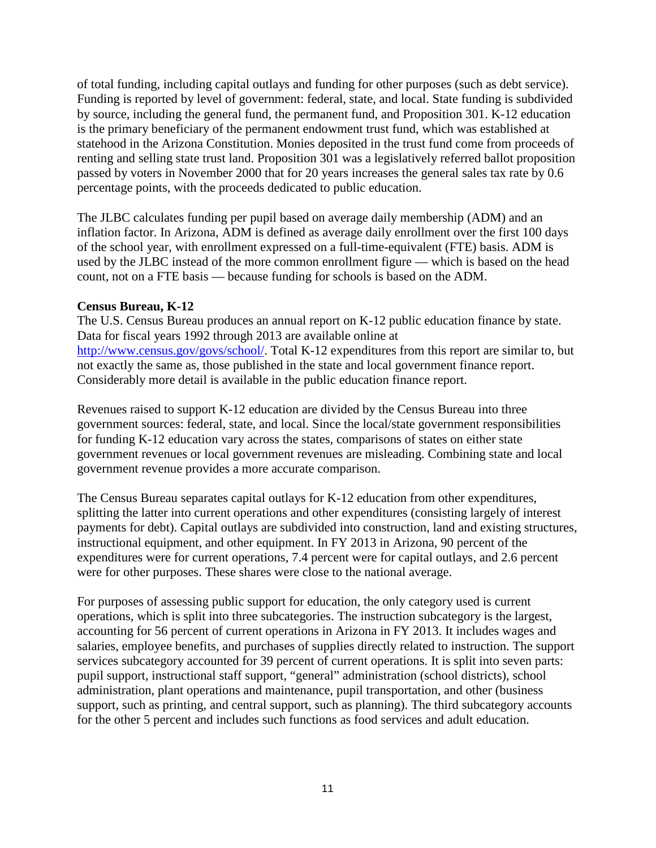of total funding, including capital outlays and funding for other purposes (such as debt service). Funding is reported by level of government: federal, state, and local. State funding is subdivided by source, including the general fund, the permanent fund, and Proposition 301. K-12 education is the primary beneficiary of the permanent endowment trust fund, which was established at statehood in the Arizona Constitution. Monies deposited in the trust fund come from proceeds of renting and selling state trust land. Proposition 301 was a legislatively referred ballot proposition passed by voters in November 2000 that for 20 years increases the general sales tax rate by 0.6 percentage points, with the proceeds dedicated to public education.

The JLBC calculates funding per pupil based on average daily membership (ADM) and an inflation factor. In Arizona, ADM is defined as average daily enrollment over the first 100 days of the school year, with enrollment expressed on a full-time-equivalent (FTE) basis. ADM is used by the JLBC instead of the more common enrollment figure — which is based on the head count, not on a FTE basis — because funding for schools is based on the ADM.

## **Census Bureau, K-12**

The U.S. Census Bureau produces an annual report on K-12 public education finance by state. Data for fiscal years 1992 through 2013 are available online at [http://www.census.gov/govs/school/.](http://www.census.gov/govs/school/) Total K-12 expenditures from this report are similar to, but not exactly the same as, those published in the state and local government finance report. Considerably more detail is available in the public education finance report.

Revenues raised to support K-12 education are divided by the Census Bureau into three government sources: federal, state, and local. Since the local/state government responsibilities for funding K-12 education vary across the states, comparisons of states on either state government revenues or local government revenues are misleading. Combining state and local government revenue provides a more accurate comparison.

The Census Bureau separates capital outlays for K-12 education from other expenditures, splitting the latter into current operations and other expenditures (consisting largely of interest payments for debt). Capital outlays are subdivided into construction, land and existing structures, instructional equipment, and other equipment. In FY 2013 in Arizona, 90 percent of the expenditures were for current operations, 7.4 percent were for capital outlays, and 2.6 percent were for other purposes. These shares were close to the national average.

For purposes of assessing public support for education, the only category used is current operations, which is split into three subcategories. The instruction subcategory is the largest, accounting for 56 percent of current operations in Arizona in FY 2013. It includes wages and salaries, employee benefits, and purchases of supplies directly related to instruction. The support services subcategory accounted for 39 percent of current operations. It is split into seven parts: pupil support, instructional staff support, "general" administration (school districts), school administration, plant operations and maintenance, pupil transportation, and other (business support, such as printing, and central support, such as planning). The third subcategory accounts for the other 5 percent and includes such functions as food services and adult education.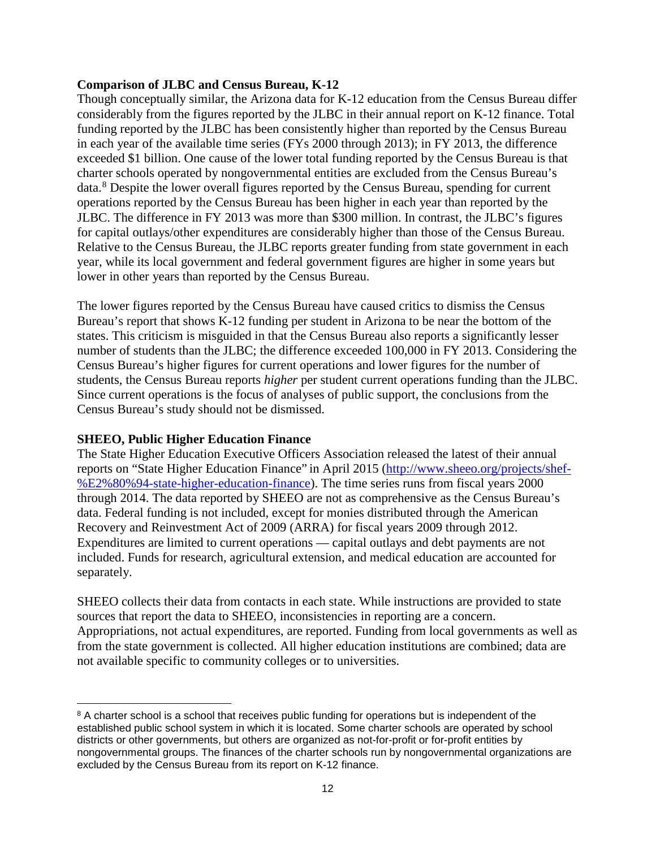#### **Comparison of JLBC and Census Bureau, K-12**

Though conceptually similar, the Arizona data for K-12 education from the Census Bureau differ considerably from the figures reported by the JLBC in their annual report on K-12 finance. Total funding reported by the JLBC has been consistently higher than reported by the Census Bureau in each year of the available time series (FYs 2000 through 2013); in FY 2013, the difference exceeded \$1 billion. One cause of the lower total funding reported by the Census Bureau is that charter schools operated by nongovernmental entities are excluded from the Census Bureau's data.<sup>[8](#page-14-0)</sup> Despite the lower overall figures reported by the Census Bureau, spending for current operations reported by the Census Bureau has been higher in each year than reported by the JLBC. The difference in FY 2013 was more than \$300 million. In contrast, the JLBC's figures for capital outlays/other expenditures are considerably higher than those of the Census Bureau. Relative to the Census Bureau, the JLBC reports greater funding from state government in each year, while its local government and federal government figures are higher in some years but lower in other years than reported by the Census Bureau.

The lower figures reported by the Census Bureau have caused critics to dismiss the Census Bureau's report that shows K-12 funding per student in Arizona to be near the bottom of the states. This criticism is misguided in that the Census Bureau also reports a significantly lesser number of students than the JLBC; the difference exceeded 100,000 in FY 2013. Considering the Census Bureau's higher figures for current operations and lower figures for the number of students, the Census Bureau reports *higher* per student current operations funding than the JLBC. Since current operations is the focus of analyses of public support, the conclusions from the Census Bureau's study should not be dismissed.

#### **SHEEO, Public Higher Education Finance**

 $\overline{\phantom{a}}$ 

The State Higher Education Executive Officers Association released the latest of their annual reports on "State Higher Education Finance" in April 2015 [\(http://www.sheeo.org/projects/shef-](http://www.sheeo.org/projects/shef-%E2%80%94-state-higher-education-finance) [%E2%80%94-state-higher-education-finance\)](http://www.sheeo.org/projects/shef-%E2%80%94-state-higher-education-finance). The time series runs from fiscal years 2000 through 2014. The data reported by SHEEO are not as comprehensive as the Census Bureau's data. Federal funding is not included, except for monies distributed through the American Recovery and Reinvestment Act of 2009 (ARRA) for fiscal years 2009 through 2012. Expenditures are limited to current operations — capital outlays and debt payments are not included. Funds for research, agricultural extension, and medical education are accounted for separately.

SHEEO collects their data from contacts in each state. While instructions are provided to state sources that report the data to SHEEO, inconsistencies in reporting are a concern. Appropriations, not actual expenditures, are reported. Funding from local governments as well as from the state government is collected. All higher education institutions are combined; data are not available specific to community colleges or to universities.

<span id="page-14-0"></span><sup>&</sup>lt;sup>8</sup> A charter school is a school that receives public funding for operations but is independent of the established public school system in which it is located. Some charter schools are operated by school districts or other governments, but others are organized as not-for-profit or for-profit entities by nongovernmental groups. The finances of the charter schools run by nongovernmental organizations are excluded by the Census Bureau from its report on K-12 finance.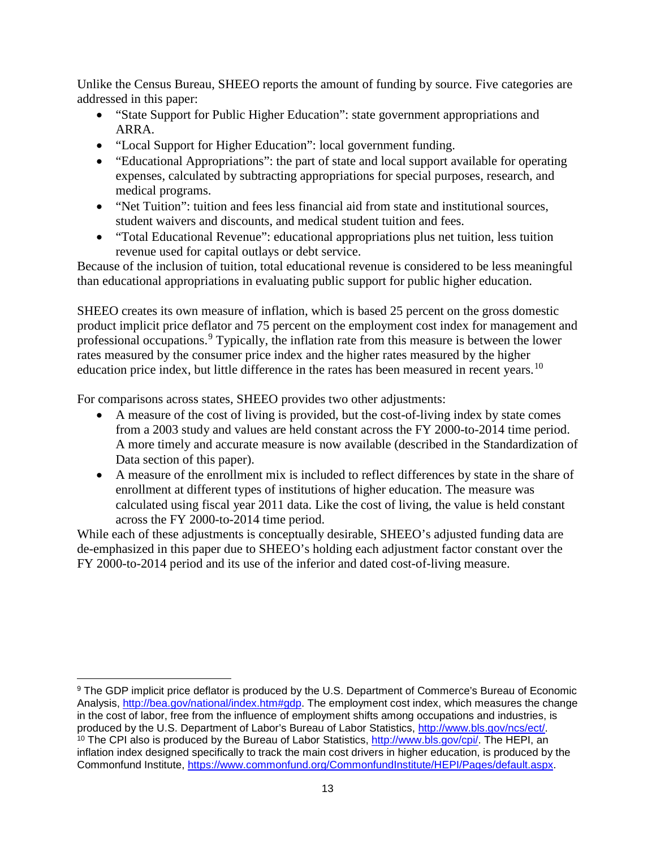Unlike the Census Bureau, SHEEO reports the amount of funding by source. Five categories are addressed in this paper:

- "State Support for Public Higher Education": state government appropriations and ARRA.
- "Local Support for Higher Education": local government funding.
- "Educational Appropriations": the part of state and local support available for operating expenses, calculated by subtracting appropriations for special purposes, research, and medical programs.
- "Net Tuition": tuition and fees less financial aid from state and institutional sources, student waivers and discounts, and medical student tuition and fees.
- "Total Educational Revenue": educational appropriations plus net tuition, less tuition revenue used for capital outlays or debt service.

Because of the inclusion of tuition, total educational revenue is considered to be less meaningful than educational appropriations in evaluating public support for public higher education.

SHEEO creates its own measure of inflation, which is based 25 percent on the gross domestic product implicit price deflator and 75 percent on the employment cost index for management and professional occupations.<sup>[9](#page-15-0)</sup> Typically, the inflation rate from this measure is between the lower rates measured by the consumer price index and the higher rates measured by the higher education price index, but little difference in the rates has been measured in recent years.<sup>[10](#page-15-1)</sup>

For comparisons across states, SHEEO provides two other adjustments:

l

- A measure of the cost of living is provided, but the cost-of-living index by state comes from a 2003 study and values are held constant across the FY 2000-to-2014 time period. A more timely and accurate measure is now available (described in the Standardization of Data section of this paper).
- A measure of the enrollment mix is included to reflect differences by state in the share of enrollment at different types of institutions of higher education. The measure was calculated using fiscal year 2011 data. Like the cost of living, the value is held constant across the FY 2000-to-2014 time period.

While each of these adjustments is conceptually desirable, SHEEO's adjusted funding data are de-emphasized in this paper due to SHEEO's holding each adjustment factor constant over the FY 2000-to-2014 period and its use of the inferior and dated cost-of-living measure.

<span id="page-15-1"></span><span id="page-15-0"></span><sup>&</sup>lt;sup>9</sup> The GDP implicit price deflator is produced by the U.S. Department of Commerce's Bureau of Economic Analysis, [http://bea.gov/national/index.htm#gdp.](http://bea.gov/national/index.htm%23gdp) The employment cost index, which measures the change in the cost of labor, free from the influence of employment shifts among occupations and industries, is produced by the U.S. Department of Labor's Bureau of Labor Statistics, [http://www.bls.gov/ncs/ect/.](http://www.bls.gov/ncs/ect/) <sup>10</sup> The CPI also is produced by the Bureau of Labor Statistics, [http://www.bls.gov/cpi/.](http://www.bls.gov/cpi/) The HEPI, an inflation index designed specifically to track the main cost drivers in higher education, is produced by the Commonfund Institute, [https://www.commonfund.org/CommonfundInstitute/HEPI/Pages/default.aspx.](https://www.commonfund.org/CommonfundInstitute/HEPI/Pages/default.aspx)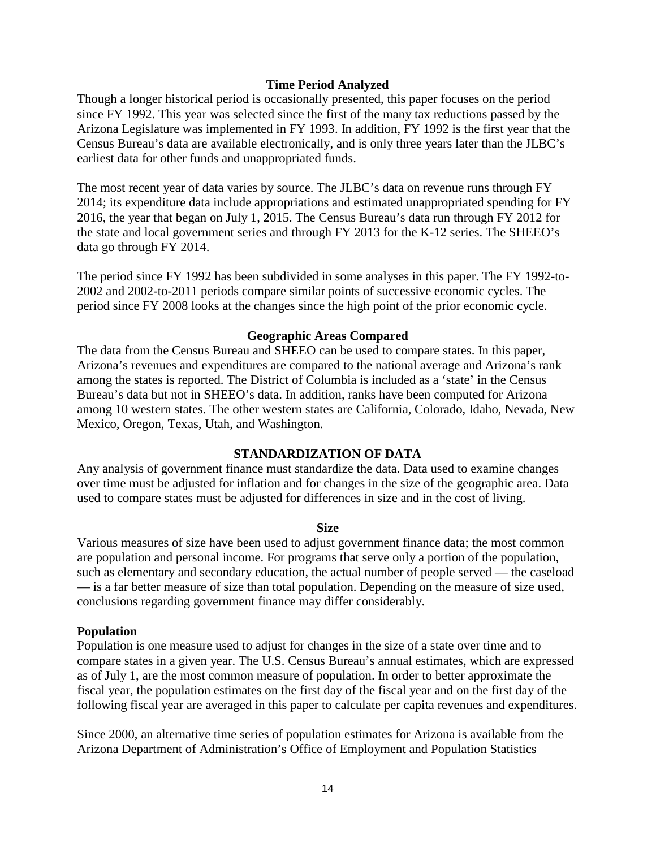#### **Time Period Analyzed**

Though a longer historical period is occasionally presented, this paper focuses on the period since FY 1992. This year was selected since the first of the many tax reductions passed by the Arizona Legislature was implemented in FY 1993. In addition, FY 1992 is the first year that the Census Bureau's data are available electronically, and is only three years later than the JLBC's earliest data for other funds and unappropriated funds.

The most recent year of data varies by source. The JLBC's data on revenue runs through FY 2014; its expenditure data include appropriations and estimated unappropriated spending for FY 2016, the year that began on July 1, 2015. The Census Bureau's data run through FY 2012 for the state and local government series and through FY 2013 for the K-12 series. The SHEEO's data go through FY 2014.

The period since FY 1992 has been subdivided in some analyses in this paper. The FY 1992-to-2002 and 2002-to-2011 periods compare similar points of successive economic cycles. The period since FY 2008 looks at the changes since the high point of the prior economic cycle.

#### **Geographic Areas Compared**

The data from the Census Bureau and SHEEO can be used to compare states. In this paper, Arizona's revenues and expenditures are compared to the national average and Arizona's rank among the states is reported. The District of Columbia is included as a 'state' in the Census Bureau's data but not in SHEEO's data. In addition, ranks have been computed for Arizona among 10 western states. The other western states are California, Colorado, Idaho, Nevada, New Mexico, Oregon, Texas, Utah, and Washington.

#### **STANDARDIZATION OF DATA**

Any analysis of government finance must standardize the data. Data used to examine changes over time must be adjusted for inflation and for changes in the size of the geographic area. Data used to compare states must be adjusted for differences in size and in the cost of living.

#### **Size**

Various measures of size have been used to adjust government finance data; the most common are population and personal income. For programs that serve only a portion of the population, such as elementary and secondary education, the actual number of people served — the caseload — is a far better measure of size than total population. Depending on the measure of size used, conclusions regarding government finance may differ considerably.

#### **Population**

Population is one measure used to adjust for changes in the size of a state over time and to compare states in a given year. The U.S. Census Bureau's annual estimates, which are expressed as of July 1, are the most common measure of population. In order to better approximate the fiscal year, the population estimates on the first day of the fiscal year and on the first day of the following fiscal year are averaged in this paper to calculate per capita revenues and expenditures.

Since 2000, an alternative time series of population estimates for Arizona is available from the Arizona Department of Administration's Office of Employment and Population Statistics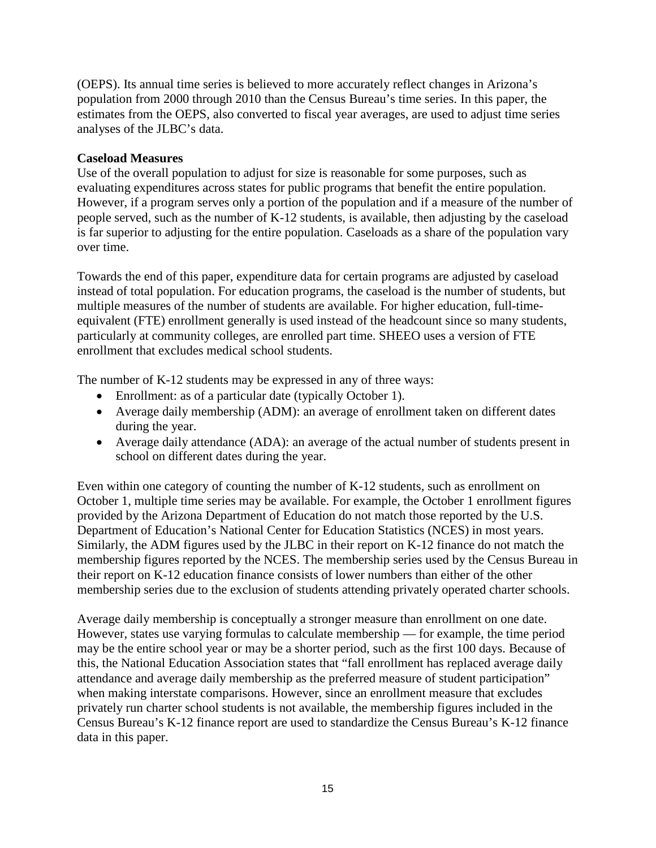(OEPS). Its annual time series is believed to more accurately reflect changes in Arizona's population from 2000 through 2010 than the Census Bureau's time series. In this paper, the estimates from the OEPS, also converted to fiscal year averages, are used to adjust time series analyses of the JLBC's data.

## **Caseload Measures**

Use of the overall population to adjust for size is reasonable for some purposes, such as evaluating expenditures across states for public programs that benefit the entire population. However, if a program serves only a portion of the population and if a measure of the number of people served, such as the number of K-12 students, is available, then adjusting by the caseload is far superior to adjusting for the entire population. Caseloads as a share of the population vary over time.

Towards the end of this paper, expenditure data for certain programs are adjusted by caseload instead of total population. For education programs, the caseload is the number of students, but multiple measures of the number of students are available. For higher education, full-timeequivalent (FTE) enrollment generally is used instead of the headcount since so many students, particularly at community colleges, are enrolled part time. SHEEO uses a version of FTE enrollment that excludes medical school students.

The number of K-12 students may be expressed in any of three ways:

- Enrollment: as of a particular date (typically October 1).
- Average daily membership (ADM): an average of enrollment taken on different dates during the year.
- Average daily attendance (ADA): an average of the actual number of students present in school on different dates during the year.

Even within one category of counting the number of K-12 students, such as enrollment on October 1, multiple time series may be available. For example, the October 1 enrollment figures provided by the Arizona Department of Education do not match those reported by the U.S. Department of Education's National Center for Education Statistics (NCES) in most years. Similarly, the ADM figures used by the JLBC in their report on K-12 finance do not match the membership figures reported by the NCES. The membership series used by the Census Bureau in their report on K-12 education finance consists of lower numbers than either of the other membership series due to the exclusion of students attending privately operated charter schools.

Average daily membership is conceptually a stronger measure than enrollment on one date. However, states use varying formulas to calculate membership — for example, the time period may be the entire school year or may be a shorter period, such as the first 100 days. Because of this, the National Education Association states that "fall enrollment has replaced average daily attendance and average daily membership as the preferred measure of student participation" when making interstate comparisons. However, since an enrollment measure that excludes privately run charter school students is not available, the membership figures included in the Census Bureau's K-12 finance report are used to standardize the Census Bureau's K-12 finance data in this paper.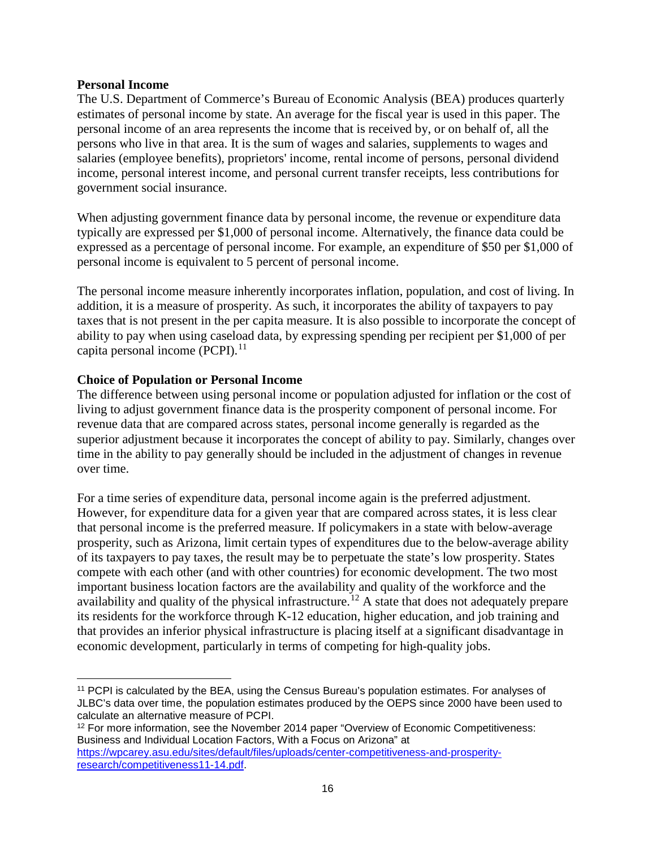#### **Personal Income**

The U.S. Department of Commerce's Bureau of Economic Analysis (BEA) produces quarterly estimates of personal income by state. An average for the fiscal year is used in this paper. The personal income of an area represents the income that is received by, or on behalf of, all the persons who live in that area. It is the sum of wages and salaries, supplements to wages and salaries (employee benefits), proprietors' income, rental income of persons, personal dividend income, personal interest income, and personal current transfer receipts, less contributions for government social insurance.

When adjusting government finance data by personal income, the revenue or expenditure data typically are expressed per \$1,000 of personal income. Alternatively, the finance data could be expressed as a percentage of personal income. For example, an expenditure of \$50 per \$1,000 of personal income is equivalent to 5 percent of personal income.

The personal income measure inherently incorporates inflation, population, and cost of living. In addition, it is a measure of prosperity. As such, it incorporates the ability of taxpayers to pay taxes that is not present in the per capita measure. It is also possible to incorporate the concept of ability to pay when using caseload data, by expressing spending per recipient per \$1,000 of per capita personal income  $(PCPI)$ .<sup>[11](#page-18-0)</sup>

#### **Choice of Population or Personal Income**

The difference between using personal income or population adjusted for inflation or the cost of living to adjust government finance data is the prosperity component of personal income. For revenue data that are compared across states, personal income generally is regarded as the superior adjustment because it incorporates the concept of ability to pay. Similarly, changes over time in the ability to pay generally should be included in the adjustment of changes in revenue over time.

For a time series of expenditure data, personal income again is the preferred adjustment. However, for expenditure data for a given year that are compared across states, it is less clear that personal income is the preferred measure. If policymakers in a state with below-average prosperity, such as Arizona, limit certain types of expenditures due to the below-average ability of its taxpayers to pay taxes, the result may be to perpetuate the state's low prosperity. States compete with each other (and with other countries) for economic development. The two most important business location factors are the availability and quality of the workforce and the availability and quality of the physical infrastructure.<sup>[12](#page-18-1)</sup> A state that does not adequately prepare its residents for the workforce through K-12 education, higher education, and job training and that provides an inferior physical infrastructure is placing itself at a significant disadvantage in economic development, particularly in terms of competing for high-quality jobs.

<span id="page-18-0"></span>l <sup>11</sup> PCPI is calculated by the BEA, using the Census Bureau's population estimates. For analyses of JLBC's data over time, the population estimates produced by the OEPS since 2000 have been used to calculate an alternative measure of PCPI.

<span id="page-18-1"></span><sup>&</sup>lt;sup>12</sup> For more information, see the November 2014 paper "Overview of Economic Competitiveness: Business and Individual Location Factors, With a Focus on Arizona" at [https://wpcarey.asu.edu/sites/default/files/uploads/center-competitiveness-and-prosperity](https://wpcarey.asu.edu/sites/default/files/uploads/center-competitiveness-and-prosperity-research/competitiveness11-14.pdf)[research/competitiveness11-14.pdf.](https://wpcarey.asu.edu/sites/default/files/uploads/center-competitiveness-and-prosperity-research/competitiveness11-14.pdf)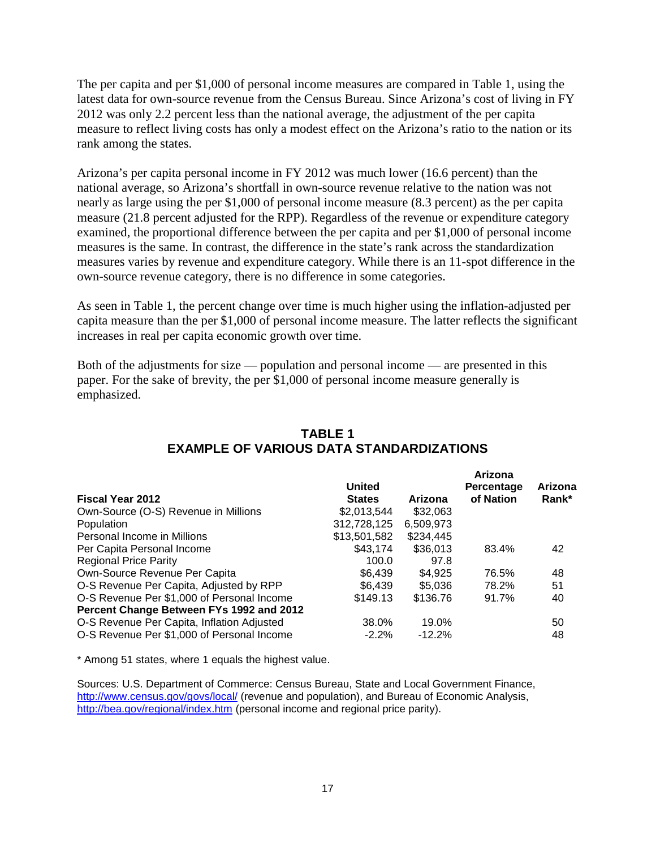The per capita and per \$1,000 of personal income measures are compared in Table 1, using the latest data for own-source revenue from the Census Bureau. Since Arizona's cost of living in FY 2012 was only 2.2 percent less than the national average, the adjustment of the per capita measure to reflect living costs has only a modest effect on the Arizona's ratio to the nation or its rank among the states.

Arizona's per capita personal income in FY 2012 was much lower (16.6 percent) than the national average, so Arizona's shortfall in own-source revenue relative to the nation was not nearly as large using the per \$1,000 of personal income measure (8.3 percent) as the per capita measure (21.8 percent adjusted for the RPP). Regardless of the revenue or expenditure category examined, the proportional difference between the per capita and per \$1,000 of personal income measures is the same. In contrast, the difference in the state's rank across the standardization measures varies by revenue and expenditure category. While there is an 11-spot difference in the own-source revenue category, there is no difference in some categories.

As seen in Table 1, the percent change over time is much higher using the inflation-adjusted per capita measure than the per \$1,000 of personal income measure. The latter reflects the significant increases in real per capita economic growth over time.

Both of the adjustments for size — population and personal income — are presented in this paper. For the sake of brevity, the per \$1,000 of personal income measure generally is emphasized.

|               |           | Arizona    |         |
|---------------|-----------|------------|---------|
| <b>United</b> |           | Percentage | Arizona |
| <b>States</b> | Arizona   | of Nation  | Rank*   |
| \$2,013,544   | \$32,063  |            |         |
| 312,728,125   | 6,509,973 |            |         |
| \$13,501,582  | \$234.445 |            |         |
| \$43,174      | \$36,013  | 83.4%      | 42      |
| 100.0         | 97.8      |            |         |
| \$6.439       | \$4.925   | 76.5%      | 48      |
| \$6,439       | \$5.036   | 78.2%      | 51      |
| \$149.13      | \$136.76  | 91.7%      | 40      |
|               |           |            |         |
| 38.0%         | 19.0%     |            | 50      |
| $-2.2\%$      | $-12.2%$  |            | 48      |
|               |           |            |         |

# **TABLE 1 EXAMPLE OF VARIOUS DATA STANDARDIZATIONS**

\* Among 51 states, where 1 equals the highest value.

Sources: U.S. Department of Commerce: Census Bureau, State and Local Government Finance, <http://www.census.gov/govs/local/> (revenue and population), and Bureau of Economic Analysis, <http://bea.gov/regional/index.htm> (personal income and regional price parity).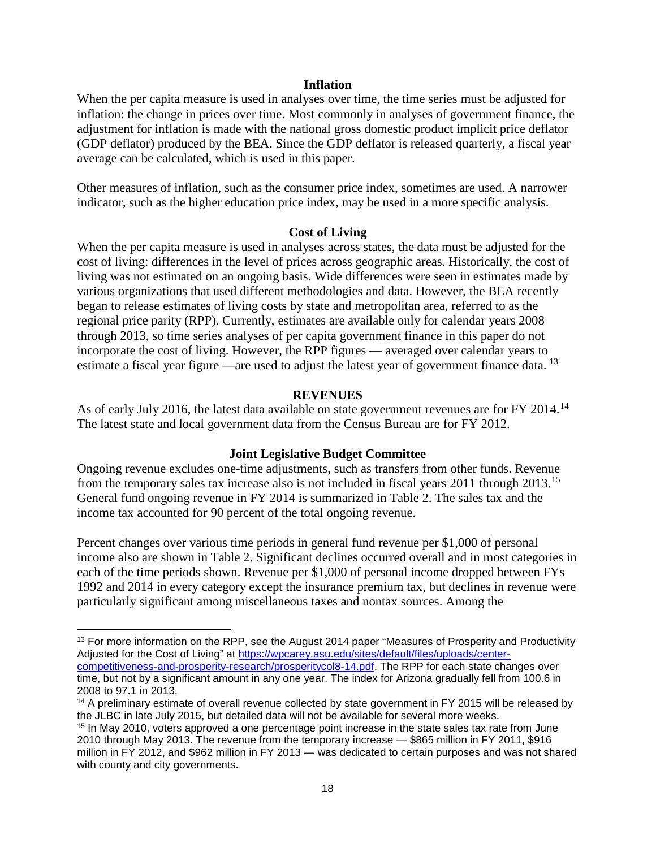#### **Inflation**

When the per capita measure is used in analyses over time, the time series must be adjusted for inflation: the change in prices over time. Most commonly in analyses of government finance, the adjustment for inflation is made with the national gross domestic product implicit price deflator (GDP deflator) produced by the BEA. Since the GDP deflator is released quarterly, a fiscal year average can be calculated, which is used in this paper.

Other measures of inflation, such as the consumer price index, sometimes are used. A narrower indicator, such as the higher education price index, may be used in a more specific analysis.

#### **Cost of Living**

When the per capita measure is used in analyses across states, the data must be adjusted for the cost of living: differences in the level of prices across geographic areas. Historically, the cost of living was not estimated on an ongoing basis. Wide differences were seen in estimates made by various organizations that used different methodologies and data. However, the BEA recently began to release estimates of living costs by state and metropolitan area, referred to as the regional price parity (RPP). Currently, estimates are available only for calendar years 2008 through 2013, so time series analyses of per capita government finance in this paper do not incorporate the cost of living. However, the RPP figures — averaged over calendar years to estimate a fiscal year figure —are used to adjust the latest year of government finance data.<sup>[13](#page-20-0)</sup>

#### **REVENUES**

As of early July 2016, the latest data available on state government revenues are for FY 20[14](#page-20-1).<sup>14</sup> The latest state and local government data from the Census Bureau are for FY 2012.

#### **Joint Legislative Budget Committee**

Ongoing revenue excludes one-time adjustments, such as transfers from other funds. Revenue from the temporary sales tax increase also is not included in fiscal years 2011 through 2013.<sup>[15](#page-20-2)</sup> General fund ongoing revenue in FY 2014 is summarized in Table 2. The sales tax and the income tax accounted for 90 percent of the total ongoing revenue.

Percent changes over various time periods in general fund revenue per \$1,000 of personal income also are shown in Table 2. Significant declines occurred overall and in most categories in each of the time periods shown. Revenue per \$1,000 of personal income dropped between FYs 1992 and 2014 in every category except the insurance premium tax, but declines in revenue were particularly significant among miscellaneous taxes and nontax sources. Among the

 $\overline{\phantom{a}}$ 

<span id="page-20-0"></span><sup>&</sup>lt;sup>13</sup> For more information on the RPP, see the August 2014 paper "Measures of Prosperity and Productivity Adjusted for the Cost of Living" at [https://wpcarey.asu.edu/sites/default/files/uploads/center](https://wpcarey.asu.edu/sites/default/files/uploads/center-competitiveness-and-prosperity-research/prosperitycol8-14.pdf)[competitiveness-and-prosperity-research/prosperitycol8-14.pdf.](https://wpcarey.asu.edu/sites/default/files/uploads/center-competitiveness-and-prosperity-research/prosperitycol8-14.pdf) The RPP for each state changes over time, but not by a significant amount in any one year. The index for Arizona gradually fell from 100.6 in 2008 to 97.1 in 2013.

<span id="page-20-1"></span><sup>&</sup>lt;sup>14</sup> A preliminary estimate of overall revenue collected by state government in FY 2015 will be released by the JLBC in late July 2015, but detailed data will not be available for several more weeks.

<span id="page-20-2"></span><sup>15</sup> In May 2010, voters approved a one percentage point increase in the state sales tax rate from June 2010 through May 2013. The revenue from the temporary increase — \$865 million in FY 2011, \$916 million in FY 2012, and \$962 million in FY 2013 — was dedicated to certain purposes and was not shared with county and city governments.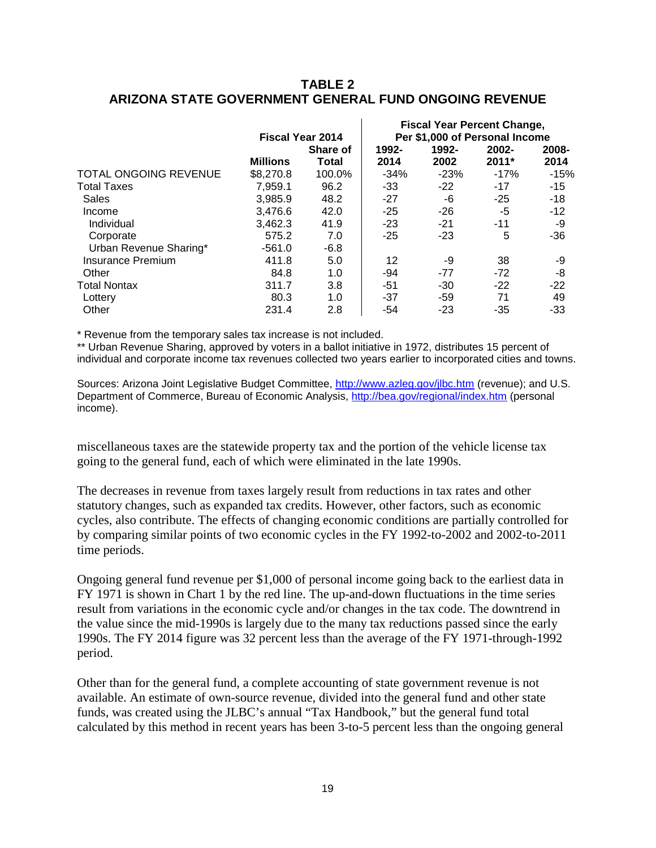# **TABLE 2 ARIZONA STATE GOVERNMENT GENERAL FUND ONGOING REVENUE**

 $\mathbf{r}$ 

|                 | Share of |                         | 1992-  | 2002-   | 2008-                                                                |
|-----------------|----------|-------------------------|--------|---------|----------------------------------------------------------------------|
| <b>Millions</b> | Total    | 2014                    | 2002   | $2011*$ | 2014                                                                 |
| \$8,270.8       | 100.0%   | $-34%$                  | $-23%$ | $-17%$  | $-15%$                                                               |
| 7.959.1         | 96.2     | $-33$                   | $-22$  | $-17$   | $-15$                                                                |
| 3,985.9         | 48.2     | $-27$                   | -6     | $-25$   | $-18$                                                                |
| 3.476.6         | 42.0     | $-25$                   | $-26$  | -5      | $-12$                                                                |
| 3.462.3         | 41.9     | $-23$                   | $-21$  | $-11$   | -9                                                                   |
| 575.2           | 7.0      | $-25$                   | $-23$  | 5       | $-36$                                                                |
| $-561.0$        | $-6.8$   |                         |        |         |                                                                      |
| 411.8           | 5.0      | 12                      | -9     | 38      | -9                                                                   |
| 84.8            | 1.0      | -94                     | $-77$  | $-72$   | -8                                                                   |
| 311.7           | 3.8      | -51                     | $-30$  | $-22$   | $-22$                                                                |
| 80.3            | 1.0      | $-37$                   | -59    | 71      | 49                                                                   |
| 231.4           | 2.8      | -54                     | $-23$  | -35     | $-33$                                                                |
|                 |          | <b>Fiscal Year 2014</b> | 1992-  |         | <b>Fiscal Year Percent Change,</b><br>Per \$1,000 of Personal Income |

\* Revenue from the temporary sales tax increase is not included.

\*\* Urban Revenue Sharing, approved by voters in a ballot initiative in 1972, distributes 15 percent of individual and corporate income tax revenues collected two years earlier to incorporated cities and towns.

Sources: Arizona Joint Legislative Budget Committee, <http://www.azleg.gov/jlbc.htm> (revenue); and U.S. Department of Commerce, Bureau of Economic Analysis, <http://bea.gov/regional/index.htm> (personal income).

miscellaneous taxes are the statewide property tax and the portion of the vehicle license tax going to the general fund, each of which were eliminated in the late 1990s.

The decreases in revenue from taxes largely result from reductions in tax rates and other statutory changes, such as expanded tax credits. However, other factors, such as economic cycles, also contribute. The effects of changing economic conditions are partially controlled for by comparing similar points of two economic cycles in the FY 1992-to-2002 and 2002-to-2011 time periods.

Ongoing general fund revenue per \$1,000 of personal income going back to the earliest data in FY 1971 is shown in Chart 1 by the red line. The up-and-down fluctuations in the time series result from variations in the economic cycle and/or changes in the tax code. The downtrend in the value since the mid-1990s is largely due to the many tax reductions passed since the early 1990s. The FY 2014 figure was 32 percent less than the average of the FY 1971-through-1992 period.

Other than for the general fund, a complete accounting of state government revenue is not available. An estimate of own-source revenue, divided into the general fund and other state funds, was created using the JLBC's annual "Tax Handbook," but the general fund total calculated by this method in recent years has been 3-to-5 percent less than the ongoing general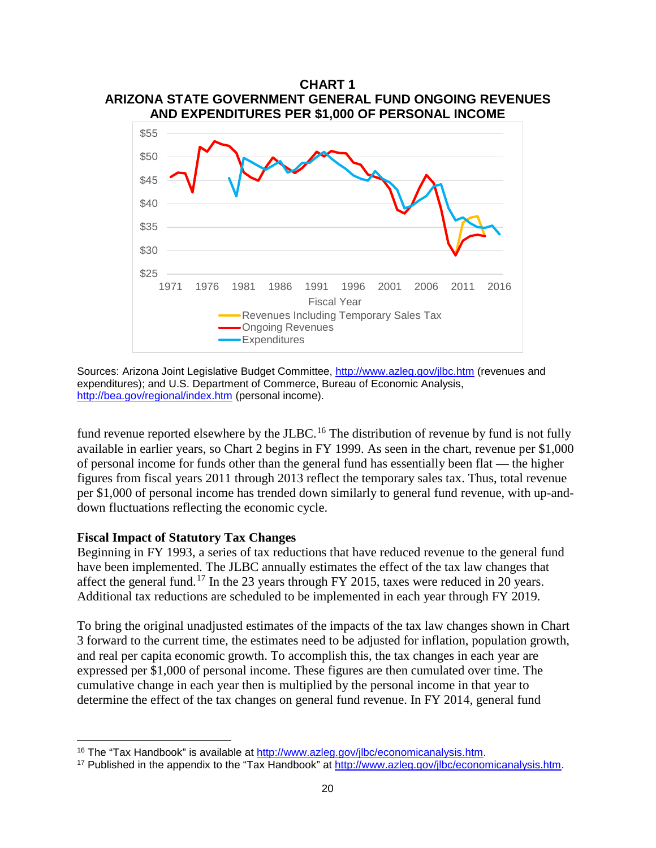

Sources: Arizona Joint Legislative Budget Committee,<http://www.azleg.gov/jlbc.htm> (revenues and expenditures); and U.S. Department of Commerce, Bureau of Economic Analysis, <http://bea.gov/regional/index.htm> (personal income).

fund revenue reported elsewhere by the JLBC.<sup>[16](#page-22-0)</sup> The distribution of revenue by fund is not fully available in earlier years, so Chart 2 begins in FY 1999. As seen in the chart, revenue per \$1,000 of personal income for funds other than the general fund has essentially been flat — the higher figures from fiscal years 2011 through 2013 reflect the temporary sales tax. Thus, total revenue per \$1,000 of personal income has trended down similarly to general fund revenue, with up-anddown fluctuations reflecting the economic cycle.

#### **Fiscal Impact of Statutory Tax Changes**

l

Beginning in FY 1993, a series of tax reductions that have reduced revenue to the general fund have been implemented. The JLBC annually estimates the effect of the tax law changes that affect the general fund.<sup>[17](#page-22-1)</sup> In the 23 years through FY 2015, taxes were reduced in 20 years. Additional tax reductions are scheduled to be implemented in each year through FY 2019.

To bring the original unadjusted estimates of the impacts of the tax law changes shown in Chart 3 forward to the current time, the estimates need to be adjusted for inflation, population growth, and real per capita economic growth. To accomplish this, the tax changes in each year are expressed per \$1,000 of personal income. These figures are then cumulated over time. The cumulative change in each year then is multiplied by the personal income in that year to determine the effect of the tax changes on general fund revenue. In FY 2014, general fund

<span id="page-22-0"></span><sup>16</sup> The "Tax Handbook" is available at [http://www.azleg.gov/jlbc/economicanalysis.htm.](http://www.azleg.gov/jlbc/economicanalysis.htm)

<span id="page-22-1"></span><sup>&</sup>lt;sup>17</sup> Published in the appendix to the "Tax Handbook" at [http://www.azleg.gov/jlbc/economicanalysis.htm.](http://www.azleg.gov/jlbc/economicanalysis.htm)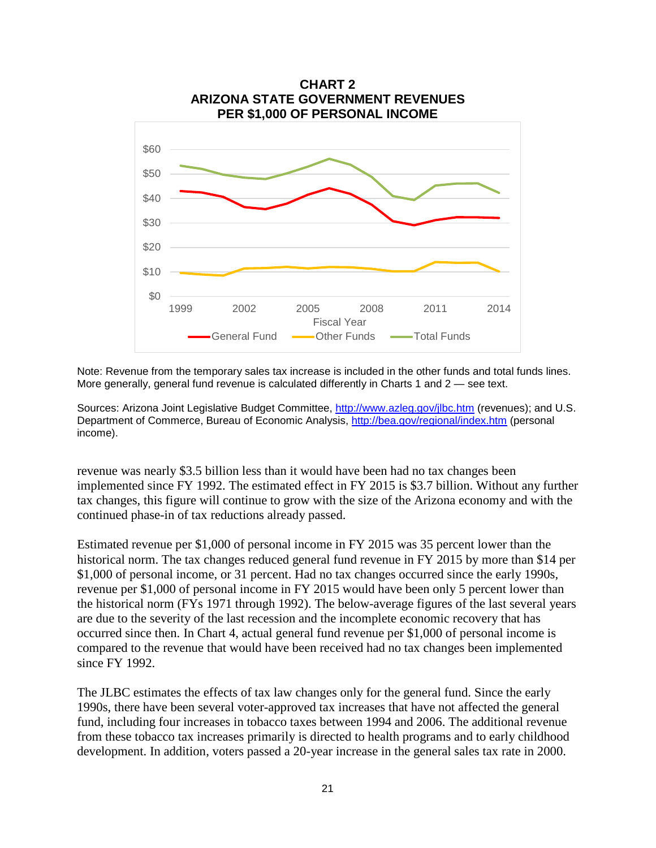

Note: Revenue from the temporary sales tax increase is included in the other funds and total funds lines. More generally, general fund revenue is calculated differently in Charts 1 and 2 — see text.

Sources: Arizona Joint Legislative Budget Committee,<http://www.azleg.gov/jlbc.htm> (revenues); and U.S. Department of Commerce, Bureau of Economic Analysis,<http://bea.gov/regional/index.htm> (personal income).

revenue was nearly \$3.5 billion less than it would have been had no tax changes been implemented since FY 1992. The estimated effect in FY 2015 is \$3.7 billion. Without any further tax changes, this figure will continue to grow with the size of the Arizona economy and with the continued phase-in of tax reductions already passed.

Estimated revenue per \$1,000 of personal income in FY 2015 was 35 percent lower than the historical norm. The tax changes reduced general fund revenue in FY 2015 by more than \$14 per \$1,000 of personal income, or 31 percent. Had no tax changes occurred since the early 1990s, revenue per \$1,000 of personal income in FY 2015 would have been only 5 percent lower than the historical norm (FYs 1971 through 1992). The below-average figures of the last several years are due to the severity of the last recession and the incomplete economic recovery that has occurred since then. In Chart 4, actual general fund revenue per \$1,000 of personal income is compared to the revenue that would have been received had no tax changes been implemented since FY 1992.

The JLBC estimates the effects of tax law changes only for the general fund. Since the early 1990s, there have been several voter-approved tax increases that have not affected the general fund, including four increases in tobacco taxes between 1994 and 2006. The additional revenue from these tobacco tax increases primarily is directed to health programs and to early childhood development. In addition, voters passed a 20-year increase in the general sales tax rate in 2000.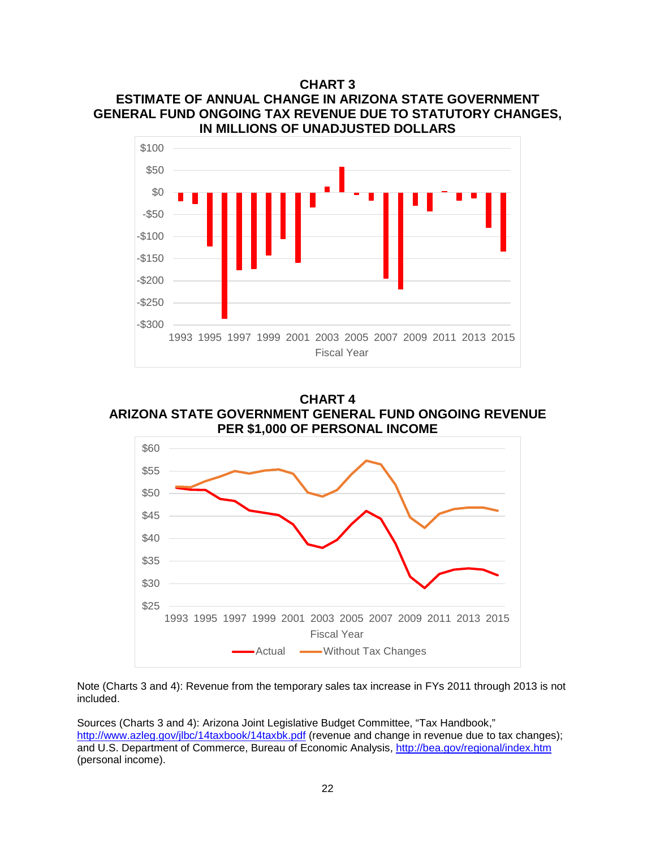**CHART 3 ESTIMATE OF ANNUAL CHANGE IN ARIZONA STATE GOVERNMENT GENERAL FUND ONGOING TAX REVENUE DUE TO STATUTORY CHANGES, IN MILLIONS OF UNADJUSTED DOLLARS**



**CHART 4 ARIZONA STATE GOVERNMENT GENERAL FUND ONGOING REVENUE PER \$1,000 OF PERSONAL INCOME**



Note (Charts 3 and 4): Revenue from the temporary sales tax increase in FYs 2011 through 2013 is not included.

Sources (Charts 3 and 4): Arizona Joint Legislative Budget Committee, "Tax Handbook," <http://www.azleg.gov/jlbc/14taxbook/14taxbk.pdf> (revenue and change in revenue due to tax changes); and U.S. Department of Commerce, Bureau of Economic Analysis, <http://bea.gov/regional/index.htm> (personal income).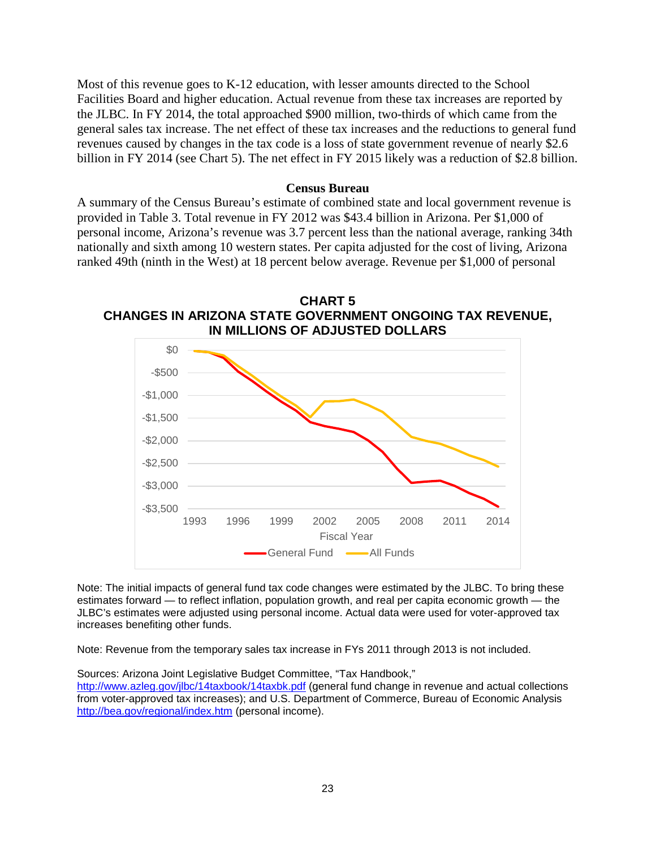Most of this revenue goes to K-12 education, with lesser amounts directed to the School Facilities Board and higher education. Actual revenue from these tax increases are reported by the JLBC. In FY 2014, the total approached \$900 million, two-thirds of which came from the general sales tax increase. The net effect of these tax increases and the reductions to general fund revenues caused by changes in the tax code is a loss of state government revenue of nearly \$2.6 billion in FY 2014 (see Chart 5). The net effect in FY 2015 likely was a reduction of \$2.8 billion.

#### **Census Bureau**

A summary of the Census Bureau's estimate of combined state and local government revenue is provided in Table 3. Total revenue in FY 2012 was \$43.4 billion in Arizona. Per \$1,000 of personal income, Arizona's revenue was 3.7 percent less than the national average, ranking 34th nationally and sixth among 10 western states. Per capita adjusted for the cost of living, Arizona ranked 49th (ninth in the West) at 18 percent below average. Revenue per \$1,000 of personal





Note: The initial impacts of general fund tax code changes were estimated by the JLBC. To bring these estimates forward — to reflect inflation, population growth, and real per capita economic growth — the JLBC's estimates were adjusted using personal income. Actual data were used for voter-approved tax increases benefiting other funds.

Note: Revenue from the temporary sales tax increase in FYs 2011 through 2013 is not included.

Sources: Arizona Joint Legislative Budget Committee, "Tax Handbook,"

<http://www.azleg.gov/jlbc/14taxbook/14taxbk.pdf> (general fund change in revenue and actual collections from voter-approved tax increases); and U.S. Department of Commerce, Bureau of Economic Analysis <http://bea.gov/regional/index.htm> (personal income).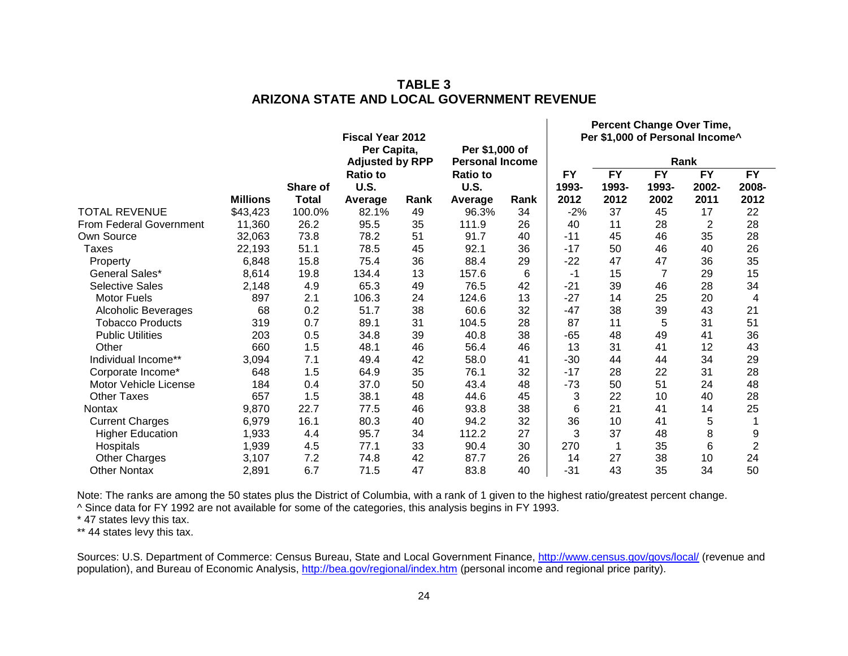|                                |                 |              | <b>Fiscal Year 2012</b><br>Per Capita, |      |                                          |      | Percent Change Over Time,<br>Per \$1,000 of Personal Income^ |                          |                |                          |                          |
|--------------------------------|-----------------|--------------|----------------------------------------|------|------------------------------------------|------|--------------------------------------------------------------|--------------------------|----------------|--------------------------|--------------------------|
|                                |                 |              | <b>Adjusted by RPP</b>                 |      | Per \$1,000 of<br><b>Personal Income</b> |      |                                                              | Rank                     |                |                          |                          |
|                                |                 | Share of     | <b>Ratio to</b><br>U.S.                |      | <b>Ratio to</b><br><b>U.S.</b>           |      | <b>FY</b><br>1993-                                           | $\overline{FY}$<br>1993- | FY<br>1993-    | $\overline{FY}$<br>2002- | $\overline{FY}$<br>2008- |
|                                | <b>Millions</b> | <b>Total</b> | Average                                | Rank | Average                                  | Rank | 2012                                                         | 2012                     | 2002           | 2011                     | 2012                     |
| <b>TOTAL REVENUE</b>           | \$43,423        | 100.0%       | 82.1%                                  | 49   | 96.3%                                    | 34   | $-2%$                                                        | 37                       | 45             | 17                       | 22                       |
| <b>From Federal Government</b> | 11,360          | 26.2         | 95.5                                   | 35   | 111.9                                    | 26   | 40                                                           | 11                       | 28             | 2                        | 28                       |
| Own Source                     | 32,063          | 73.8         | 78.2                                   | 51   | 91.7                                     | 40   | $-11$                                                        | 45                       | 46             | 35                       | 28                       |
| <b>Taxes</b>                   | 22,193          | 51.1         | 78.5                                   | 45   | 92.1                                     | 36   | $-17$                                                        | 50                       | 46             | 40                       | 26                       |
| Property                       | 6,848           | 15.8         | 75.4                                   | 36   | 88.4                                     | 29   | $-22$                                                        | 47                       | 47             | 36                       | 35                       |
| General Sales*                 | 8,614           | 19.8         | 134.4                                  | 13   | 157.6                                    | 6    | -1                                                           | 15                       | $\overline{7}$ | 29                       | 15                       |
| <b>Selective Sales</b>         | 2,148           | 4.9          | 65.3                                   | 49   | 76.5                                     | 42   | $-21$                                                        | 39                       | 46             | 28                       | 34                       |
| <b>Motor Fuels</b>             | 897             | 2.1          | 106.3                                  | 24   | 124.6                                    | 13   | $-27$                                                        | 14                       | 25             | 20                       | $\overline{4}$           |
| Alcoholic Beverages            | 68              | 0.2          | 51.7                                   | 38   | 60.6                                     | 32   | $-47$                                                        | 38                       | 39             | 43                       | 21                       |
| <b>Tobacco Products</b>        | 319             | 0.7          | 89.1                                   | 31   | 104.5                                    | 28   | 87                                                           | 11                       | 5              | 31                       | 51                       |
| <b>Public Utilities</b>        | 203             | 0.5          | 34.8                                   | 39   | 40.8                                     | 38   | -65                                                          | 48                       | 49             | 41                       | 36                       |
| Other                          | 660             | 1.5          | 48.1                                   | 46   | 56.4                                     | 46   | 13                                                           | 31                       | 41             | 12                       | 43                       |
| Individual Income**            | 3,094           | 7.1          | 49.4                                   | 42   | 58.0                                     | 41   | $-30$                                                        | 44                       | 44             | 34                       | 29                       |
| Corporate Income*              | 648             | 1.5          | 64.9                                   | 35   | 76.1                                     | 32   | $-17$                                                        | 28                       | 22             | 31                       | 28                       |
| Motor Vehicle License          | 184             | 0.4          | 37.0                                   | 50   | 43.4                                     | 48   | -73                                                          | 50                       | 51             | 24                       | 48                       |
| <b>Other Taxes</b>             | 657             | 1.5          | 38.1                                   | 48   | 44.6                                     | 45   | 3                                                            | 22                       | 10             | 40                       | 28                       |
| <b>Nontax</b>                  | 9,870           | 22.7         | 77.5                                   | 46   | 93.8                                     | 38   | 6                                                            | 21                       | 41             | 14                       | 25                       |
| <b>Current Charges</b>         | 6,979           | 16.1         | 80.3                                   | 40   | 94.2                                     | 32   | 36                                                           | 10                       | 41             | 5                        |                          |
| <b>Higher Education</b>        | 1,933           | 4.4          | 95.7                                   | 34   | 112.2                                    | 27   | 3                                                            | 37                       | 48             | 8                        | 9                        |
| Hospitals                      | 1,939           | 4.5          | 77.1                                   | 33   | 90.4                                     | 30   | 270                                                          | $\mathbf 1$              | 35             | 6                        | $\overline{2}$           |
| <b>Other Charges</b>           | 3,107           | 7.2          | 74.8                                   | 42   | 87.7                                     | 26   | 14                                                           | 27                       | 38             | 10                       | 24                       |
| <b>Other Nontax</b>            | 2,891           | 6.7          | 71.5                                   | 47   | 83.8                                     | 40   | $-31$                                                        | 43                       | 35             | 34                       | 50                       |

# **TABLE 3 ARIZONA STATE AND LOCAL GOVERNMENT REVENUE**

Note: The ranks are among the 50 states plus the District of Columbia, with a rank of 1 given to the highest ratio/greatest percent change. ^ Since data for FY 1992 are not available for some of the categories, this analysis begins in FY 1993.

\* 47 states levy this tax.

\*\* 44 states levy this tax.

Sources: U.S. Department of Commerce: Census Bureau, State and Local Government Finance, <http://www.census.gov/govs/local/> (revenue and population), and Bureau of Economic Analysis, <http://bea.gov/regional/index.htm> (personal income and regional price parity).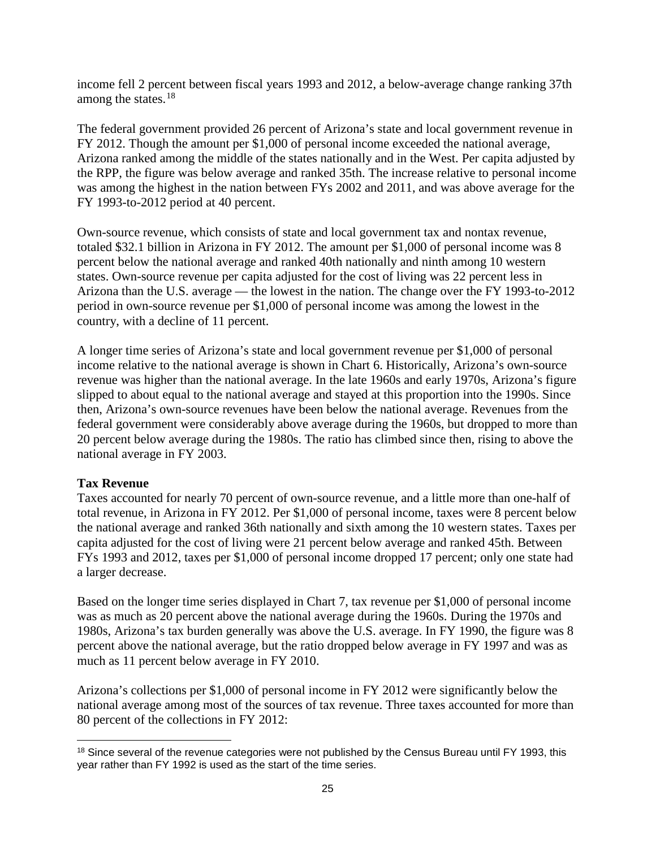income fell 2 percent between fiscal years 1993 and 2012, a below-average change ranking 37th among the states. $^{18}$  $^{18}$  $^{18}$ 

The federal government provided 26 percent of Arizona's state and local government revenue in FY 2012. Though the amount per \$1,000 of personal income exceeded the national average, Arizona ranked among the middle of the states nationally and in the West. Per capita adjusted by the RPP, the figure was below average and ranked 35th. The increase relative to personal income was among the highest in the nation between FYs 2002 and 2011, and was above average for the FY 1993-to-2012 period at 40 percent.

Own-source revenue, which consists of state and local government tax and nontax revenue, totaled \$32.1 billion in Arizona in FY 2012. The amount per \$1,000 of personal income was 8 percent below the national average and ranked 40th nationally and ninth among 10 western states. Own-source revenue per capita adjusted for the cost of living was 22 percent less in Arizona than the U.S. average — the lowest in the nation. The change over the FY 1993-to-2012 period in own-source revenue per \$1,000 of personal income was among the lowest in the country, with a decline of 11 percent.

A longer time series of Arizona's state and local government revenue per \$1,000 of personal income relative to the national average is shown in Chart 6. Historically, Arizona's own-source revenue was higher than the national average. In the late 1960s and early 1970s, Arizona's figure slipped to about equal to the national average and stayed at this proportion into the 1990s. Since then, Arizona's own-source revenues have been below the national average. Revenues from the federal government were considerably above average during the 1960s, but dropped to more than 20 percent below average during the 1980s. The ratio has climbed since then, rising to above the national average in FY 2003.

# **Tax Revenue**

l

Taxes accounted for nearly 70 percent of own-source revenue, and a little more than one-half of total revenue, in Arizona in FY 2012. Per \$1,000 of personal income, taxes were 8 percent below the national average and ranked 36th nationally and sixth among the 10 western states. Taxes per capita adjusted for the cost of living were 21 percent below average and ranked 45th. Between FYs 1993 and 2012, taxes per \$1,000 of personal income dropped 17 percent; only one state had a larger decrease.

Based on the longer time series displayed in Chart 7, tax revenue per \$1,000 of personal income was as much as 20 percent above the national average during the 1960s. During the 1970s and 1980s, Arizona's tax burden generally was above the U.S. average. In FY 1990, the figure was 8 percent above the national average, but the ratio dropped below average in FY 1997 and was as much as 11 percent below average in FY 2010.

Arizona's collections per \$1,000 of personal income in FY 2012 were significantly below the national average among most of the sources of tax revenue. Three taxes accounted for more than 80 percent of the collections in FY 2012:

<span id="page-27-0"></span><sup>&</sup>lt;sup>18</sup> Since several of the revenue categories were not published by the Census Bureau until FY 1993, this year rather than FY 1992 is used as the start of the time series.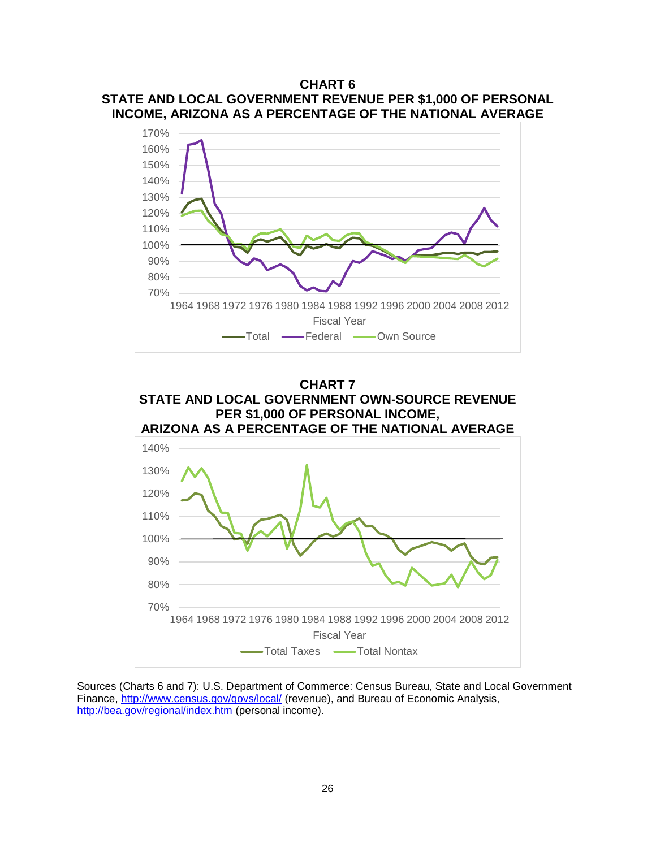# **CHART 6 STATE AND LOCAL GOVERNMENT REVENUE PER \$1,000 OF PERSONAL INCOME, ARIZONA AS A PERCENTAGE OF THE NATIONAL AVERAGE**





Sources (Charts 6 and 7): U.S. Department of Commerce: Census Bureau, State and Local Government Finance, <http://www.census.gov/govs/local/> (revenue), and Bureau of Economic Analysis, <http://bea.gov/regional/index.htm> (personal income).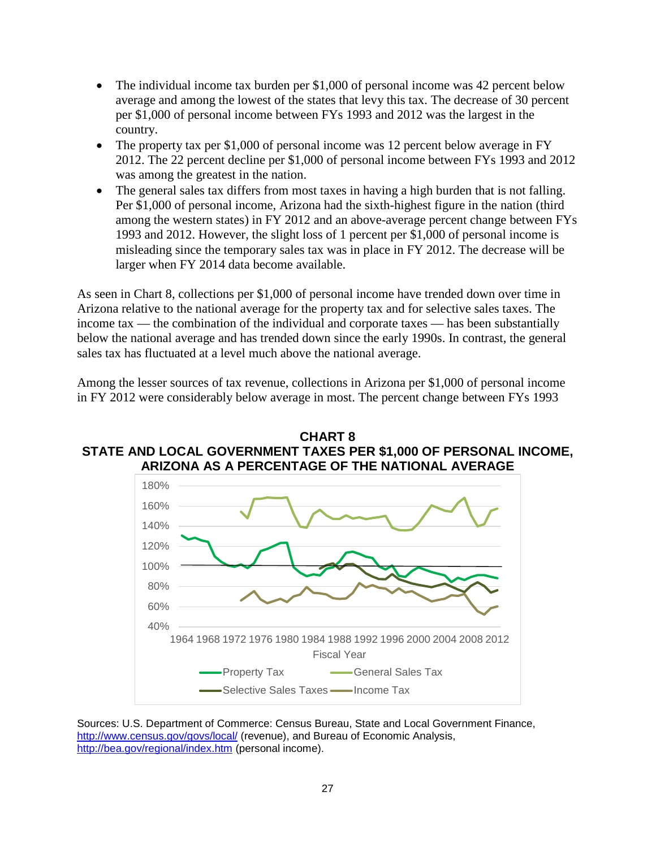- The individual income tax burden per \$1,000 of personal income was 42 percent below average and among the lowest of the states that levy this tax. The decrease of 30 percent per \$1,000 of personal income between FYs 1993 and 2012 was the largest in the country.
- The property tax per \$1,000 of personal income was 12 percent below average in FY 2012. The 22 percent decline per \$1,000 of personal income between FYs 1993 and 2012 was among the greatest in the nation.
- The general sales tax differs from most taxes in having a high burden that is not falling. Per \$1,000 of personal income, Arizona had the sixth-highest figure in the nation (third among the western states) in FY 2012 and an above-average percent change between FYs 1993 and 2012. However, the slight loss of 1 percent per \$1,000 of personal income is misleading since the temporary sales tax was in place in FY 2012. The decrease will be larger when FY 2014 data become available.

As seen in Chart 8, collections per \$1,000 of personal income have trended down over time in Arizona relative to the national average for the property tax and for selective sales taxes. The income tax — the combination of the individual and corporate taxes — has been substantially below the national average and has trended down since the early 1990s. In contrast, the general sales tax has fluctuated at a level much above the national average.

Among the lesser sources of tax revenue, collections in Arizona per \$1,000 of personal income in FY 2012 were considerably below average in most. The percent change between FYs 1993





Sources: U.S. Department of Commerce: Census Bureau, State and Local Government Finance, <http://www.census.gov/govs/local/> (revenue), and Bureau of Economic Analysis, <http://bea.gov/regional/index.htm> (personal income).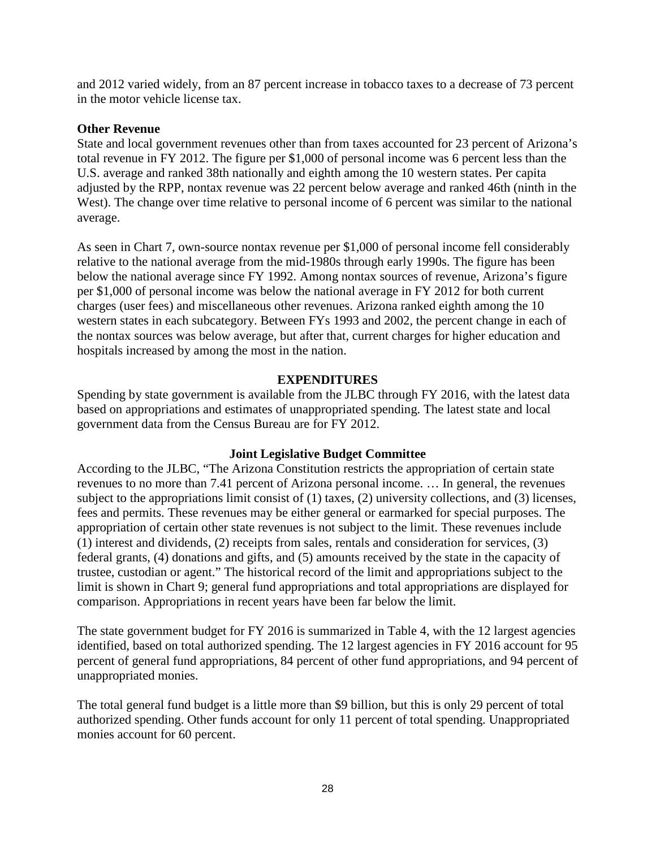and 2012 varied widely, from an 87 percent increase in tobacco taxes to a decrease of 73 percent in the motor vehicle license tax.

#### **Other Revenue**

State and local government revenues other than from taxes accounted for 23 percent of Arizona's total revenue in FY 2012. The figure per \$1,000 of personal income was 6 percent less than the U.S. average and ranked 38th nationally and eighth among the 10 western states. Per capita adjusted by the RPP, nontax revenue was 22 percent below average and ranked 46th (ninth in the West). The change over time relative to personal income of 6 percent was similar to the national average.

As seen in Chart 7, own-source nontax revenue per \$1,000 of personal income fell considerably relative to the national average from the mid-1980s through early 1990s. The figure has been below the national average since FY 1992. Among nontax sources of revenue, Arizona's figure per \$1,000 of personal income was below the national average in FY 2012 for both current charges (user fees) and miscellaneous other revenues. Arizona ranked eighth among the 10 western states in each subcategory. Between FYs 1993 and 2002, the percent change in each of the nontax sources was below average, but after that, current charges for higher education and hospitals increased by among the most in the nation.

#### **EXPENDITURES**

Spending by state government is available from the JLBC through FY 2016, with the latest data based on appropriations and estimates of unappropriated spending. The latest state and local government data from the Census Bureau are for FY 2012.

#### **Joint Legislative Budget Committee**

According to the JLBC, "The Arizona Constitution restricts the appropriation of certain state revenues to no more than 7.41 percent of Arizona personal income. … In general, the revenues subject to the appropriations limit consist of (1) taxes, (2) university collections, and (3) licenses, fees and permits. These revenues may be either general or earmarked for special purposes. The appropriation of certain other state revenues is not subject to the limit. These revenues include (1) interest and dividends, (2) receipts from sales, rentals and consideration for services, (3) federal grants, (4) donations and gifts, and (5) amounts received by the state in the capacity of trustee, custodian or agent." The historical record of the limit and appropriations subject to the limit is shown in Chart 9; general fund appropriations and total appropriations are displayed for comparison. Appropriations in recent years have been far below the limit.

The state government budget for FY 2016 is summarized in Table 4, with the 12 largest agencies identified, based on total authorized spending. The 12 largest agencies in FY 2016 account for 95 percent of general fund appropriations, 84 percent of other fund appropriations, and 94 percent of unappropriated monies.

The total general fund budget is a little more than \$9 billion, but this is only 29 percent of total authorized spending. Other funds account for only 11 percent of total spending. Unappropriated monies account for 60 percent.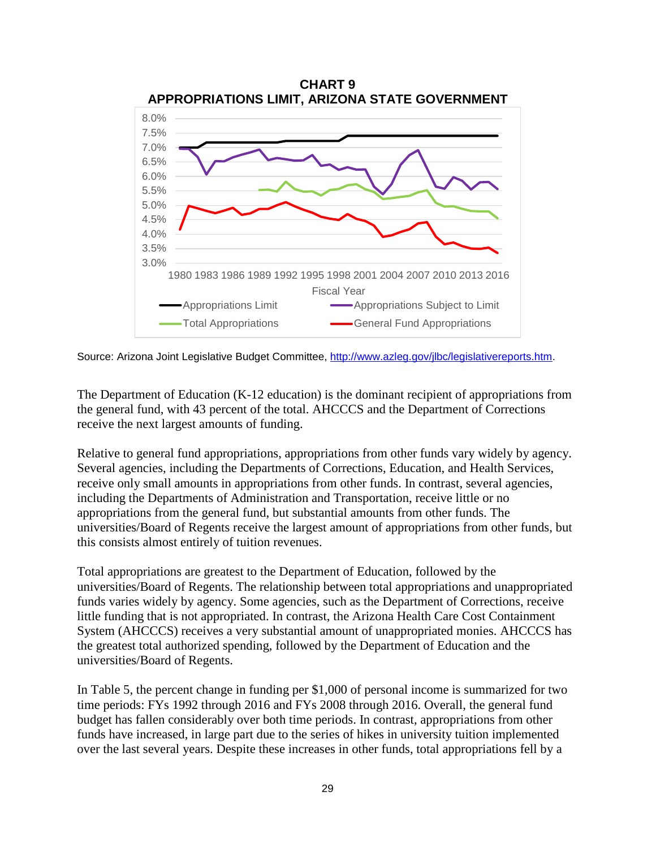

Source: Arizona Joint Legislative Budget Committee, [http://www.azleg.gov/jlbc/legislativereports.htm.](http://www.azleg.gov/jlbc/legislativereports.htm)

The Department of Education (K-12 education) is the dominant recipient of appropriations from the general fund, with 43 percent of the total. AHCCCS and the Department of Corrections receive the next largest amounts of funding.

Relative to general fund appropriations, appropriations from other funds vary widely by agency. Several agencies, including the Departments of Corrections, Education, and Health Services, receive only small amounts in appropriations from other funds. In contrast, several agencies, including the Departments of Administration and Transportation, receive little or no appropriations from the general fund, but substantial amounts from other funds. The universities/Board of Regents receive the largest amount of appropriations from other funds, but this consists almost entirely of tuition revenues.

Total appropriations are greatest to the Department of Education, followed by the universities/Board of Regents. The relationship between total appropriations and unappropriated funds varies widely by agency. Some agencies, such as the Department of Corrections, receive little funding that is not appropriated. In contrast, the Arizona Health Care Cost Containment System (AHCCCS) receives a very substantial amount of unappropriated monies. AHCCCS has the greatest total authorized spending, followed by the Department of Education and the universities/Board of Regents.

In Table 5, the percent change in funding per \$1,000 of personal income is summarized for two time periods: FYs 1992 through 2016 and FYs 2008 through 2016. Overall, the general fund budget has fallen considerably over both time periods. In contrast, appropriations from other funds have increased, in large part due to the series of hikes in university tuition implemented over the last several years. Despite these increases in other funds, total appropriations fell by a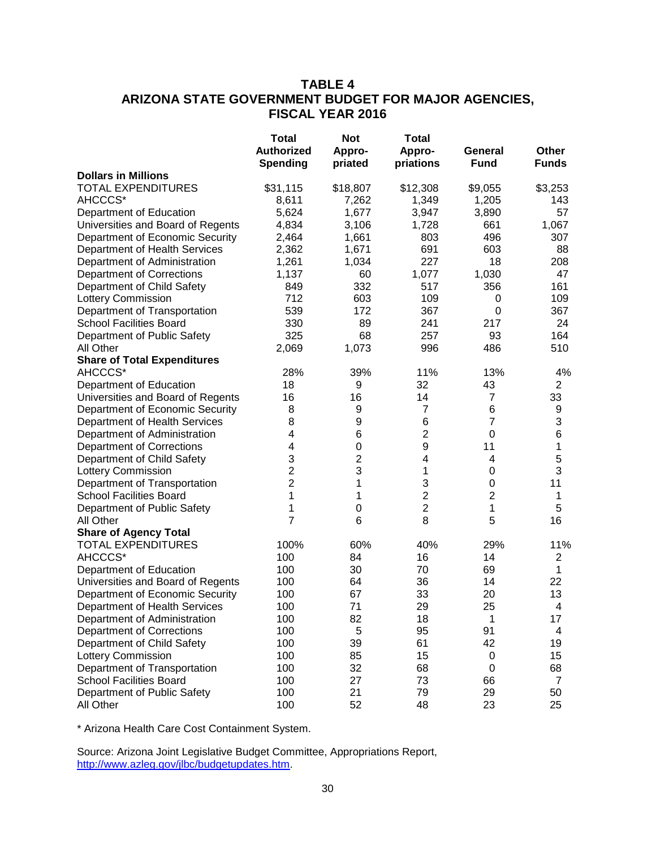# **TABLE 4 ARIZONA STATE GOVERNMENT BUDGET FOR MAJOR AGENCIES, FISCAL YEAR 2016**

|                                    | <b>Total</b><br><b>Authorized</b><br><b>Spending</b> | <b>Not</b><br>Appro-<br>priated | <b>Total</b><br>Appro-<br>priations | General<br><b>Fund</b>  | Other<br><b>Funds</b> |
|------------------------------------|------------------------------------------------------|---------------------------------|-------------------------------------|-------------------------|-----------------------|
| <b>Dollars in Millions</b>         |                                                      |                                 |                                     |                         |                       |
| <b>TOTAL EXPENDITURES</b>          | \$31,115                                             | \$18,807                        | \$12,308                            | \$9,055                 | \$3,253               |
| AHCCCS*                            | 8,611                                                | 7,262                           | 1,349                               | 1,205                   | 143                   |
| Department of Education            | 5,624                                                | 1,677                           | 3,947                               | 3,890                   | 57                    |
| Universities and Board of Regents  | 4,834                                                | 3,106                           | 1,728                               | 661                     | 1,067                 |
| Department of Economic Security    | 2,464                                                | 1,661                           | 803                                 | 496                     | 307                   |
| Department of Health Services      | 2,362                                                | 1,671                           | 691                                 | 603                     | 88                    |
| Department of Administration       | 1,261                                                | 1,034                           | 227                                 | 18                      | 208                   |
| <b>Department of Corrections</b>   | 1,137                                                | 60                              | 1,077                               | 1,030                   | 47                    |
| Department of Child Safety         | 849                                                  | 332                             | 517                                 | 356                     | 161                   |
| <b>Lottery Commission</b>          | 712                                                  | 603                             | 109                                 | 0                       | 109                   |
| Department of Transportation       | 539                                                  | 172                             | 367                                 | 0                       | 367                   |
| <b>School Facilities Board</b>     | 330                                                  | 89                              | 241                                 | 217                     | 24                    |
| Department of Public Safety        | 325                                                  | 68                              | 257                                 | 93                      | 164                   |
| All Other                          | 2,069                                                | 1,073                           | 996                                 | 486                     | 510                   |
| <b>Share of Total Expenditures</b> |                                                      |                                 |                                     |                         |                       |
| AHCCCS*                            | 28%                                                  | 39%                             | 11%                                 | 13%                     | 4%                    |
| Department of Education            | 18                                                   | 9                               | 32                                  | 43                      | $\overline{2}$        |
| Universities and Board of Regents  | 16                                                   | 16                              | 14                                  | 7                       | 33                    |
| Department of Economic Security    | 8                                                    | 9                               | 7                                   | 6                       | 9                     |
| Department of Health Services      | 8                                                    | 9                               | 6                                   | $\overline{7}$          | $\sqrt{3}$            |
| Department of Administration       | 4                                                    | 6                               | $\overline{2}$                      | 0                       | 6                     |
| <b>Department of Corrections</b>   | 4                                                    | 0                               | $\boldsymbol{9}$                    | 11                      | 1                     |
| Department of Child Safety         | 3                                                    | $\overline{\mathbf{c}}$         | 4                                   | 4                       | 5                     |
| <b>Lottery Commission</b>          | 2                                                    | 3                               | 1                                   | 0                       | 3                     |
| Department of Transportation       | 2                                                    | 1                               | 3                                   | $\mathbf 0$             | 11                    |
| <b>School Facilities Board</b>     | 1                                                    | 1                               | $\overline{\mathbf{c}}$             | $\overline{\mathbf{c}}$ | 1                     |
| Department of Public Safety        | 1                                                    | 0                               | $\overline{\mathbf{c}}$             | 1                       | 5                     |
| All Other                          | 7                                                    | 6                               | 8                                   | 5                       | 16                    |
| <b>Share of Agency Total</b>       |                                                      |                                 |                                     |                         |                       |
| <b>TOTAL EXPENDITURES</b>          | 100%                                                 | 60%                             | 40%                                 | 29%                     | 11%                   |
| AHCCCS*                            | 100                                                  | 84                              | 16                                  | 14                      | $\overline{2}$        |
| Department of Education            | 100                                                  | 30                              | 70                                  | 69                      | $\mathbf{1}$          |
| Universities and Board of Regents  | 100                                                  | 64                              | 36                                  | 14                      | 22                    |
| Department of Economic Security    | 100                                                  | 67                              | 33                                  | 20                      | 13                    |
| Department of Health Services      | 100                                                  | 71                              | 29                                  | 25                      | 4                     |
| Department of Administration       | 100                                                  | 82                              | 18                                  | 1                       | 17                    |
| <b>Department of Corrections</b>   | 100                                                  | 5                               | 95                                  | 91                      | 4                     |
| Department of Child Safety         | 100                                                  | 39                              | 61                                  | 42                      | 19                    |
| <b>Lottery Commission</b>          | 100                                                  | 85                              | 15                                  | 0                       | 15                    |
| Department of Transportation       | 100                                                  | 32                              | 68                                  | 0                       | 68                    |
| <b>School Facilities Board</b>     | 100                                                  | 27                              | 73                                  | 66                      | 7                     |
| Department of Public Safety        | 100                                                  | 21                              | 79                                  | 29                      | 50                    |
| All Other                          | 100                                                  | 52                              | 48                                  | 23                      | 25                    |

\* Arizona Health Care Cost Containment System.

Source: Arizona Joint Legislative Budget Committee, Appropriations Report, [http://www.azleg.gov/jlbc/budgetupdates.htm.](http://www.azleg.gov/jlbc/budgetupdates.htm)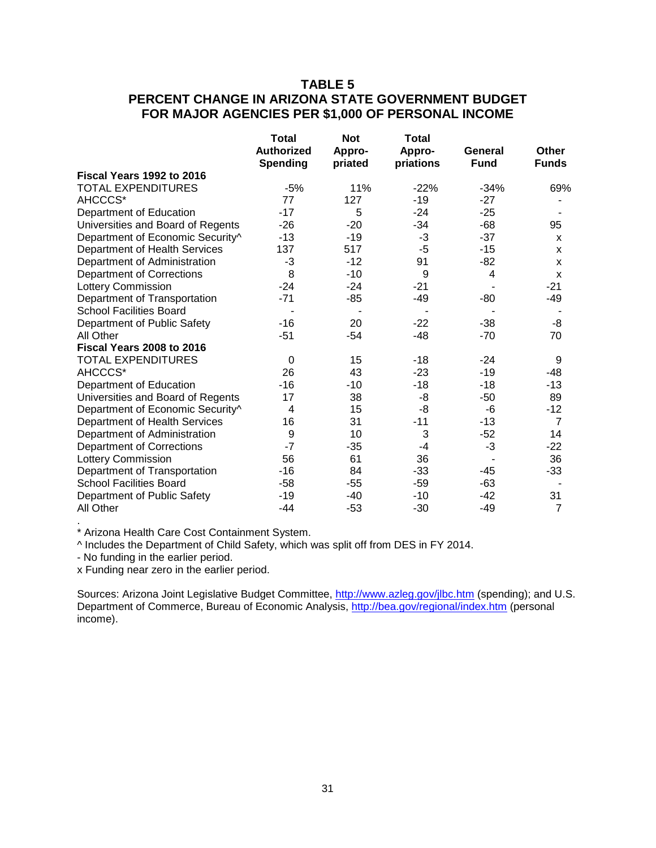# **TABLE 5 PERCENT CHANGE IN ARIZONA STATE GOVERNMENT BUDGET FOR MAJOR AGENCIES PER \$1,000 OF PERSONAL INCOME**

|                                   | <b>Total</b>                         | <b>Not</b>        | <b>Total</b>        |                        |                       |
|-----------------------------------|--------------------------------------|-------------------|---------------------|------------------------|-----------------------|
|                                   | <b>Authorized</b><br><b>Spending</b> | Appro-<br>priated | Appro-<br>priations | General<br><b>Fund</b> | Other<br><b>Funds</b> |
| Fiscal Years 1992 to 2016         |                                      |                   |                     |                        |                       |
| <b>TOTAL EXPENDITURES</b>         | $-5%$                                | 11%               | $-22%$              | $-34%$                 | 69%                   |
| AHCCCS*                           | 77                                   | 127               | $-19$               | $-27$                  |                       |
| Department of Education           | $-17$                                | 5                 | $-24$               | $-25$                  |                       |
| Universities and Board of Regents | $-26$                                | $-20$             | $-34$               | $-68$                  | 95                    |
| Department of Economic Security^  | $-13$                                | $-19$             | $-3$                | $-37$                  | X                     |
| Department of Health Services     | 137                                  | 517               | $-5$                | $-15$                  | X                     |
| Department of Administration      | -3                                   | $-12$             | 91                  | $-82$                  | X                     |
| <b>Department of Corrections</b>  | 8                                    | $-10$             | 9                   | 4                      | $\mathsf{x}$          |
| <b>Lottery Commission</b>         | $-24$                                | $-24$             | $-21$               |                        | $-21$                 |
| Department of Transportation      | $-71$                                | $-85$             | $-49$               | -80                    | $-49$                 |
| <b>School Facilities Board</b>    |                                      |                   |                     |                        |                       |
| Department of Public Safety       | $-16$                                | 20                | $-22$               | $-38$                  | -8                    |
| All Other                         | $-51$                                | $-54$             | $-48$               | $-70$                  | 70                    |
| Fiscal Years 2008 to 2016         |                                      |                   |                     |                        |                       |
| TOTAL EXPENDITURES                | $\Omega$                             | 15                | $-18$               | $-24$                  | 9                     |
| AHCCCS*                           | 26                                   | 43                | $-23$               | -19                    | -48                   |
| Department of Education           | $-16$                                | $-10$             | $-18$               | $-18$                  | $-13$                 |
| Universities and Board of Regents | 17                                   | 38                | -8                  | $-50$                  | 89                    |
| Department of Economic Security^  | 4                                    | 15                | -8                  | $-6$                   | $-12$                 |
| Department of Health Services     | 16                                   | 31                | $-11$               | $-13$                  | $\overline{7}$        |
| Department of Administration      | 9                                    | 10                | 3                   | $-52$                  | 14                    |
| <b>Department of Corrections</b>  | $-7$                                 | $-35$             | $-4$                | $-3$                   | $-22$                 |
| Lottery Commission                | 56                                   | 61                | 36                  |                        | 36                    |
| Department of Transportation      | $-16$                                | 84                | $-33$               | -45                    | $-33$                 |
| <b>School Facilities Board</b>    | $-58$                                | $-55$             | $-59$               | $-63$                  |                       |
| Department of Public Safety       | $-19$                                | $-40$             | $-10$               | -42                    | 31                    |
| All Other                         | $-44$                                | $-53$             | $-30$               | $-49$                  | $\overline{7}$        |

. \* Arizona Health Care Cost Containment System.

^ Includes the Department of Child Safety, which was split off from DES in FY 2014.

- No funding in the earlier period.

x Funding near zero in the earlier period.

Sources: Arizona Joint Legislative Budget Committee, <http://www.azleg.gov/jlbc.htm> (spending); and U.S. Department of Commerce, Bureau of Economic Analysis, <http://bea.gov/regional/index.htm> (personal income).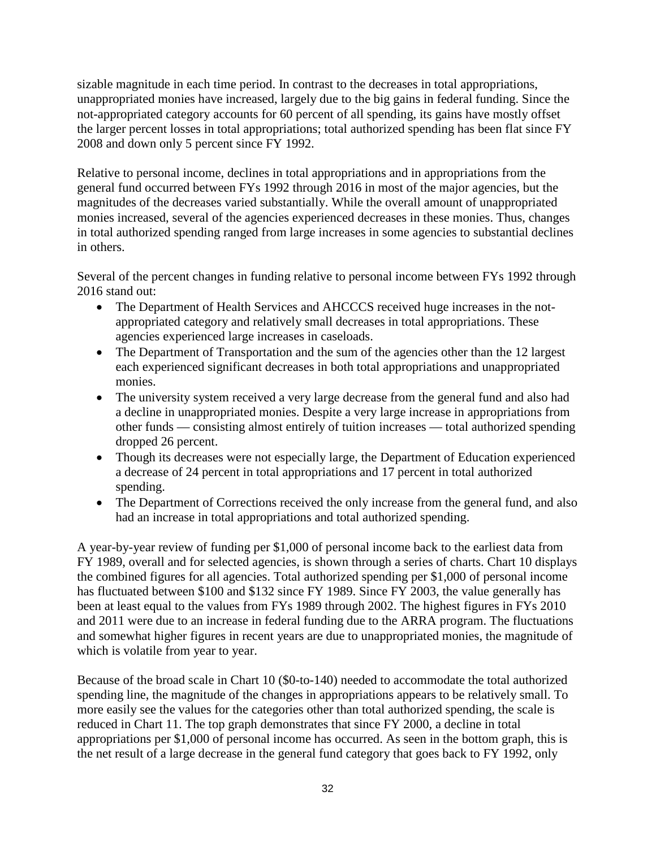sizable magnitude in each time period. In contrast to the decreases in total appropriations, unappropriated monies have increased, largely due to the big gains in federal funding. Since the not-appropriated category accounts for 60 percent of all spending, its gains have mostly offset the larger percent losses in total appropriations; total authorized spending has been flat since FY 2008 and down only 5 percent since FY 1992.

Relative to personal income, declines in total appropriations and in appropriations from the general fund occurred between FYs 1992 through 2016 in most of the major agencies, but the magnitudes of the decreases varied substantially. While the overall amount of unappropriated monies increased, several of the agencies experienced decreases in these monies. Thus, changes in total authorized spending ranged from large increases in some agencies to substantial declines in others.

Several of the percent changes in funding relative to personal income between FYs 1992 through 2016 stand out:

- The Department of Health Services and AHCCCS received huge increases in the notappropriated category and relatively small decreases in total appropriations. These agencies experienced large increases in caseloads.
- The Department of Transportation and the sum of the agencies other than the 12 largest each experienced significant decreases in both total appropriations and unappropriated monies.
- The university system received a very large decrease from the general fund and also had a decline in unappropriated monies. Despite a very large increase in appropriations from other funds — consisting almost entirely of tuition increases — total authorized spending dropped 26 percent.
- Though its decreases were not especially large, the Department of Education experienced a decrease of 24 percent in total appropriations and 17 percent in total authorized spending.
- The Department of Corrections received the only increase from the general fund, and also had an increase in total appropriations and total authorized spending.

A year-by-year review of funding per \$1,000 of personal income back to the earliest data from FY 1989, overall and for selected agencies, is shown through a series of charts. Chart 10 displays the combined figures for all agencies. Total authorized spending per \$1,000 of personal income has fluctuated between \$100 and \$132 since FY 1989. Since FY 2003, the value generally has been at least equal to the values from FYs 1989 through 2002. The highest figures in FYs 2010 and 2011 were due to an increase in federal funding due to the ARRA program. The fluctuations and somewhat higher figures in recent years are due to unappropriated monies, the magnitude of which is volatile from year to year.

Because of the broad scale in Chart 10 (\$0-to-140) needed to accommodate the total authorized spending line, the magnitude of the changes in appropriations appears to be relatively small. To more easily see the values for the categories other than total authorized spending, the scale is reduced in Chart 11. The top graph demonstrates that since FY 2000, a decline in total appropriations per \$1,000 of personal income has occurred. As seen in the bottom graph, this is the net result of a large decrease in the general fund category that goes back to FY 1992, only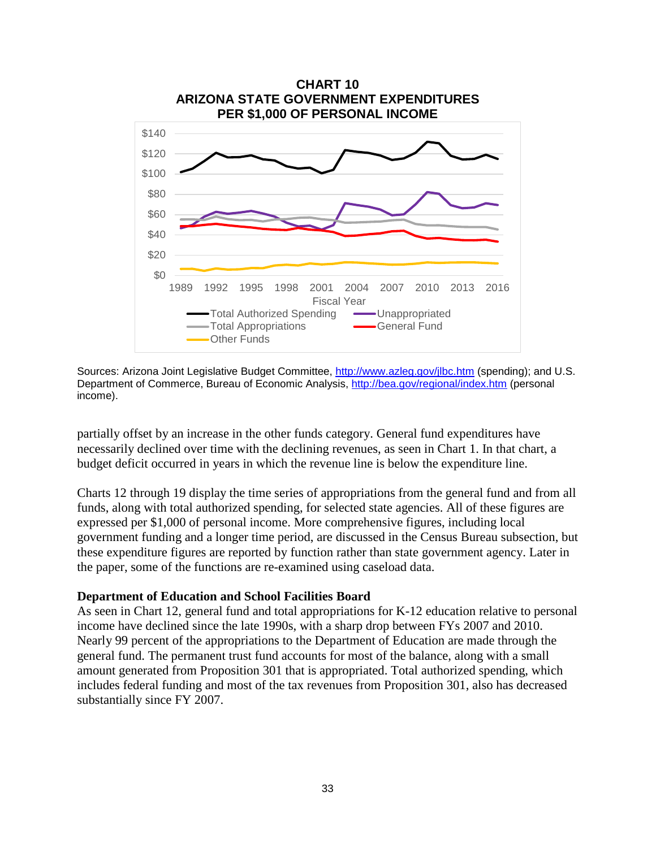

Sources: Arizona Joint Legislative Budget Committee, <http://www.azleg.gov/jlbc.htm> (spending); and U.S. Department of Commerce, Bureau of Economic Analysis, <http://bea.gov/regional/index.htm> (personal income).

partially offset by an increase in the other funds category. General fund expenditures have necessarily declined over time with the declining revenues, as seen in Chart 1. In that chart, a budget deficit occurred in years in which the revenue line is below the expenditure line.

Charts 12 through 19 display the time series of appropriations from the general fund and from all funds, along with total authorized spending, for selected state agencies. All of these figures are expressed per \$1,000 of personal income. More comprehensive figures, including local government funding and a longer time period, are discussed in the Census Bureau subsection, but these expenditure figures are reported by function rather than state government agency. Later in the paper, some of the functions are re-examined using caseload data.

#### **Department of Education and School Facilities Board**

As seen in Chart 12, general fund and total appropriations for K-12 education relative to personal income have declined since the late 1990s, with a sharp drop between FYs 2007 and 2010. Nearly 99 percent of the appropriations to the Department of Education are made through the general fund. The permanent trust fund accounts for most of the balance, along with a small amount generated from Proposition 301 that is appropriated. Total authorized spending, which includes federal funding and most of the tax revenues from Proposition 301, also has decreased substantially since FY 2007.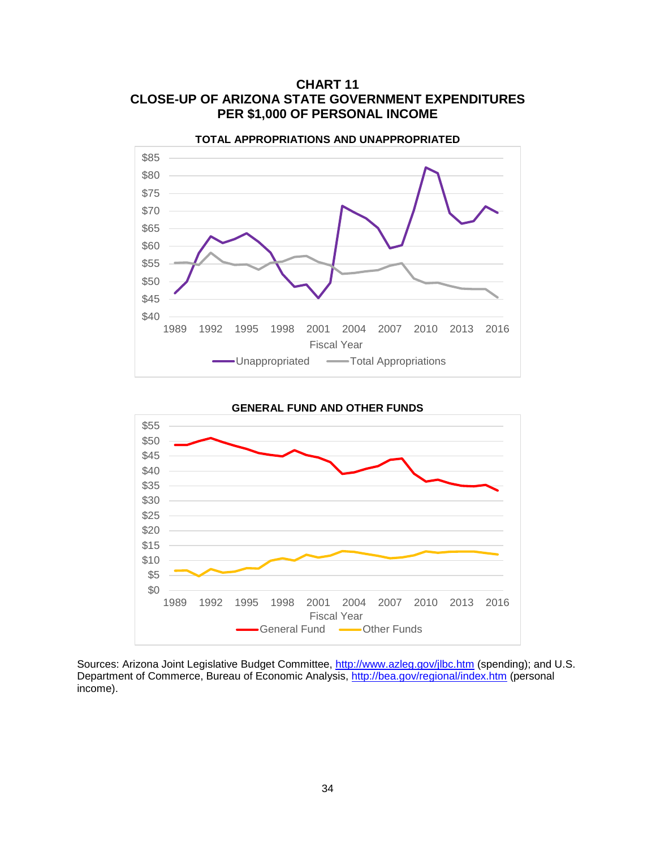



\$0 \$5 \$10 \$15 \$20 \$25 \$30 \$35 \$40 \$45 \$50 \$55 1989 1992 1995 1998 2001 2004 2007 2010 2013 2016 Fiscal Year General Fund -Other Funds

**GENERAL FUND AND OTHER FUNDS**

Sources: Arizona Joint Legislative Budget Committee, <http://www.azleg.gov/jlbc.htm> (spending); and U.S. Department of Commerce, Bureau of Economic Analysis, <http://bea.gov/regional/index.htm> (personal income).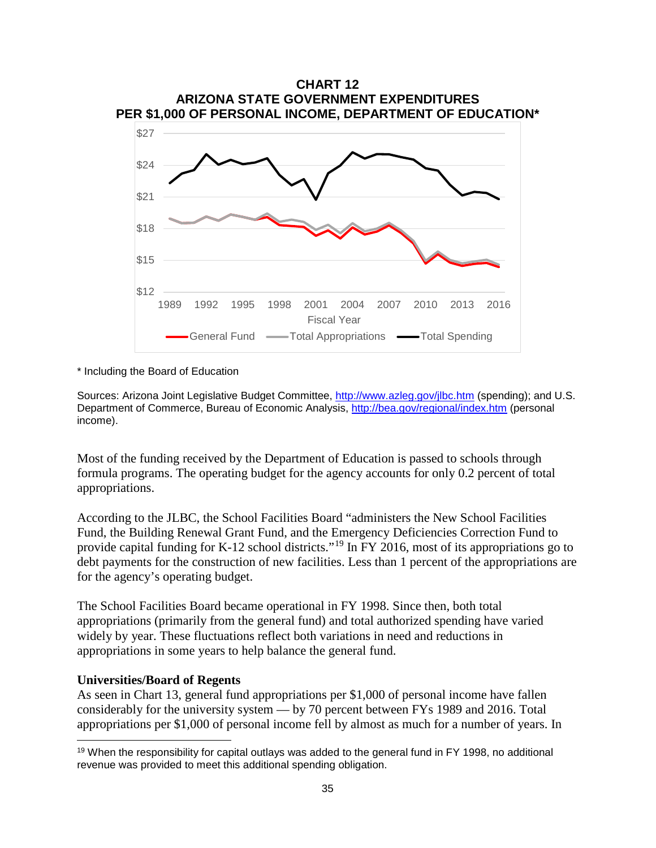

\* Including the Board of Education

Sources: Arizona Joint Legislative Budget Committee, http://www.azleg.gov/ilbc.htm (spending); and U.S. Department of Commerce, Bureau of Economic Analysis, <http://bea.gov/regional/index.htm> (personal income).

Most of the funding received by the Department of Education is passed to schools through formula programs. The operating budget for the agency accounts for only 0.2 percent of total appropriations.

According to the JLBC, the School Facilities Board "administers the New School Facilities Fund, the Building Renewal Grant Fund, and the Emergency Deficiencies Correction Fund to provide capital funding for K-12 school districts."[19](#page-37-0) In FY 2016, most of its appropriations go to debt payments for the construction of new facilities. Less than 1 percent of the appropriations are for the agency's operating budget.

The School Facilities Board became operational in FY 1998. Since then, both total appropriations (primarily from the general fund) and total authorized spending have varied widely by year. These fluctuations reflect both variations in need and reductions in appropriations in some years to help balance the general fund.

#### **Universities/Board of Regents**

l

As seen in Chart 13, general fund appropriations per \$1,000 of personal income have fallen considerably for the university system — by 70 percent between FYs 1989 and 2016. Total appropriations per \$1,000 of personal income fell by almost as much for a number of years. In

<span id="page-37-0"></span> $19$  When the responsibility for capital outlays was added to the general fund in FY 1998, no additional revenue was provided to meet this additional spending obligation.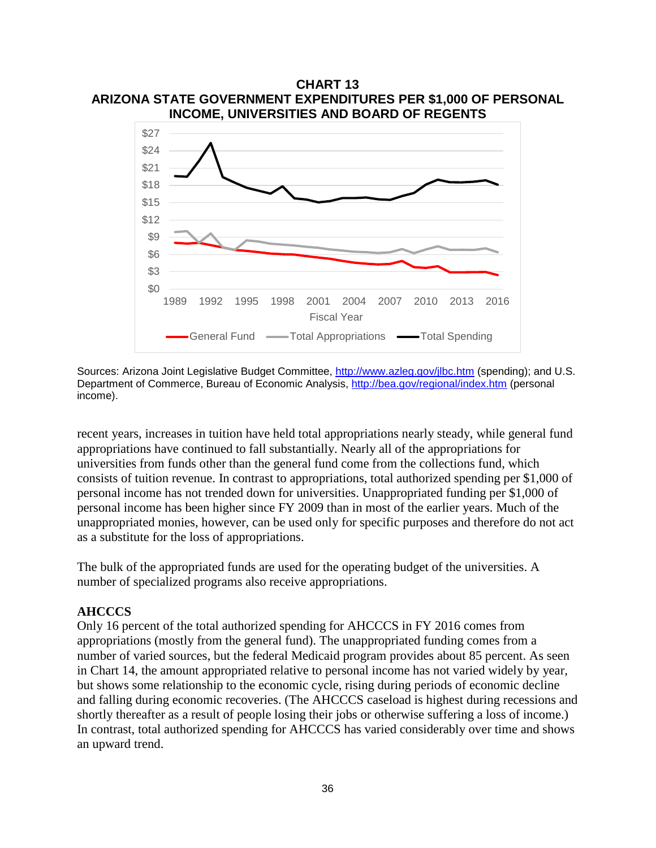

Sources: Arizona Joint Legislative Budget Committee, <http://www.azleg.gov/jlbc.htm> (spending); and U.S. Department of Commerce, Bureau of Economic Analysis, <http://bea.gov/regional/index.htm> (personal income).

recent years, increases in tuition have held total appropriations nearly steady, while general fund appropriations have continued to fall substantially. Nearly all of the appropriations for universities from funds other than the general fund come from the collections fund, which consists of tuition revenue. In contrast to appropriations, total authorized spending per \$1,000 of personal income has not trended down for universities. Unappropriated funding per \$1,000 of personal income has been higher since FY 2009 than in most of the earlier years. Much of the unappropriated monies, however, can be used only for specific purposes and therefore do not act as a substitute for the loss of appropriations.

The bulk of the appropriated funds are used for the operating budget of the universities. A number of specialized programs also receive appropriations.

#### **AHCCCS**

Only 16 percent of the total authorized spending for AHCCCS in FY 2016 comes from appropriations (mostly from the general fund). The unappropriated funding comes from a number of varied sources, but the federal Medicaid program provides about 85 percent. As seen in Chart 14, the amount appropriated relative to personal income has not varied widely by year, but shows some relationship to the economic cycle, rising during periods of economic decline and falling during economic recoveries. (The AHCCCS caseload is highest during recessions and shortly thereafter as a result of people losing their jobs or otherwise suffering a loss of income.) In contrast, total authorized spending for AHCCCS has varied considerably over time and shows an upward trend.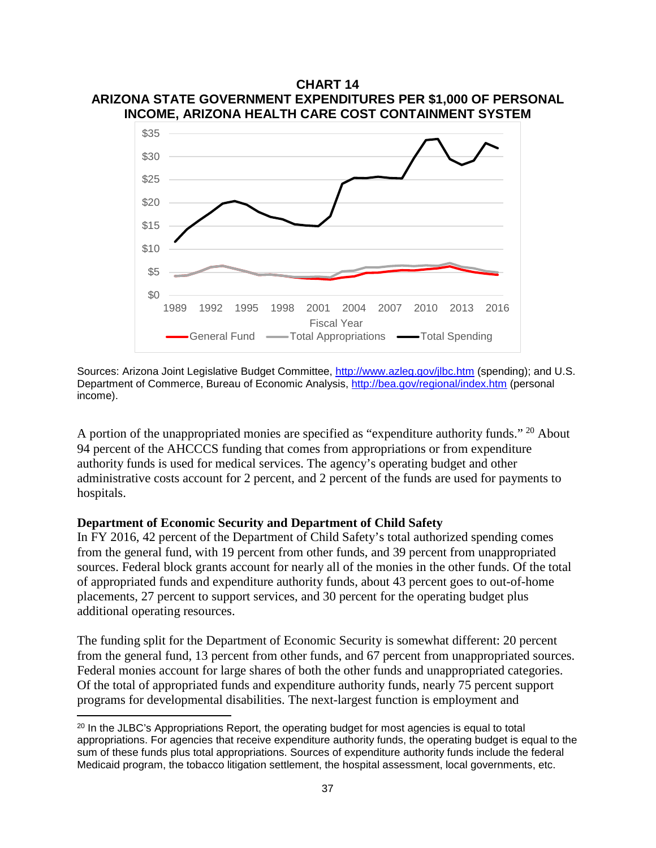

Sources: Arizona Joint Legislative Budget Committee, <http://www.azleg.gov/jlbc.htm> (spending); and U.S. Department of Commerce, Bureau of Economic Analysis, <http://bea.gov/regional/index.htm> (personal income).

A portion of the unappropriated monies are specified as "expenditure authority funds." <sup>[20](#page-39-0)</sup> About 94 percent of the AHCCCS funding that comes from appropriations or from expenditure authority funds is used for medical services. The agency's operating budget and other administrative costs account for 2 percent, and 2 percent of the funds are used for payments to hospitals.

#### **Department of Economic Security and Department of Child Safety**

l

In FY 2016, 42 percent of the Department of Child Safety's total authorized spending comes from the general fund, with 19 percent from other funds, and 39 percent from unappropriated sources. Federal block grants account for nearly all of the monies in the other funds. Of the total of appropriated funds and expenditure authority funds, about 43 percent goes to out-of-home placements, 27 percent to support services, and 30 percent for the operating budget plus additional operating resources.

The funding split for the Department of Economic Security is somewhat different: 20 percent from the general fund, 13 percent from other funds, and 67 percent from unappropriated sources. Federal monies account for large shares of both the other funds and unappropriated categories. Of the total of appropriated funds and expenditure authority funds, nearly 75 percent support programs for developmental disabilities. The next-largest function is employment and

<span id="page-39-0"></span><sup>&</sup>lt;sup>20</sup> In the JLBC's Appropriations Report, the operating budget for most agencies is equal to total appropriations. For agencies that receive expenditure authority funds, the operating budget is equal to the sum of these funds plus total appropriations. Sources of expenditure authority funds include the federal Medicaid program, the tobacco litigation settlement, the hospital assessment, local governments, etc.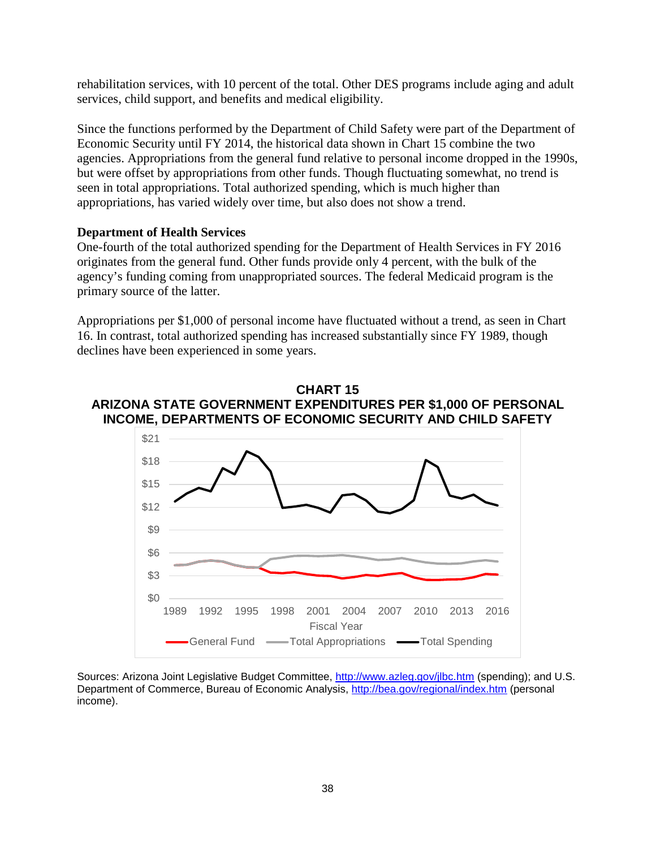rehabilitation services, with 10 percent of the total. Other DES programs include aging and adult services, child support, and benefits and medical eligibility.

Since the functions performed by the Department of Child Safety were part of the Department of Economic Security until FY 2014, the historical data shown in Chart 15 combine the two agencies. Appropriations from the general fund relative to personal income dropped in the 1990s, but were offset by appropriations from other funds. Though fluctuating somewhat, no trend is seen in total appropriations. Total authorized spending, which is much higher than appropriations, has varied widely over time, but also does not show a trend.

## **Department of Health Services**

One-fourth of the total authorized spending for the Department of Health Services in FY 2016 originates from the general fund. Other funds provide only 4 percent, with the bulk of the agency's funding coming from unappropriated sources. The federal Medicaid program is the primary source of the latter.

Appropriations per \$1,000 of personal income have fluctuated without a trend, as seen in Chart 16. In contrast, total authorized spending has increased substantially since FY 1989, though declines have been experienced in some years.

### **CHART 15 ARIZONA STATE GOVERNMENT EXPENDITURES PER \$1,000 OF PERSONAL INCOME, DEPARTMENTS OF ECONOMIC SECURITY AND CHILD SAFETY**



Sources: Arizona Joint Legislative Budget Committee,<http://www.azleg.gov/jlbc.htm> (spending); and U.S. Department of Commerce, Bureau of Economic Analysis,<http://bea.gov/regional/index.htm> (personal income).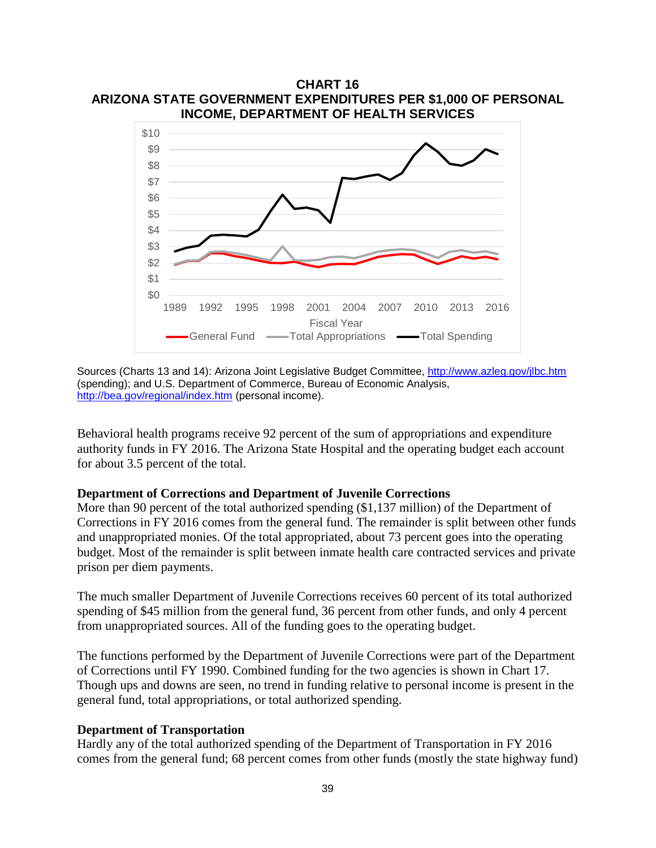

**CHART 16 ARIZONA STATE GOVERNMENT EXPENDITURES PER \$1,000 OF PERSONAL** 

Sources (Charts 13 and 14): Arizona Joint Legislative Budget Committee, <http://www.azleg.gov/jlbc.htm> (spending); and U.S. Department of Commerce, Bureau of Economic Analysis, <http://bea.gov/regional/index.htm> (personal income).

Behavioral health programs receive 92 percent of the sum of appropriations and expenditure authority funds in FY 2016. The Arizona State Hospital and the operating budget each account for about 3.5 percent of the total.

#### **Department of Corrections and Department of Juvenile Corrections**

More than 90 percent of the total authorized spending (\$1,137 million) of the Department of Corrections in FY 2016 comes from the general fund. The remainder is split between other funds and unappropriated monies. Of the total appropriated, about 73 percent goes into the operating budget. Most of the remainder is split between inmate health care contracted services and private prison per diem payments.

The much smaller Department of Juvenile Corrections receives 60 percent of its total authorized spending of \$45 million from the general fund, 36 percent from other funds, and only 4 percent from unappropriated sources. All of the funding goes to the operating budget.

The functions performed by the Department of Juvenile Corrections were part of the Department of Corrections until FY 1990. Combined funding for the two agencies is shown in Chart 17. Though ups and downs are seen, no trend in funding relative to personal income is present in the general fund, total appropriations, or total authorized spending.

#### **Department of Transportation**

Hardly any of the total authorized spending of the Department of Transportation in FY 2016 comes from the general fund; 68 percent comes from other funds (mostly the state highway fund)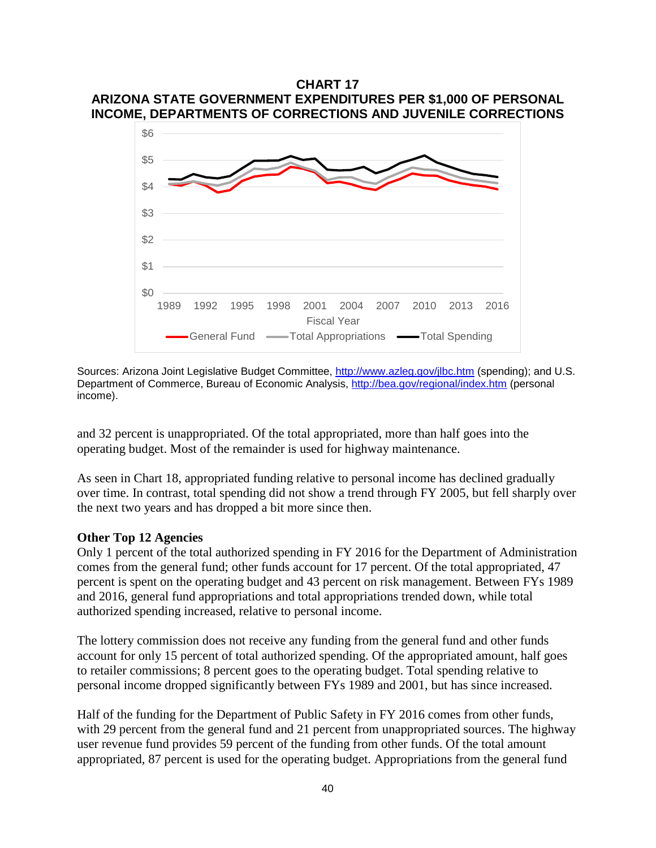### **CHART 17 ARIZONA STATE GOVERNMENT EXPENDITURES PER \$1,000 OF PERSONAL INCOME, DEPARTMENTS OF CORRECTIONS AND JUVENILE CORRECTIONS**



Sources: Arizona Joint Legislative Budget Committee,<http://www.azleg.gov/jlbc.htm> (spending); and U.S. Department of Commerce, Bureau of Economic Analysis,<http://bea.gov/regional/index.htm> (personal income).

and 32 percent is unappropriated. Of the total appropriated, more than half goes into the operating budget. Most of the remainder is used for highway maintenance.

As seen in Chart 18, appropriated funding relative to personal income has declined gradually over time. In contrast, total spending did not show a trend through FY 2005, but fell sharply over the next two years and has dropped a bit more since then.

#### **Other Top 12 Agencies**

Only 1 percent of the total authorized spending in FY 2016 for the Department of Administration comes from the general fund; other funds account for 17 percent. Of the total appropriated, 47 percent is spent on the operating budget and 43 percent on risk management. Between FYs 1989 and 2016, general fund appropriations and total appropriations trended down, while total authorized spending increased, relative to personal income.

The lottery commission does not receive any funding from the general fund and other funds account for only 15 percent of total authorized spending. Of the appropriated amount, half goes to retailer commissions; 8 percent goes to the operating budget. Total spending relative to personal income dropped significantly between FYs 1989 and 2001, but has since increased.

Half of the funding for the Department of Public Safety in FY 2016 comes from other funds, with 29 percent from the general fund and 21 percent from unappropriated sources. The highway user revenue fund provides 59 percent of the funding from other funds. Of the total amount appropriated, 87 percent is used for the operating budget. Appropriations from the general fund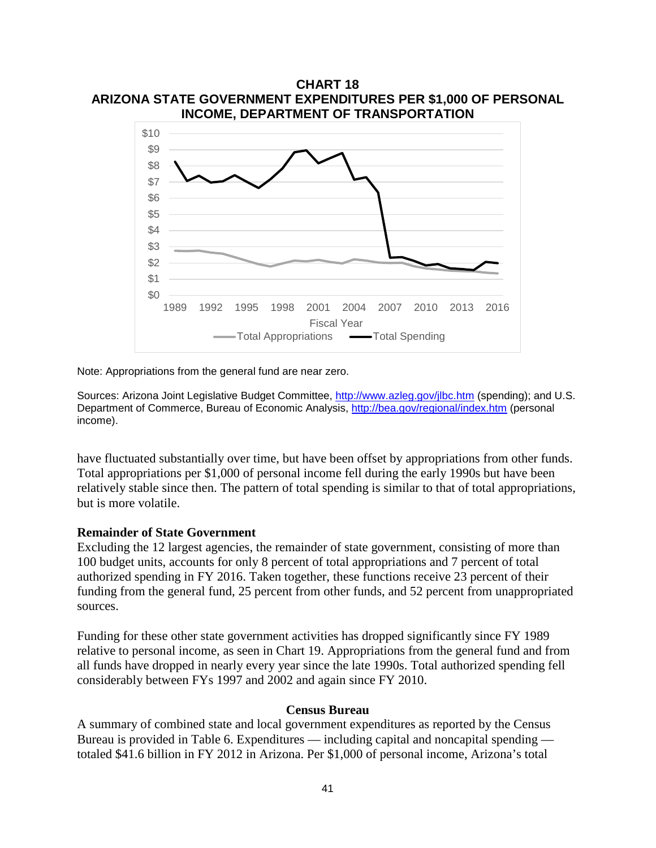

Note: Appropriations from the general fund are near zero.

Sources: Arizona Joint Legislative Budget Committee, http://www.azleg.gov/ilbc.htm (spending); and U.S. Department of Commerce, Bureau of Economic Analysis, <http://bea.gov/regional/index.htm> (personal income).

have fluctuated substantially over time, but have been offset by appropriations from other funds. Total appropriations per \$1,000 of personal income fell during the early 1990s but have been relatively stable since then. The pattern of total spending is similar to that of total appropriations, but is more volatile.

#### **Remainder of State Government**

Excluding the 12 largest agencies, the remainder of state government, consisting of more than 100 budget units, accounts for only 8 percent of total appropriations and 7 percent of total authorized spending in FY 2016. Taken together, these functions receive 23 percent of their funding from the general fund, 25 percent from other funds, and 52 percent from unappropriated sources.

Funding for these other state government activities has dropped significantly since FY 1989 relative to personal income, as seen in Chart 19. Appropriations from the general fund and from all funds have dropped in nearly every year since the late 1990s. Total authorized spending fell considerably between FYs 1997 and 2002 and again since FY 2010.

#### **Census Bureau**

A summary of combined state and local government expenditures as reported by the Census Bureau is provided in Table 6. Expenditures — including capital and noncapital spending totaled \$41.6 billion in FY 2012 in Arizona. Per \$1,000 of personal income, Arizona's total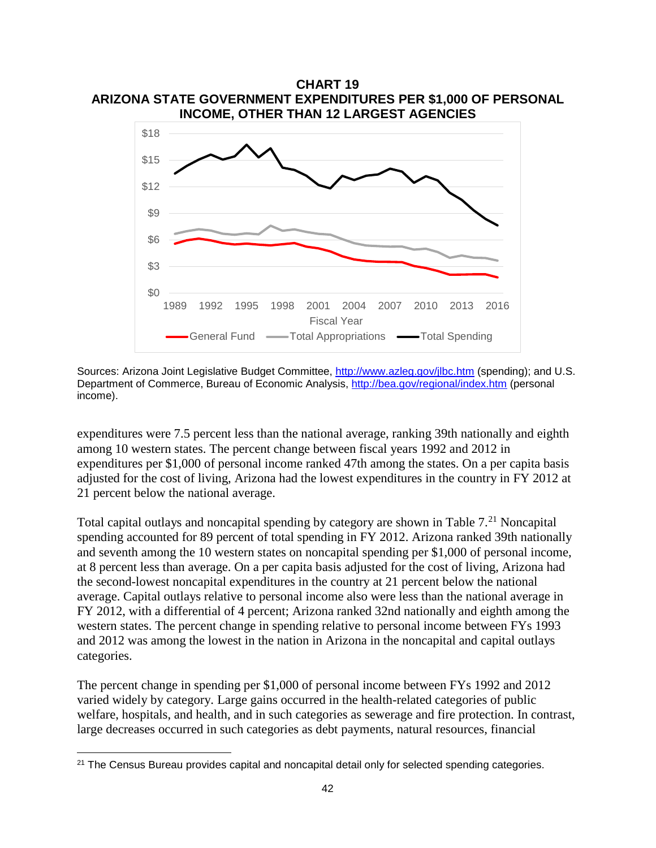

Sources: Arizona Joint Legislative Budget Committee, <http://www.azleg.gov/jlbc.htm> (spending); and U.S. Department of Commerce, Bureau of Economic Analysis, <http://bea.gov/regional/index.htm> (personal income).

expenditures were 7.5 percent less than the national average, ranking 39th nationally and eighth among 10 western states. The percent change between fiscal years 1992 and 2012 in expenditures per \$1,000 of personal income ranked 47th among the states. On a per capita basis adjusted for the cost of living, Arizona had the lowest expenditures in the country in FY 2012 at 21 percent below the national average.

Total capital outlays and noncapital spending by category are shown in Table  $7<sup>21</sup>$  $7<sup>21</sup>$  $7<sup>21</sup>$  Noncapital spending accounted for 89 percent of total spending in FY 2012. Arizona ranked 39th nationally and seventh among the 10 western states on noncapital spending per \$1,000 of personal income, at 8 percent less than average. On a per capita basis adjusted for the cost of living, Arizona had the second-lowest noncapital expenditures in the country at 21 percent below the national average. Capital outlays relative to personal income also were less than the national average in FY 2012, with a differential of 4 percent; Arizona ranked 32nd nationally and eighth among the western states. The percent change in spending relative to personal income between FYs 1993 and 2012 was among the lowest in the nation in Arizona in the noncapital and capital outlays categories.

The percent change in spending per \$1,000 of personal income between FYs 1992 and 2012 varied widely by category. Large gains occurred in the health-related categories of public welfare, hospitals, and health, and in such categories as sewerage and fire protection. In contrast, large decreases occurred in such categories as debt payments, natural resources, financial

l

<span id="page-44-0"></span><sup>&</sup>lt;sup>21</sup> The Census Bureau provides capital and noncapital detail only for selected spending categories.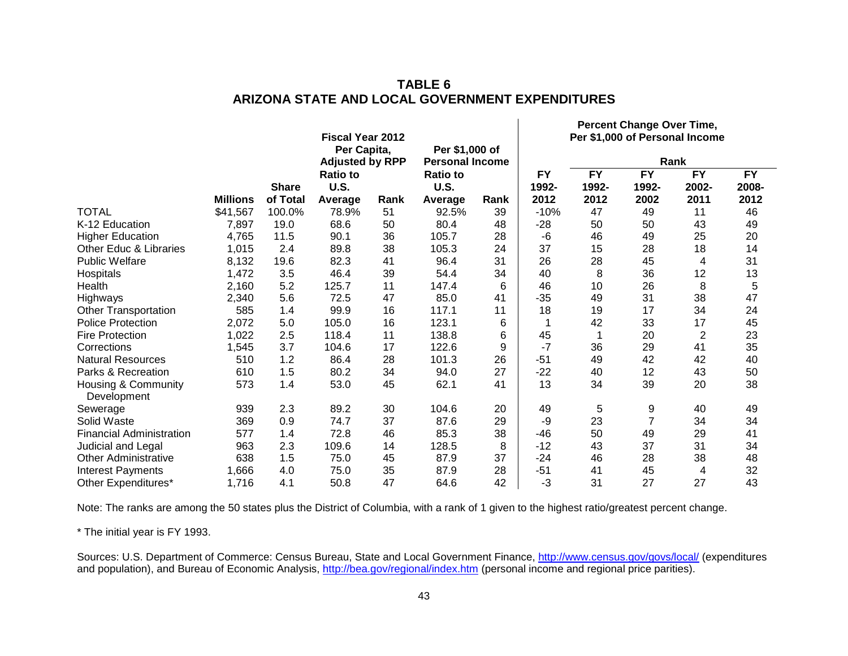|                                    |                 |              | <b>Fiscal Year 2012</b><br>Per Capita,<br><b>Adjusted by RPP</b> |      | Per \$1,000 of<br><b>Personal Income</b> |      |                    |                          | $\frac{1}{2}$            | Per \$1,000 of Personal Income<br>Rank |                          |
|------------------------------------|-----------------|--------------|------------------------------------------------------------------|------|------------------------------------------|------|--------------------|--------------------------|--------------------------|----------------------------------------|--------------------------|
|                                    |                 | <b>Share</b> | <b>Ratio to</b><br><b>U.S.</b>                                   |      | <b>Ratio to</b><br><b>U.S.</b>           |      | <b>FY</b><br>1992- | $\overline{FY}$<br>1992- | $\overline{FY}$<br>1992- | <b>FY</b><br>2002-                     | $\overline{FY}$<br>2008- |
|                                    | <b>Millions</b> | of Total     | Average                                                          | Rank | Average                                  | Rank | 2012               | 2012                     | 2002                     | 2011                                   | 2012                     |
| <b>TOTAL</b>                       | \$41,567        | 100.0%       | 78.9%                                                            | 51   | 92.5%                                    | 39   | $-10%$             | 47                       | 49                       | 11                                     | 46                       |
| K-12 Education                     | 7,897           | 19.0         | 68.6                                                             | 50   | 80.4                                     | 48   | $-28$              | 50                       | 50                       | 43                                     | 49                       |
| <b>Higher Education</b>            | 4,765           | 11.5         | 90.1                                                             | 36   | 105.7                                    | 28   | -6                 | 46                       | 49                       | 25                                     | 20                       |
| Other Educ & Libraries             | 1,015           | 2.4          | 89.8                                                             | 38   | 105.3                                    | 24   | 37                 | 15                       | 28                       | 18                                     | 14                       |
| <b>Public Welfare</b>              | 8,132           | 19.6         | 82.3                                                             | 41   | 96.4                                     | 31   | 26                 | 28                       | 45                       | 4                                      | 31                       |
| Hospitals                          | 1,472           | 3.5          | 46.4                                                             | 39   | 54.4                                     | 34   | 40                 | 8                        | 36                       | 12                                     | 13                       |
| Health                             | 2,160           | 5.2          | 125.7                                                            | 11   | 147.4                                    | 6    | 46                 | 10                       | 26                       | 8                                      | 5                        |
| Highways                           | 2,340           | 5.6          | 72.5                                                             | 47   | 85.0                                     | 41   | $-35$              | 49                       | 31                       | 38                                     | 47                       |
| <b>Other Transportation</b>        | 585             | 1.4          | 99.9                                                             | 16   | 117.1                                    | 11   | 18                 | 19                       | 17                       | 34                                     | 24                       |
| <b>Police Protection</b>           | 2,072           | 5.0          | 105.0                                                            | 16   | 123.1                                    | 6    | 1                  | 42                       | 33                       | 17                                     | 45                       |
| <b>Fire Protection</b>             | 1,022           | 2.5          | 118.4                                                            | 11   | 138.8                                    | 6    | 45                 |                          | 20                       | $\overline{2}$                         | 23                       |
| Corrections                        | 1,545           | 3.7          | 104.6                                                            | 17   | 122.6                                    | 9    | $-7$               | 36                       | 29                       | 41                                     | 35                       |
| <b>Natural Resources</b>           | 510             | 1.2          | 86.4                                                             | 28   | 101.3                                    | 26   | $-51$              | 49                       | 42                       | 42                                     | 40                       |
| Parks & Recreation                 | 610             | 1.5          | 80.2                                                             | 34   | 94.0                                     | 27   | $-22$              | 40                       | 12                       | 43                                     | 50                       |
| Housing & Community<br>Development | 573             | 1.4          | 53.0                                                             | 45   | 62.1                                     | 41   | 13                 | 34                       | 39                       | 20                                     | 38                       |
| Sewerage                           | 939             | 2.3          | 89.2                                                             | 30   | 104.6                                    | 20   | 49                 | 5                        | 9                        | 40                                     | 49                       |
| Solid Waste                        | 369             | 0.9          | 74.7                                                             | 37   | 87.6                                     | 29   | -9                 | 23                       | $\overline{7}$           | 34                                     | 34                       |
| <b>Financial Administration</b>    | 577             | 1.4          | 72.8                                                             | 46   | 85.3                                     | 38   | $-46$              | 50                       | 49                       | 29                                     | 41                       |
| Judicial and Legal                 | 963             | 2.3          | 109.6                                                            | 14   | 128.5                                    | 8    | $-12$              | 43                       | 37                       | 31                                     | 34                       |
| <b>Other Administrative</b>        | 638             | 1.5          | 75.0                                                             | 45   | 87.9                                     | 37   | $-24$              | 46                       | 28                       | 38                                     | 48                       |
| <b>Interest Payments</b>           | 1,666           | 4.0          | 75.0                                                             | 35   | 87.9                                     | 28   | $-51$              | 41                       | 45                       | 4                                      | 32                       |
| Other Expenditures*                | 1,716           | 4.1          | 50.8                                                             | 47   | 64.6                                     | 42   | -3                 | 31                       | 27                       | 27                                     | 43                       |

# **TABLE 6 ARIZONA STATE AND LOCAL GOVERNMENT EXPENDITURES**

**Percent Change Over Time,** 

Note: The ranks are among the 50 states plus the District of Columbia, with a rank of 1 given to the highest ratio/greatest percent change.

\* The initial year is FY 1993.

Sources: U.S. Department of Commerce: Census Bureau, State and Local Government Finance, <http://www.census.gov/govs/local/> (expenditures and population), and Bureau of Economic Analysis, <http://bea.gov/regional/index.htm> (personal income and regional price parities).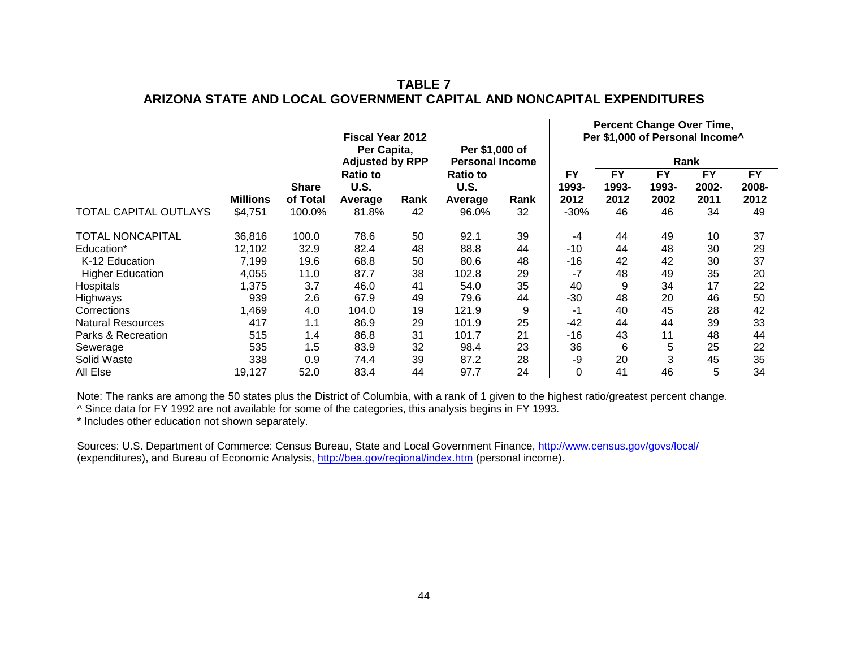# **TABLE 7 ARIZONA STATE AND LOCAL GOVERNMENT CAPITAL AND NONCAPITAL EXPENDITURES**

**Percent Change Over Time,** 

 $\mathbf{L}$ 

|                              |                 |              | <b>Fiscal Year 2012</b><br>Per Capita,<br>Per \$1,000 of |      |                         | $\sim$ credit onalige over This,<br>Per \$1,000 of Personal Income^ |                    |                    |                    |                    |                    |
|------------------------------|-----------------|--------------|----------------------------------------------------------|------|-------------------------|---------------------------------------------------------------------|--------------------|--------------------|--------------------|--------------------|--------------------|
|                              |                 |              | <b>Adjusted by RPP</b>                                   |      | <b>Personal Income</b>  |                                                                     |                    | Rank               |                    |                    |                    |
|                              |                 | <b>Share</b> | <b>Ratio to</b><br>U.S.                                  |      | <b>Ratio to</b><br>U.S. |                                                                     | <b>FY</b><br>1993- | <b>FY</b><br>1993- | <b>FY</b><br>1993- | <b>FY</b><br>2002- | <b>FY</b><br>2008- |
|                              | <b>Millions</b> | of Total     | Average                                                  | Rank | Average                 | Rank                                                                | 2012               | 2012               | 2002               | 2011               | 2012               |
| <b>TOTAL CAPITAL OUTLAYS</b> | \$4,751         | 100.0%       | 81.8%                                                    | 42   | 96.0%                   | 32                                                                  | $-30%$             | 46                 | 46                 | 34                 | 49                 |
| <b>TOTAL NONCAPITAL</b>      | 36,816          | 100.0        | 78.6                                                     | 50   | 92.1                    | 39                                                                  | $-4$               | 44                 | 49                 | 10                 | 37                 |
| Education*                   | 12,102          | 32.9         | 82.4                                                     | 48   | 88.8                    | 44                                                                  | $-10$              | 44                 | 48                 | 30                 | 29                 |
| K-12 Education               | 7,199           | 19.6         | 68.8                                                     | 50   | 80.6                    | 48                                                                  | -16                | 42                 | 42                 | 30                 | 37                 |
| <b>Higher Education</b>      | 4,055           | 11.0         | 87.7                                                     | 38   | 102.8                   | 29                                                                  | -7                 | 48                 | 49                 | 35                 | 20                 |
| Hospitals                    | 1,375           | 3.7          | 46.0                                                     | 41   | 54.0                    | 35                                                                  | 40                 | 9                  | 34                 | 17                 | 22                 |
| Highways                     | 939             | 2.6          | 67.9                                                     | 49   | 79.6                    | 44                                                                  | $-30$              | 48                 | 20                 | 46                 | 50                 |
| Corrections                  | 1,469           | 4.0          | 104.0                                                    | 19   | 121.9                   | 9                                                                   | -1                 | 40                 | 45                 | 28                 | 42                 |
| <b>Natural Resources</b>     | 417             | 1.1          | 86.9                                                     | 29   | 101.9                   | 25                                                                  | $-42$              | 44                 | 44                 | 39                 | 33                 |
| Parks & Recreation           | 515             | 1.4          | 86.8                                                     | 31   | 101.7                   | 21                                                                  | $-16$              | 43                 | 11                 | 48                 | 44                 |
| Sewerage                     | 535             | 1.5          | 83.9                                                     | 32   | 98.4                    | 23                                                                  | 36                 | 6                  | 5                  | 25                 | 22                 |
| Solid Waste                  | 338             | 0.9          | 74.4                                                     | 39   | 87.2                    | 28                                                                  | -9                 | 20                 | 3                  | 45                 | 35                 |
| All Else                     | 19,127          | 52.0         | 83.4                                                     | 44   | 97.7                    | 24                                                                  | 0                  | 41                 | 46                 | 5                  | 34                 |

Note: The ranks are among the 50 states plus the District of Columbia, with a rank of 1 given to the highest ratio/greatest percent change.

^ Since data for FY 1992 are not available for some of the categories, this analysis begins in FY 1993.

\* Includes other education not shown separately.

Sources: U.S. Department of Commerce: Census Bureau, State and Local Government Finance, <http://www.census.gov/govs/local/> (expenditures), and Bureau of Economic Analysis, <http://bea.gov/regional/index.htm> (personal income).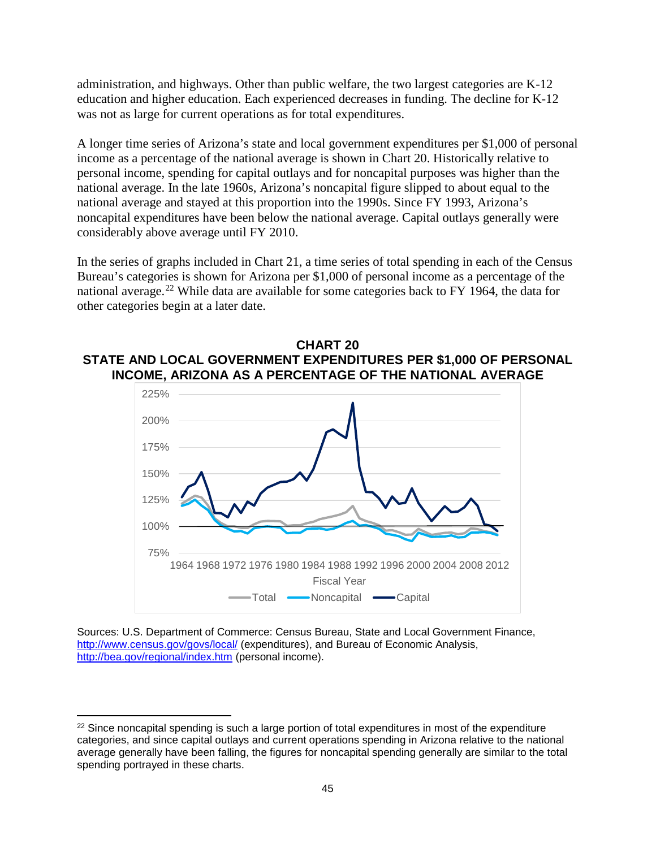administration, and highways. Other than public welfare, the two largest categories are K-12 education and higher education. Each experienced decreases in funding. The decline for K-12 was not as large for current operations as for total expenditures.

A longer time series of Arizona's state and local government expenditures per \$1,000 of personal income as a percentage of the national average is shown in Chart 20. Historically relative to personal income, spending for capital outlays and for noncapital purposes was higher than the national average. In the late 1960s, Arizona's noncapital figure slipped to about equal to the national average and stayed at this proportion into the 1990s. Since FY 1993, Arizona's noncapital expenditures have been below the national average. Capital outlays generally were considerably above average until FY 2010.

In the series of graphs included in Chart 21, a time series of total spending in each of the Census Bureau's categories is shown for Arizona per \$1,000 of personal income as a percentage of the national average.<sup>[22](#page-47-0)</sup> While data are available for some categories back to FY 1964, the data for other categories begin at a later date.





Sources: U.S. Department of Commerce: Census Bureau, State and Local Government Finance, <http://www.census.gov/govs/local/> (expenditures), and Bureau of Economic Analysis, <http://bea.gov/regional/index.htm> (personal income).

l

<span id="page-47-0"></span> $22$  Since noncapital spending is such a large portion of total expenditures in most of the expenditure categories, and since capital outlays and current operations spending in Arizona relative to the national average generally have been falling, the figures for noncapital spending generally are similar to the total spending portrayed in these charts.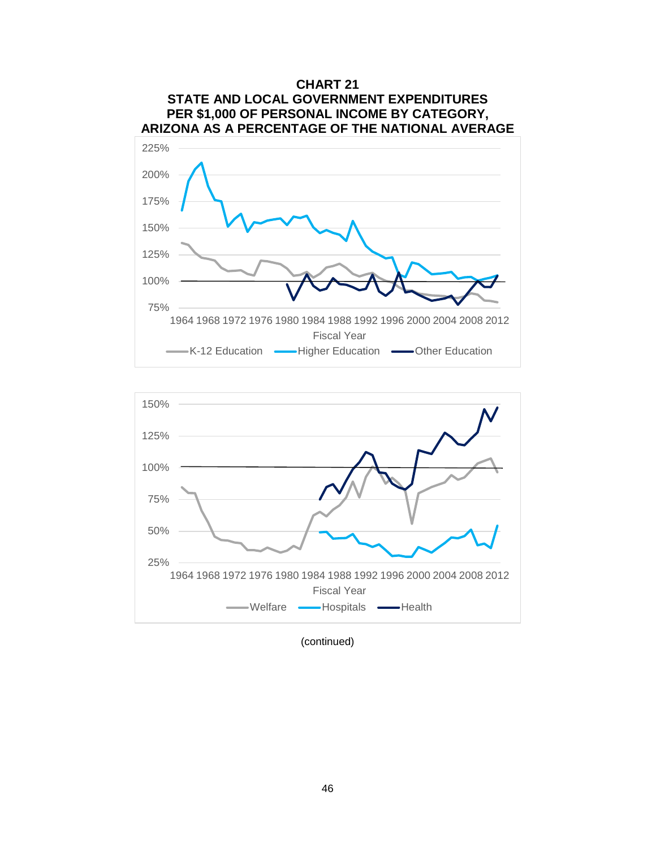



(continued)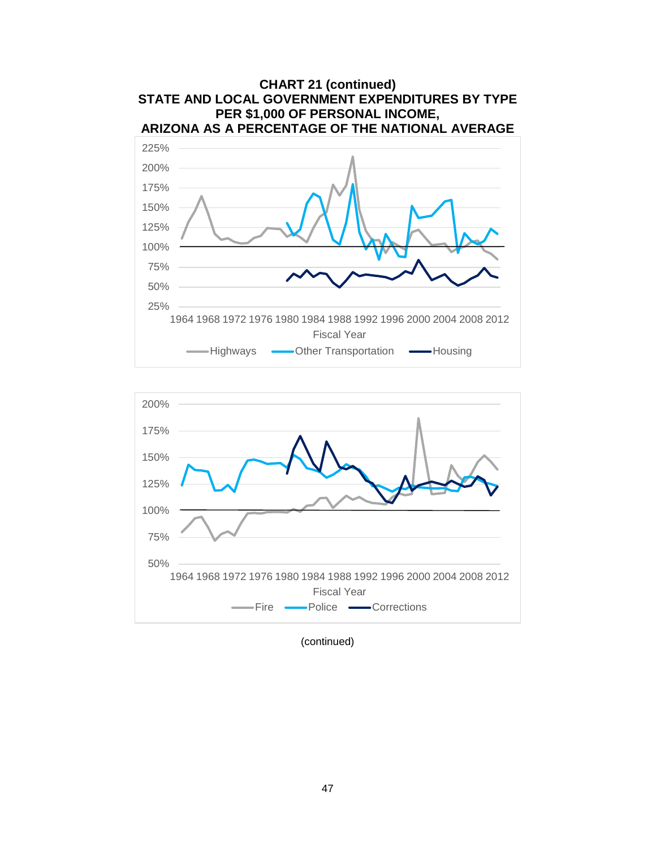



(continued)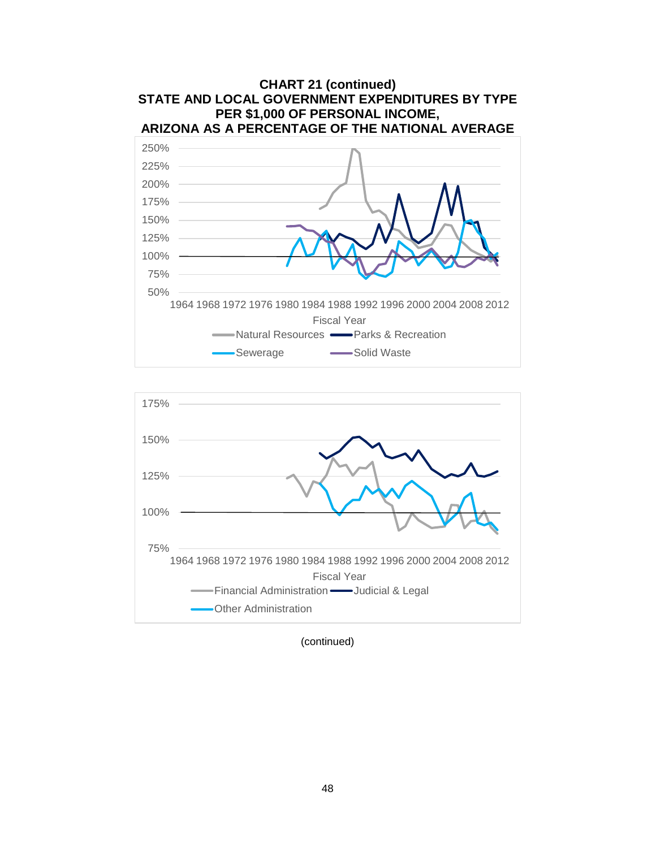



(continued)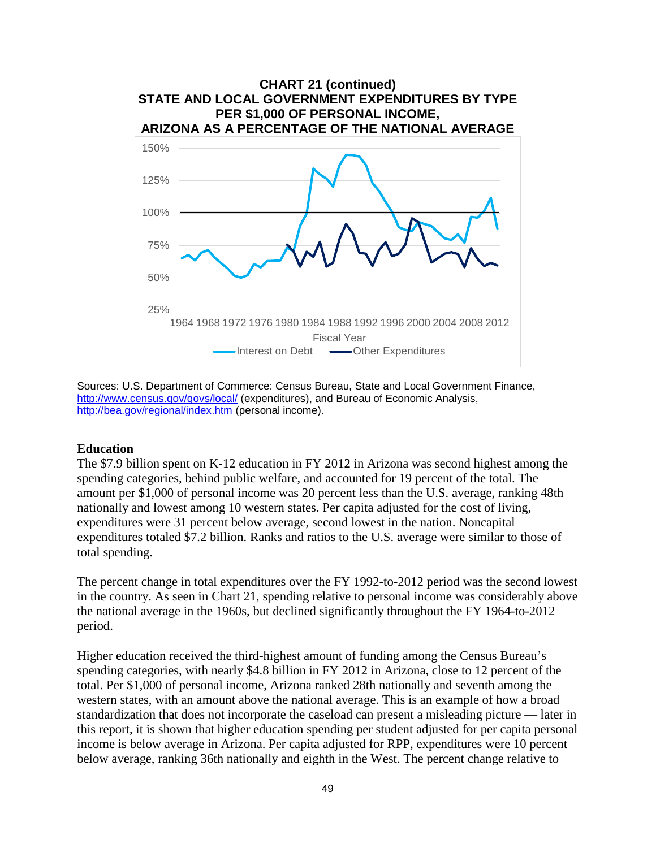

Sources: U.S. Department of Commerce: Census Bureau, State and Local Government Finance, <http://www.census.gov/govs/local/> (expenditures), and Bureau of Economic Analysis, <http://bea.gov/regional/index.htm> (personal income).

#### **Education**

The \$7.9 billion spent on K-12 education in FY 2012 in Arizona was second highest among the spending categories, behind public welfare, and accounted for 19 percent of the total. The amount per \$1,000 of personal income was 20 percent less than the U.S. average, ranking 48th nationally and lowest among 10 western states. Per capita adjusted for the cost of living, expenditures were 31 percent below average, second lowest in the nation. Noncapital expenditures totaled \$7.2 billion. Ranks and ratios to the U.S. average were similar to those of total spending.

The percent change in total expenditures over the FY 1992-to-2012 period was the second lowest in the country. As seen in Chart 21, spending relative to personal income was considerably above the national average in the 1960s, but declined significantly throughout the FY 1964-to-2012 period.

Higher education received the third-highest amount of funding among the Census Bureau's spending categories, with nearly \$4.8 billion in FY 2012 in Arizona, close to 12 percent of the total. Per \$1,000 of personal income, Arizona ranked 28th nationally and seventh among the western states, with an amount above the national average. This is an example of how a broad standardization that does not incorporate the caseload can present a misleading picture — later in this report, it is shown that higher education spending per student adjusted for per capita personal income is below average in Arizona. Per capita adjusted for RPP, expenditures were 10 percent below average, ranking 36th nationally and eighth in the West. The percent change relative to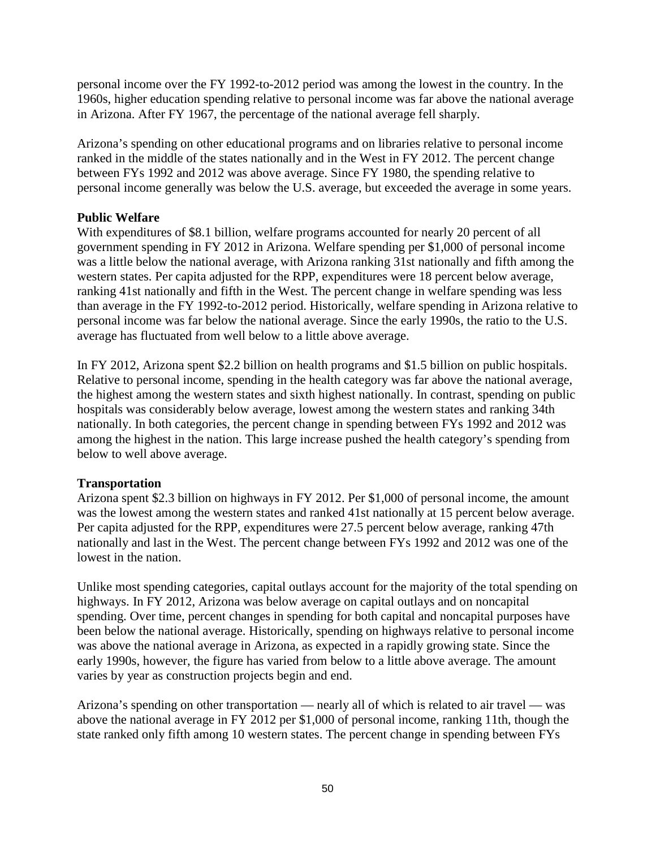personal income over the FY 1992-to-2012 period was among the lowest in the country. In the 1960s, higher education spending relative to personal income was far above the national average in Arizona. After FY 1967, the percentage of the national average fell sharply.

Arizona's spending on other educational programs and on libraries relative to personal income ranked in the middle of the states nationally and in the West in FY 2012. The percent change between FYs 1992 and 2012 was above average. Since FY 1980, the spending relative to personal income generally was below the U.S. average, but exceeded the average in some years.

## **Public Welfare**

With expenditures of \$8.1 billion, welfare programs accounted for nearly 20 percent of all government spending in FY 2012 in Arizona. Welfare spending per \$1,000 of personal income was a little below the national average, with Arizona ranking 31st nationally and fifth among the western states. Per capita adjusted for the RPP, expenditures were 18 percent below average, ranking 41st nationally and fifth in the West. The percent change in welfare spending was less than average in the FY 1992-to-2012 period. Historically, welfare spending in Arizona relative to personal income was far below the national average. Since the early 1990s, the ratio to the U.S. average has fluctuated from well below to a little above average.

In FY 2012, Arizona spent \$2.2 billion on health programs and \$1.5 billion on public hospitals. Relative to personal income, spending in the health category was far above the national average, the highest among the western states and sixth highest nationally. In contrast, spending on public hospitals was considerably below average, lowest among the western states and ranking 34th nationally. In both categories, the percent change in spending between FYs 1992 and 2012 was among the highest in the nation. This large increase pushed the health category's spending from below to well above average.

## **Transportation**

Arizona spent \$2.3 billion on highways in FY 2012. Per \$1,000 of personal income, the amount was the lowest among the western states and ranked 41st nationally at 15 percent below average. Per capita adjusted for the RPP, expenditures were 27.5 percent below average, ranking 47th nationally and last in the West. The percent change between FYs 1992 and 2012 was one of the lowest in the nation.

Unlike most spending categories, capital outlays account for the majority of the total spending on highways. In FY 2012, Arizona was below average on capital outlays and on noncapital spending. Over time, percent changes in spending for both capital and noncapital purposes have been below the national average. Historically, spending on highways relative to personal income was above the national average in Arizona, as expected in a rapidly growing state. Since the early 1990s, however, the figure has varied from below to a little above average. The amount varies by year as construction projects begin and end.

Arizona's spending on other transportation — nearly all of which is related to air travel — was above the national average in FY 2012 per \$1,000 of personal income, ranking 11th, though the state ranked only fifth among 10 western states. The percent change in spending between FYs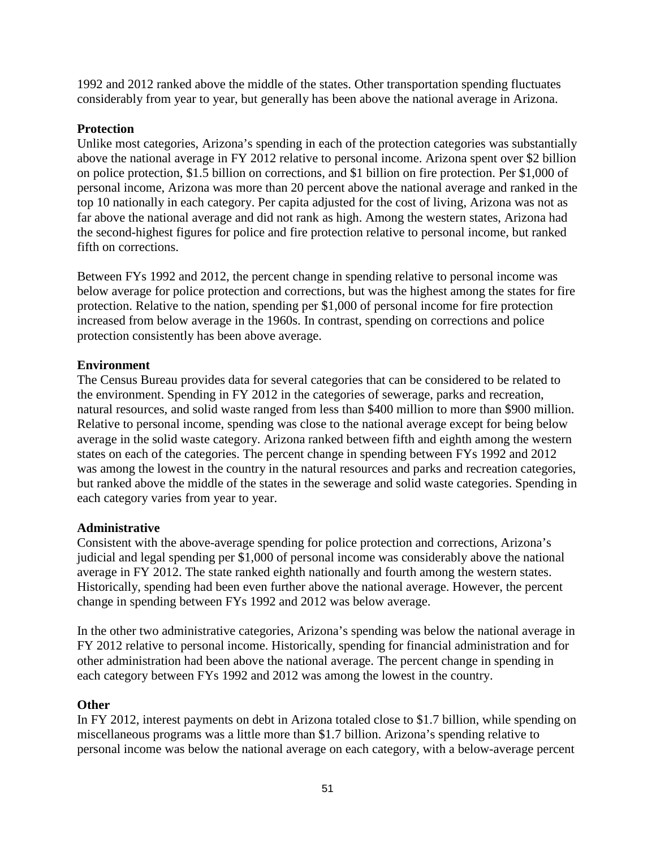1992 and 2012 ranked above the middle of the states. Other transportation spending fluctuates considerably from year to year, but generally has been above the national average in Arizona.

## **Protection**

Unlike most categories, Arizona's spending in each of the protection categories was substantially above the national average in FY 2012 relative to personal income. Arizona spent over \$2 billion on police protection, \$1.5 billion on corrections, and \$1 billion on fire protection. Per \$1,000 of personal income, Arizona was more than 20 percent above the national average and ranked in the top 10 nationally in each category. Per capita adjusted for the cost of living, Arizona was not as far above the national average and did not rank as high. Among the western states, Arizona had the second-highest figures for police and fire protection relative to personal income, but ranked fifth on corrections.

Between FYs 1992 and 2012, the percent change in spending relative to personal income was below average for police protection and corrections, but was the highest among the states for fire protection. Relative to the nation, spending per \$1,000 of personal income for fire protection increased from below average in the 1960s. In contrast, spending on corrections and police protection consistently has been above average.

## **Environment**

The Census Bureau provides data for several categories that can be considered to be related to the environment. Spending in FY 2012 in the categories of sewerage, parks and recreation, natural resources, and solid waste ranged from less than \$400 million to more than \$900 million. Relative to personal income, spending was close to the national average except for being below average in the solid waste category. Arizona ranked between fifth and eighth among the western states on each of the categories. The percent change in spending between FYs 1992 and 2012 was among the lowest in the country in the natural resources and parks and recreation categories, but ranked above the middle of the states in the sewerage and solid waste categories. Spending in each category varies from year to year.

### **Administrative**

Consistent with the above-average spending for police protection and corrections, Arizona's judicial and legal spending per \$1,000 of personal income was considerably above the national average in FY 2012. The state ranked eighth nationally and fourth among the western states. Historically, spending had been even further above the national average. However, the percent change in spending between FYs 1992 and 2012 was below average.

In the other two administrative categories, Arizona's spending was below the national average in FY 2012 relative to personal income. Historically, spending for financial administration and for other administration had been above the national average. The percent change in spending in each category between FYs 1992 and 2012 was among the lowest in the country.

## **Other**

In FY 2012, interest payments on debt in Arizona totaled close to \$1.7 billion, while spending on miscellaneous programs was a little more than \$1.7 billion. Arizona's spending relative to personal income was below the national average on each category, with a below-average percent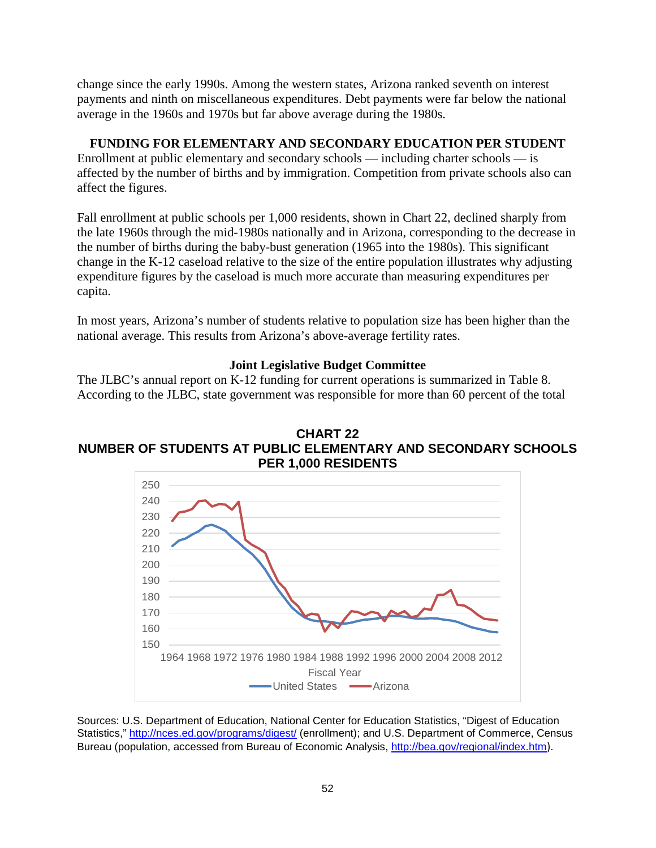change since the early 1990s. Among the western states, Arizona ranked seventh on interest payments and ninth on miscellaneous expenditures. Debt payments were far below the national average in the 1960s and 1970s but far above average during the 1980s.

# **FUNDING FOR ELEMENTARY AND SECONDARY EDUCATION PER STUDENT**

Enrollment at public elementary and secondary schools — including charter schools — is affected by the number of births and by immigration. Competition from private schools also can affect the figures.

Fall enrollment at public schools per 1,000 residents, shown in Chart 22, declined sharply from the late 1960s through the mid-1980s nationally and in Arizona, corresponding to the decrease in the number of births during the baby-bust generation (1965 into the 1980s). This significant change in the K-12 caseload relative to the size of the entire population illustrates why adjusting expenditure figures by the caseload is much more accurate than measuring expenditures per capita.

In most years, Arizona's number of students relative to population size has been higher than the national average. This results from Arizona's above-average fertility rates.

## **Joint Legislative Budget Committee**

The JLBC's annual report on K-12 funding for current operations is summarized in Table 8. According to the JLBC, state government was responsible for more than 60 percent of the total





Sources: U.S. Department of Education, National Center for Education Statistics, "Digest of Education Statistics," <http://nces.ed.gov/programs/digest/> (enrollment); and U.S. Department of Commerce, Census Bureau (population, accessed from Bureau of Economic Analysis, <http://bea.gov/regional/index.htm>).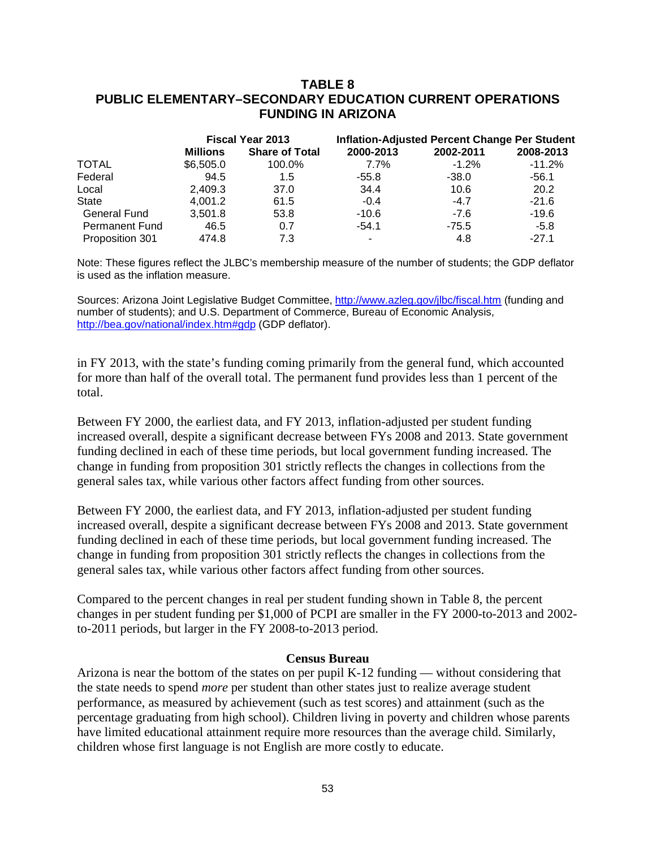## **TABLE 8 PUBLIC ELEMENTARY–SECONDARY EDUCATION CURRENT OPERATIONS FUNDING IN ARIZONA**

|                       |           | <b>Fiscal Year 2013</b> |           |           | <b>Inflation-Adjusted Percent Change Per Student</b> |  |  |
|-----------------------|-----------|-------------------------|-----------|-----------|------------------------------------------------------|--|--|
|                       | Millions  | <b>Share of Total</b>   | 2000-2013 | 2002-2011 | 2008-2013                                            |  |  |
| <b>TOTAL</b>          | \$6,505.0 | 100.0%                  | $7.7\%$   | $-1.2\%$  | $-11.2%$                                             |  |  |
| Federal               | 94.5      | 1.5                     | -55.8     | $-38.0$   | $-56.1$                                              |  |  |
| Local                 | 2.409.3   | 37.0                    | 34.4      | 10.6      | 20.2                                                 |  |  |
| <b>State</b>          | 4,001.2   | 61.5                    | $-0.4$    | $-4.7$    | $-21.6$                                              |  |  |
| <b>General Fund</b>   | 3,501.8   | 53.8                    | $-10.6$   | $-7.6$    | $-19.6$                                              |  |  |
| <b>Permanent Fund</b> | 46.5      | 0.7                     | $-54.1$   | $-75.5$   | $-5.8$                                               |  |  |
| Proposition 301       | 474.8     | 7.3                     |           | 4.8       | $-27.1$                                              |  |  |

Note: These figures reflect the JLBC's membership measure of the number of students; the GDP deflator is used as the inflation measure.

Sources: Arizona Joint Legislative Budget Committee, <http://www.azleg.gov/jlbc/fiscal.htm> (funding and number of students); and U.S. Department of Commerce, Bureau of Economic Analysis, [http://bea.gov/national/index.htm#gdp](http://bea.gov/national/index.htm%23gdp) (GDP deflator).

in FY 2013, with the state's funding coming primarily from the general fund, which accounted for more than half of the overall total. The permanent fund provides less than 1 percent of the total.

Between FY 2000, the earliest data, and FY 2013, inflation-adjusted per student funding increased overall, despite a significant decrease between FYs 2008 and 2013. State government funding declined in each of these time periods, but local government funding increased. The change in funding from proposition 301 strictly reflects the changes in collections from the general sales tax, while various other factors affect funding from other sources.

Between FY 2000, the earliest data, and FY 2013, inflation-adjusted per student funding increased overall, despite a significant decrease between FYs 2008 and 2013. State government funding declined in each of these time periods, but local government funding increased. The change in funding from proposition 301 strictly reflects the changes in collections from the general sales tax, while various other factors affect funding from other sources.

Compared to the percent changes in real per student funding shown in Table 8, the percent changes in per student funding per \$1,000 of PCPI are smaller in the FY 2000-to-2013 and 2002 to-2011 periods, but larger in the FY 2008-to-2013 period.

#### **Census Bureau**

Arizona is near the bottom of the states on per pupil K-12 funding — without considering that the state needs to spend *more* per student than other states just to realize average student performance, as measured by achievement (such as test scores) and attainment (such as the percentage graduating from high school). Children living in poverty and children whose parents have limited educational attainment require more resources than the average child. Similarly, children whose first language is not English are more costly to educate.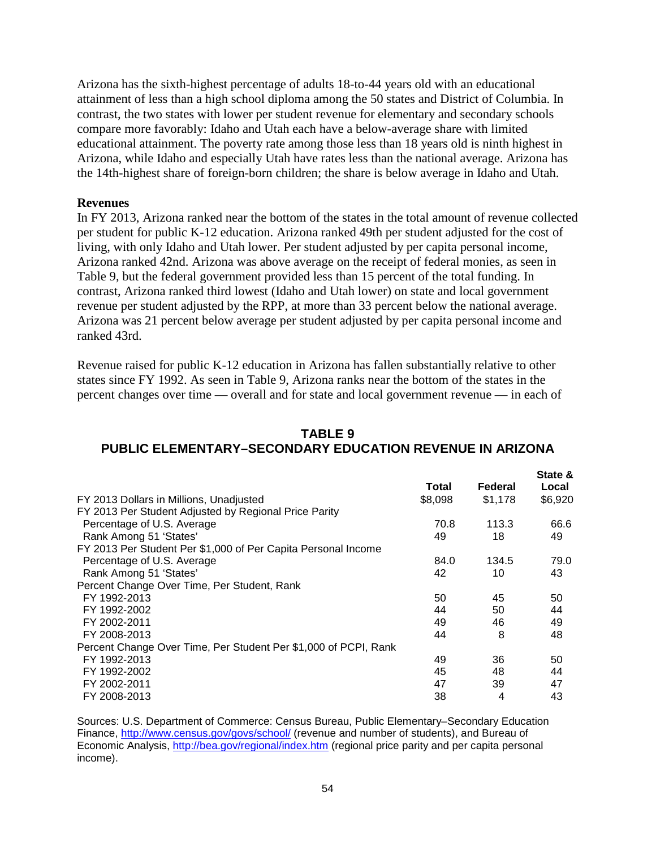Arizona has the sixth-highest percentage of adults 18-to-44 years old with an educational attainment of less than a high school diploma among the 50 states and District of Columbia. In contrast, the two states with lower per student revenue for elementary and secondary schools compare more favorably: Idaho and Utah each have a below-average share with limited educational attainment. The poverty rate among those less than 18 years old is ninth highest in Arizona, while Idaho and especially Utah have rates less than the national average. Arizona has the 14th-highest share of foreign-born children; the share is below average in Idaho and Utah.

### **Revenues**

In FY 2013, Arizona ranked near the bottom of the states in the total amount of revenue collected per student for public K-12 education. Arizona ranked 49th per student adjusted for the cost of living, with only Idaho and Utah lower. Per student adjusted by per capita personal income, Arizona ranked 42nd. Arizona was above average on the receipt of federal monies, as seen in Table 9, but the federal government provided less than 15 percent of the total funding. In contrast, Arizona ranked third lowest (Idaho and Utah lower) on state and local government revenue per student adjusted by the RPP, at more than 33 percent below the national average. Arizona was 21 percent below average per student adjusted by per capita personal income and ranked 43rd.

Revenue raised for public K-12 education in Arizona has fallen substantially relative to other states since FY 1992. As seen in Table 9, Arizona ranks near the bottom of the states in the percent changes over time — overall and for state and local government revenue — in each of

| IADLE J                                                         |
|-----------------------------------------------------------------|
| <b>PUBLIC ELEMENTARY-SECONDARY EDUCATION REVENUE IN ARIZONA</b> |
| State &                                                         |

**TABLE 9**

|                                                                 | Total   | Federal | Local   |
|-----------------------------------------------------------------|---------|---------|---------|
| FY 2013 Dollars in Millions, Unadjusted                         | \$8,098 | \$1,178 | \$6,920 |
| FY 2013 Per Student Adjusted by Regional Price Parity           |         |         |         |
| Percentage of U.S. Average                                      | 70.8    | 113.3   | 66.6    |
| Rank Among 51 'States'                                          | 49      | 18      | 49      |
| FY 2013 Per Student Per \$1,000 of Per Capita Personal Income   |         |         |         |
| Percentage of U.S. Average                                      | 84.0    | 134.5   | 79.0    |
| Rank Among 51 'States'                                          | 42      | 10      | 43      |
| Percent Change Over Time, Per Student, Rank                     |         |         |         |
| FY 1992-2013                                                    | 50      | 45      | 50      |
| FY 1992-2002                                                    | 44      | 50      | 44      |
| FY 2002-2011                                                    | 49      | 46      | 49      |
| FY 2008-2013                                                    | 44      | 8       | 48      |
| Percent Change Over Time, Per Student Per \$1,000 of PCPI, Rank |         |         |         |
| FY 1992-2013                                                    | 49      | 36      | 50      |
| FY 1992-2002                                                    | 45      | 48      | 44      |
| FY 2002-2011                                                    | 47      | 39      | 47      |
| FY 2008-2013                                                    | 38      | 4       | 43      |

Sources: U.S. Department of Commerce: Census Bureau, Public Elementary–Secondary Education Finance,<http://www.census.gov/govs/school/> (revenue and number of students), and Bureau of Economic Analysis, <http://bea.gov/regional/index.htm> (regional price parity and per capita personal income).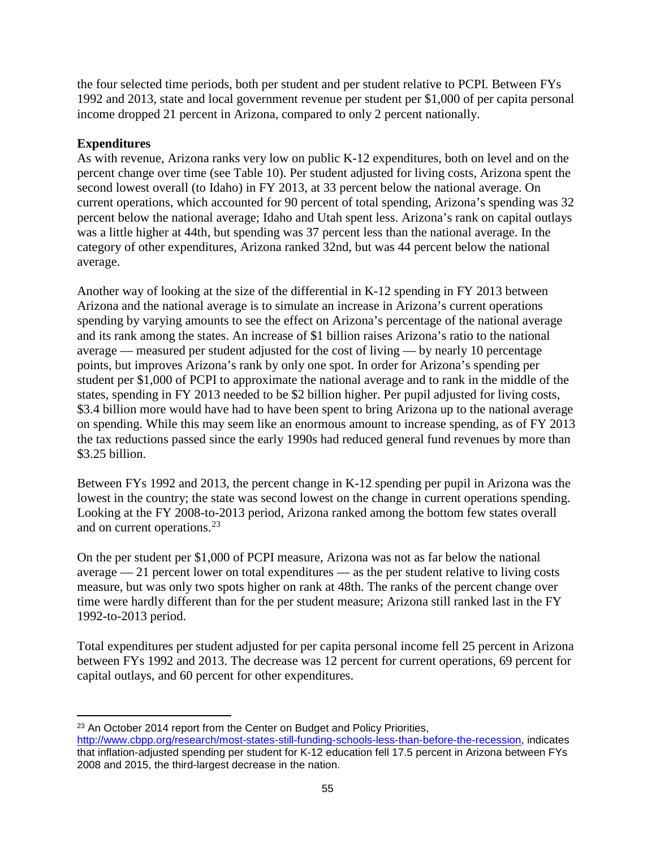the four selected time periods, both per student and per student relative to PCPI. Between FYs 1992 and 2013, state and local government revenue per student per \$1,000 of per capita personal income dropped 21 percent in Arizona, compared to only 2 percent nationally.

# **Expenditures**

As with revenue, Arizona ranks very low on public K-12 expenditures, both on level and on the percent change over time (see Table 10). Per student adjusted for living costs, Arizona spent the second lowest overall (to Idaho) in FY 2013, at 33 percent below the national average. On current operations, which accounted for 90 percent of total spending, Arizona's spending was 32 percent below the national average; Idaho and Utah spent less. Arizona's rank on capital outlays was a little higher at 44th, but spending was 37 percent less than the national average. In the category of other expenditures, Arizona ranked 32nd, but was 44 percent below the national average.

Another way of looking at the size of the differential in K-12 spending in FY 2013 between Arizona and the national average is to simulate an increase in Arizona's current operations spending by varying amounts to see the effect on Arizona's percentage of the national average and its rank among the states. An increase of \$1 billion raises Arizona's ratio to the national average — measured per student adjusted for the cost of living — by nearly 10 percentage points, but improves Arizona's rank by only one spot. In order for Arizona's spending per student per \$1,000 of PCPI to approximate the national average and to rank in the middle of the states, spending in FY 2013 needed to be \$2 billion higher. Per pupil adjusted for living costs, \$3.4 billion more would have had to have been spent to bring Arizona up to the national average on spending. While this may seem like an enormous amount to increase spending, as of FY 2013 the tax reductions passed since the early 1990s had reduced general fund revenues by more than \$3.25 billion.

Between FYs 1992 and 2013, the percent change in K-12 spending per pupil in Arizona was the lowest in the country; the state was second lowest on the change in current operations spending. Looking at the FY 2008-to-2013 period, Arizona ranked among the bottom few states overall and on current operations.<sup>[23](#page-57-0)</sup>

On the per student per \$1,000 of PCPI measure, Arizona was not as far below the national average — 21 percent lower on total expenditures — as the per student relative to living costs measure, but was only two spots higher on rank at 48th. The ranks of the percent change over time were hardly different than for the per student measure; Arizona still ranked last in the FY 1992-to-2013 period.

Total expenditures per student adjusted for per capita personal income fell 25 percent in Arizona between FYs 1992 and 2013. The decrease was 12 percent for current operations, 69 percent for capital outlays, and 60 percent for other expenditures.

l <sup>23</sup> An October 2014 report from the Center on Budget and Policy Priorities,

<span id="page-57-0"></span>[http://www.cbpp.org/research/most-states-still-funding-schools-less-than-before-the-recession,](http://www.cbpp.org/research/most-states-still-funding-schools-less-than-before-the-recession) indicates that inflation-adjusted spending per student for K-12 education fell 17.5 percent in Arizona between FYs 2008 and 2015, the third-largest decrease in the nation.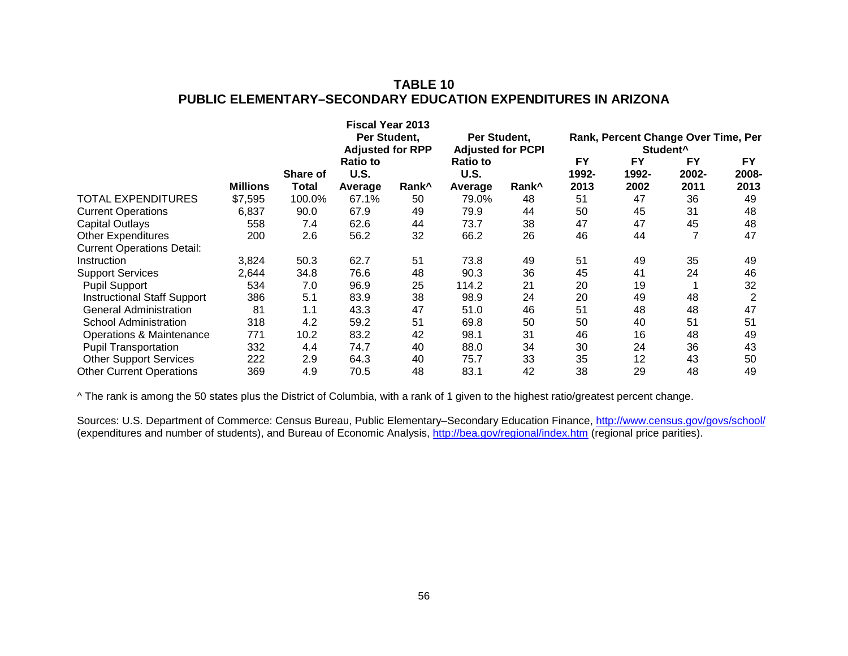# **TABLE 10 PUBLIC ELEMENTARY–SECONDARY EDUCATION EXPENDITURES IN ARIZONA**

|                                    |                 |                 | <b>Fiscal Year 2013</b><br>Per Student,<br><b>Adjusted for RPP</b> |                   | Per Student,<br><b>Adjusted for PCPI</b> |                   | Rank, Percent Change Over Time, Per |                    |             |             |
|------------------------------------|-----------------|-----------------|--------------------------------------------------------------------|-------------------|------------------------------------------|-------------------|-------------------------------------|--------------------|-------------|-------------|
|                                    |                 |                 |                                                                    |                   |                                          |                   | Student <sup>^</sup>                |                    |             |             |
|                                    |                 | <b>Share of</b> | <b>Ratio to</b><br><b>U.S.</b>                                     |                   | <b>Ratio to</b><br><b>U.S.</b>           |                   | <b>FY</b><br>1992-                  | <b>FY</b><br>1992- | FY<br>2002- | FY<br>2008- |
|                                    | <b>Millions</b> | Total           | Average                                                            | Rank <sup>^</sup> | Average                                  | Rank <sup>^</sup> | 2013                                | 2002               | 2011        | 2013        |
| <b>TOTAL EXPENDITURES</b>          | \$7,595         | 100.0%          | 67.1%                                                              | 50                | 79.0%                                    | 48                | 51                                  | 47                 | 36          | 49          |
| <b>Current Operations</b>          | 6,837           | 90.0            | 67.9                                                               | 49                | 79.9                                     | 44                | 50                                  | 45                 | 31          | 48          |
| <b>Capital Outlays</b>             | 558             | 7.4             | 62.6                                                               | 44                | 73.7                                     | 38                | 47                                  | 47                 | 45          | 48          |
| <b>Other Expenditures</b>          | 200             | 2.6             | 56.2                                                               | 32                | 66.2                                     | 26                | 46                                  | 44                 |             | 47          |
| <b>Current Operations Detail:</b>  |                 |                 |                                                                    |                   |                                          |                   |                                     |                    |             |             |
| Instruction                        | 3,824           | 50.3            | 62.7                                                               | 51                | 73.8                                     | 49                | 51                                  | 49                 | 35          | 49          |
| <b>Support Services</b>            | 2,644           | 34.8            | 76.6                                                               | 48                | 90.3                                     | 36                | 45                                  | 41                 | 24          | 46          |
| <b>Pupil Support</b>               | 534             | 7.0             | 96.9                                                               | 25                | 114.2                                    | 21                | 20                                  | 19                 |             | 32          |
| <b>Instructional Staff Support</b> | 386             | 5.1             | 83.9                                                               | 38                | 98.9                                     | 24                | 20                                  | 49                 | 48          |             |
| <b>General Administration</b>      | 81              | 1.1             | 43.3                                                               | 47                | 51.0                                     | 46                | 51                                  | 48                 | 48          | 47          |
| <b>School Administration</b>       | 318             | 4.2             | 59.2                                                               | 51                | 69.8                                     | 50                | 50                                  | 40                 | 51          | 51          |
| Operations & Maintenance           | 771             | 10.2            | 83.2                                                               | 42                | 98.1                                     | 31                | 46                                  | 16                 | 48          | 49          |
| <b>Pupil Transportation</b>        | 332             | 4.4             | 74.7                                                               | 40                | 88.0                                     | 34                | 30                                  | 24                 | 36          | 43          |
| <b>Other Support Services</b>      | 222             | 2.9             | 64.3                                                               | 40                | 75.7                                     | 33                | 35                                  | 12                 | 43          | 50          |
| <b>Other Current Operations</b>    | 369             | 4.9             | 70.5                                                               | 48                | 83.1                                     | 42                | 38                                  | 29                 | 48          | 49          |

^ The rank is among the 50 states plus the District of Columbia, with a rank of 1 given to the highest ratio/greatest percent change.

Sources: U.S. Department of Commerce: Census Bureau, Public Elementary–Secondary Education Finance,<http://www.census.gov/govs/school/> (expenditures and number of students), and Bureau of Economic Analysis, <http://bea.gov/regional/index.htm> (regional price parities).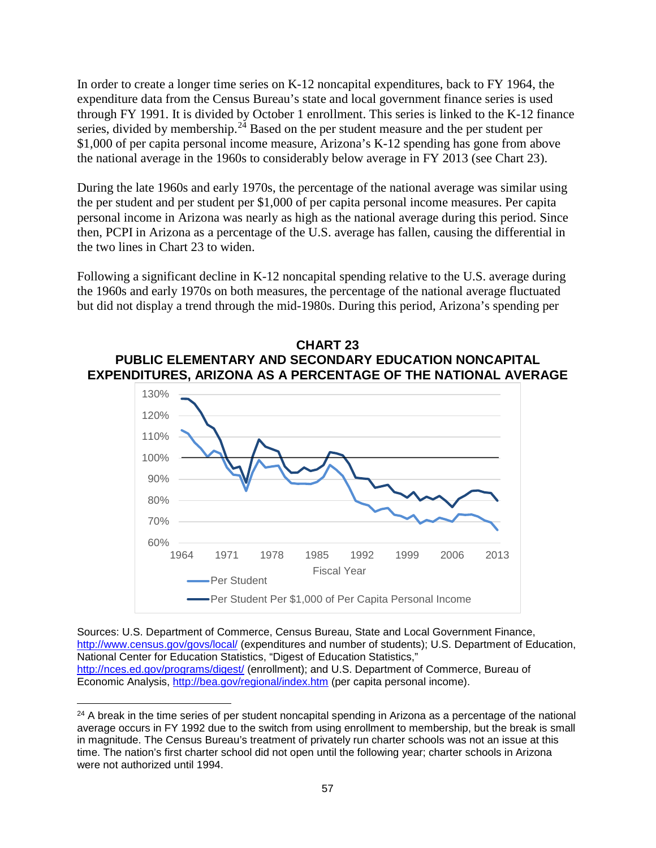In order to create a longer time series on K-12 noncapital expenditures, back to FY 1964, the expenditure data from the Census Bureau's state and local government finance series is used through FY 1991. It is divided by October 1 enrollment. This series is linked to the K-12 finance series, divided by membership. $2<sup>4</sup>$  Based on the per student measure and the per student per \$1,000 of per capita personal income measure, Arizona's K-12 spending has gone from above the national average in the 1960s to considerably below average in FY 2013 (see Chart 23).

During the late 1960s and early 1970s, the percentage of the national average was similar using the per student and per student per \$1,000 of per capita personal income measures. Per capita personal income in Arizona was nearly as high as the national average during this period. Since then, PCPI in Arizona as a percentage of the U.S. average has fallen, causing the differential in the two lines in Chart 23 to widen.

Following a significant decline in K-12 noncapital spending relative to the U.S. average during the 1960s and early 1970s on both measures, the percentage of the national average fluctuated but did not display a trend through the mid-1980s. During this period, Arizona's spending per



Sources: U.S. Department of Commerce, Census Bureau, State and Local Government Finance, <http://www.census.gov/govs/local/> (expenditures and number of students); U.S. Department of Education, National Center for Education Statistics, "Digest of Education Statistics," <http://nces.ed.gov/programs/digest/> (enrollment); and U.S. Department of Commerce, Bureau of Per Student Per \$1,000 of Per Capita Personal Income

1964 1971 1978 1985 1992 1999 2006 2013 Fiscal Year

60%

Per Student

Economic Analysis, <http://bea.gov/regional/index.htm> (per capita personal income).  $\overline{\phantom{a}}$ <sup>24</sup> A break in the time series of per student noncapital spending in Arizona as a percentage of the national

<span id="page-59-0"></span>average occurs in FY 1992 due to the switch from using enrollment to membership, but the break is small in magnitude. The Census Bureau's treatment of privately run charter schools was not an issue at this time. The nation's first charter school did not open until the following year; charter schools in Arizona were not authorized until 1994.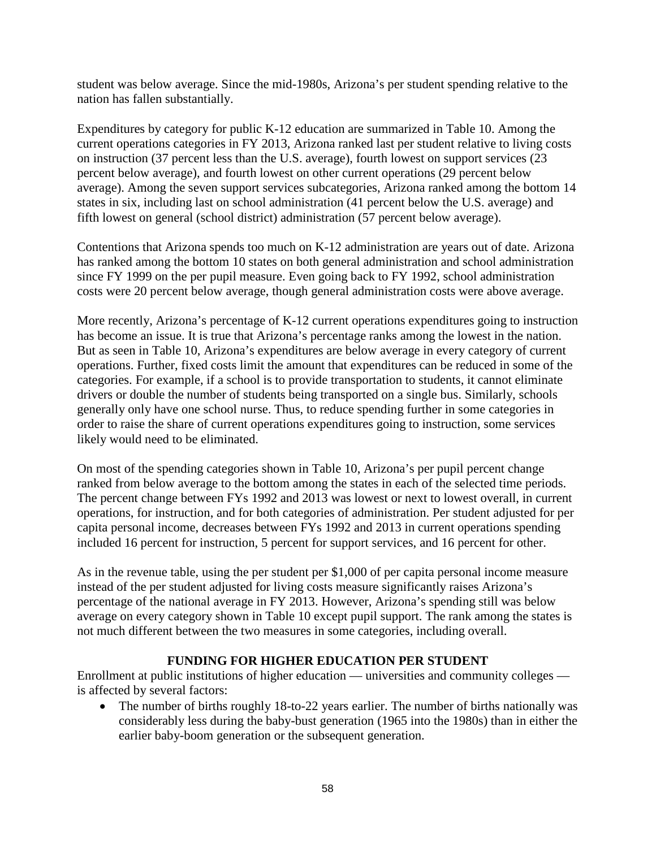student was below average. Since the mid-1980s, Arizona's per student spending relative to the nation has fallen substantially.

Expenditures by category for public K-12 education are summarized in Table 10. Among the current operations categories in FY 2013, Arizona ranked last per student relative to living costs on instruction (37 percent less than the U.S. average), fourth lowest on support services (23 percent below average), and fourth lowest on other current operations (29 percent below average). Among the seven support services subcategories, Arizona ranked among the bottom 14 states in six, including last on school administration (41 percent below the U.S. average) and fifth lowest on general (school district) administration (57 percent below average).

Contentions that Arizona spends too much on K-12 administration are years out of date. Arizona has ranked among the bottom 10 states on both general administration and school administration since FY 1999 on the per pupil measure. Even going back to FY 1992, school administration costs were 20 percent below average, though general administration costs were above average.

More recently, Arizona's percentage of K-12 current operations expenditures going to instruction has become an issue. It is true that Arizona's percentage ranks among the lowest in the nation. But as seen in Table 10, Arizona's expenditures are below average in every category of current operations. Further, fixed costs limit the amount that expenditures can be reduced in some of the categories. For example, if a school is to provide transportation to students, it cannot eliminate drivers or double the number of students being transported on a single bus. Similarly, schools generally only have one school nurse. Thus, to reduce spending further in some categories in order to raise the share of current operations expenditures going to instruction, some services likely would need to be eliminated.

On most of the spending categories shown in Table 10, Arizona's per pupil percent change ranked from below average to the bottom among the states in each of the selected time periods. The percent change between FYs 1992 and 2013 was lowest or next to lowest overall, in current operations, for instruction, and for both categories of administration. Per student adjusted for per capita personal income, decreases between FYs 1992 and 2013 in current operations spending included 16 percent for instruction, 5 percent for support services, and 16 percent for other.

As in the revenue table, using the per student per \$1,000 of per capita personal income measure instead of the per student adjusted for living costs measure significantly raises Arizona's percentage of the national average in FY 2013. However, Arizona's spending still was below average on every category shown in Table 10 except pupil support. The rank among the states is not much different between the two measures in some categories, including overall.

# **FUNDING FOR HIGHER EDUCATION PER STUDENT**

Enrollment at public institutions of higher education — universities and community colleges is affected by several factors:

• The number of births roughly 18-to-22 years earlier. The number of births nationally was considerably less during the baby-bust generation (1965 into the 1980s) than in either the earlier baby-boom generation or the subsequent generation.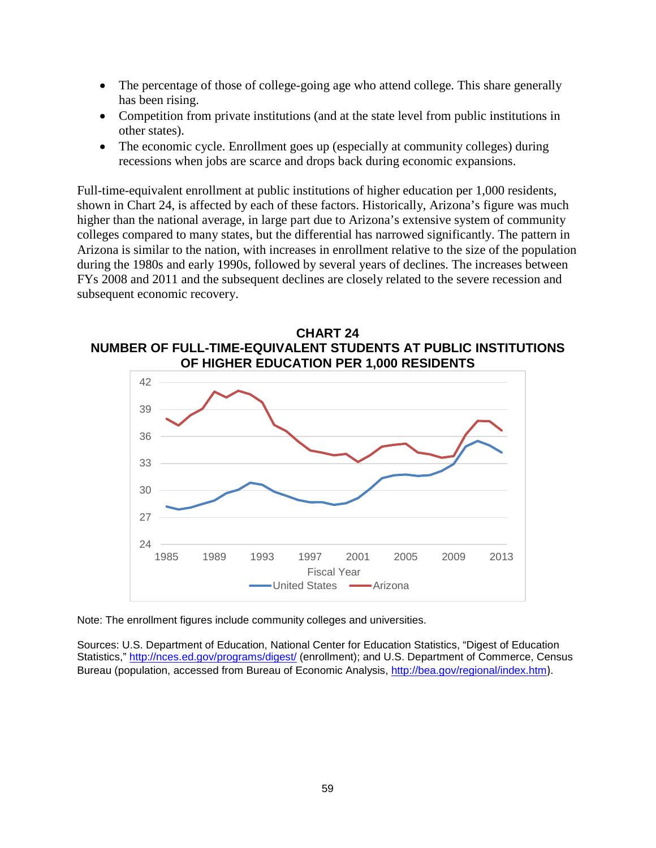- The percentage of those of college-going age who attend college. This share generally has been rising.
- Competition from private institutions (and at the state level from public institutions in other states).
- The economic cycle. Enrollment goes up (especially at community colleges) during recessions when jobs are scarce and drops back during economic expansions.

Full-time-equivalent enrollment at public institutions of higher education per 1,000 residents, shown in Chart 24, is affected by each of these factors. Historically, Arizona's figure was much higher than the national average, in large part due to Arizona's extensive system of community colleges compared to many states, but the differential has narrowed significantly. The pattern in Arizona is similar to the nation, with increases in enrollment relative to the size of the population during the 1980s and early 1990s, followed by several years of declines. The increases between FYs 2008 and 2011 and the subsequent declines are closely related to the severe recession and subsequent economic recovery.





Note: The enrollment figures include community colleges and universities.

Sources: U.S. Department of Education, National Center for Education Statistics, "Digest of Education Statistics,"<http://nces.ed.gov/programs/digest/> (enrollment); and U.S. Department of Commerce, Census Bureau (population, accessed from Bureau of Economic Analysis, <http://bea.gov/regional/index.htm>).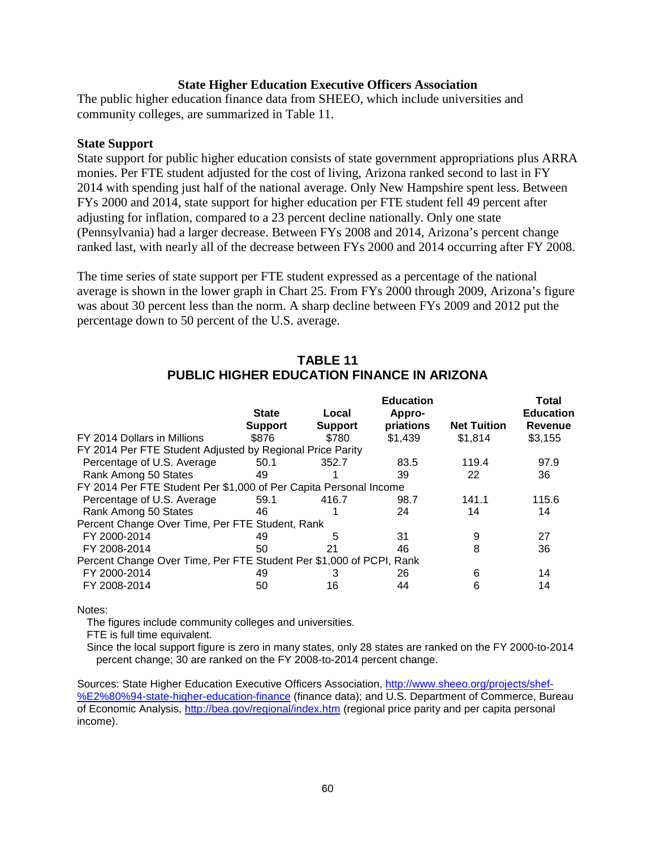### **State Higher Education Executive Officers Association**

The public higher education finance data from SHEEO, which include universities and community colleges, are summarized in Table 11.

### **State Support**

State support for public higher education consists of state government appropriations plus ARRA monies. Per FTE student adjusted for the cost of living, Arizona ranked second to last in FY 2014 with spending just half of the national average. Only New Hampshire spent less. Between FYs 2000 and 2014, state support for higher education per FTE student fell 49 percent after adjusting for inflation, compared to a 23 percent decline nationally. Only one state (Pennsylvania) had a larger decrease. Between FYs 2008 and 2014, Arizona's percent change ranked last, with nearly all of the decrease between FYs 2000 and 2014 occurring after FY 2008.

The time series of state support per FTE student expressed as a percentage of the national average is shown in the lower graph in Chart 25. From FYs 2000 through 2009, Arizona's figure was about 30 percent less than the norm. A sharp decline between FYs 2009 and 2012 put the percentage down to 50 percent of the U.S. average.

|                                                                     |                |                | <b>Education</b> |                    | <b>Total</b>     |
|---------------------------------------------------------------------|----------------|----------------|------------------|--------------------|------------------|
|                                                                     | <b>State</b>   | Local          | Appro-           |                    | <b>Education</b> |
|                                                                     | <b>Support</b> | <b>Support</b> | priations        | <b>Net Tuition</b> | <b>Revenue</b>   |
| FY 2014 Dollars in Millions                                         | \$876          | \$780          | \$1,439          | \$1,814            | \$3,155          |
| FY 2014 Per FTE Student Adjusted by Regional Price Parity           |                |                |                  |                    |                  |
| Percentage of U.S. Average                                          | 50.1           | 352.7          | 83.5             | 119.4              | 97.9             |
| Rank Among 50 States                                                | 49             |                | 39               | 22                 | 36               |
| FY 2014 Per FTE Student Per \$1,000 of Per Capita Personal Income   |                |                |                  |                    |                  |
| Percentage of U.S. Average                                          | 59.1           | 416.7          | 98.7             | 141.1              | 115.6            |
| Rank Among 50 States                                                | 46             |                | 24               | 14                 | 14               |
| Percent Change Over Time, Per FTE Student, Rank                     |                |                |                  |                    |                  |
| FY 2000-2014                                                        | 49             | 5              | 31               | 9                  | 27               |
| FY 2008-2014                                                        | 50             | 21             | 46               | 8                  | 36               |
| Percent Change Over Time, Per FTE Student Per \$1,000 of PCPI, Rank |                |                |                  |                    |                  |
| FY 2000-2014                                                        | 49             |                | 26               | 6                  | 14               |
| FY 2008-2014                                                        | 50             | 16             | 44               | 6                  | 14               |

### **TABLE 11 PUBLIC HIGHER EDUCATION FINANCE IN ARIZONA**

#### Notes:

The figures include community colleges and universities.

FTE is full time equivalent.

Since the local support figure is zero in many states, only 28 states are ranked on the FY 2000-to-2014 percent change; 30 are ranked on the FY 2008-to-2014 percent change.

Sources: State Higher Education Executive Officers Association, [http://www.sheeo.org/projects/shef-](http://www.sheeo.org/projects/shef-%E2%80%94-state-higher-education-finance) [%E2%80%94-state-higher-education-finance](http://www.sheeo.org/projects/shef-%E2%80%94-state-higher-education-finance) (finance data); and U.S. Department of Commerce, Bureau of Economic Analysis, <http://bea.gov/regional/index.htm> (regional price parity and per capita personal income).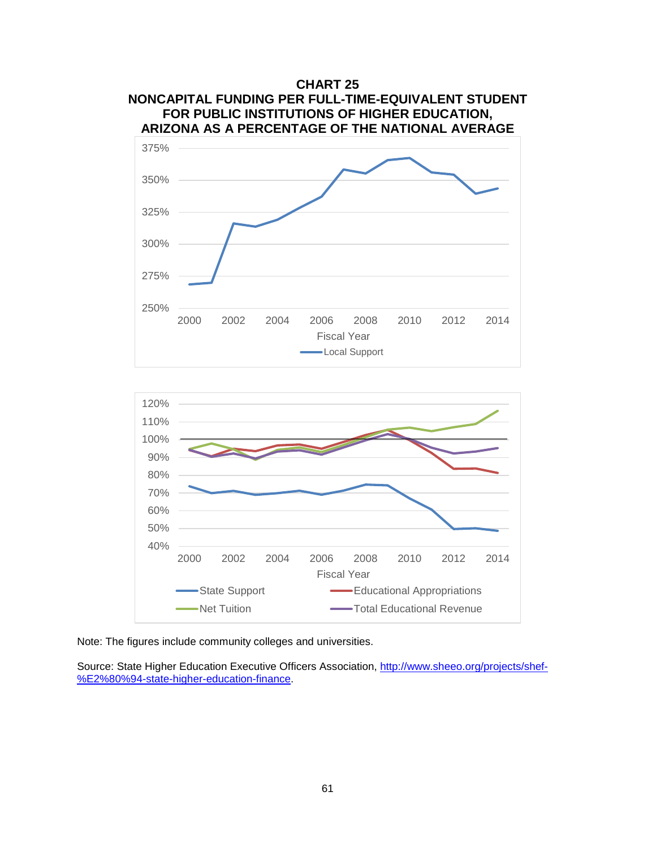



Note: The figures include community colleges and universities.

Source: State Higher Education Executive Officers Association, [http://www.sheeo.org/projects/shef-](http://www.sheeo.org/projects/shef-%E2%80%94-state-higher-education-finance) [%E2%80%94-state-higher-education-finance.](http://www.sheeo.org/projects/shef-%E2%80%94-state-higher-education-finance)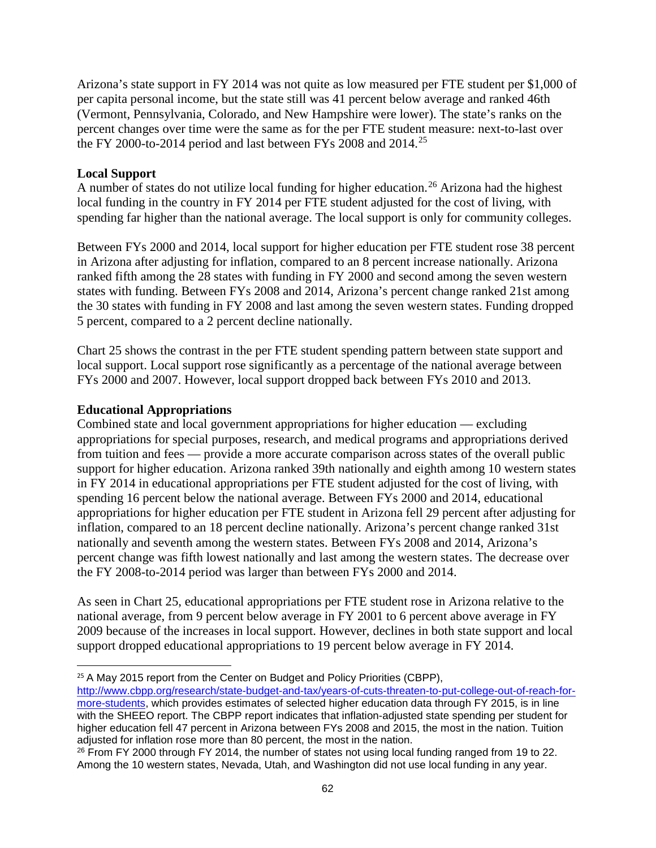Arizona's state support in FY 2014 was not quite as low measured per FTE student per \$1,000 of per capita personal income, but the state still was 41 percent below average and ranked 46th (Vermont, Pennsylvania, Colorado, and New Hampshire were lower). The state's ranks on the percent changes over time were the same as for the per FTE student measure: next-to-last over the FY 2000-to-2014 period and last between FYs 2008 and  $2014$ .<sup>[25](#page-64-0)</sup>

## **Local Support**

A number of states do not utilize local funding for higher education.<sup>[26](#page-64-1)</sup> Arizona had the highest local funding in the country in FY 2014 per FTE student adjusted for the cost of living, with spending far higher than the national average. The local support is only for community colleges.

Between FYs 2000 and 2014, local support for higher education per FTE student rose 38 percent in Arizona after adjusting for inflation, compared to an 8 percent increase nationally. Arizona ranked fifth among the 28 states with funding in FY 2000 and second among the seven western states with funding. Between FYs 2008 and 2014, Arizona's percent change ranked 21st among the 30 states with funding in FY 2008 and last among the seven western states. Funding dropped 5 percent, compared to a 2 percent decline nationally.

Chart 25 shows the contrast in the per FTE student spending pattern between state support and local support. Local support rose significantly as a percentage of the national average between FYs 2000 and 2007. However, local support dropped back between FYs 2010 and 2013.

## **Educational Appropriations**

Combined state and local government appropriations for higher education — excluding appropriations for special purposes, research, and medical programs and appropriations derived from tuition and fees — provide a more accurate comparison across states of the overall public support for higher education. Arizona ranked 39th nationally and eighth among 10 western states in FY 2014 in educational appropriations per FTE student adjusted for the cost of living, with spending 16 percent below the national average. Between FYs 2000 and 2014, educational appropriations for higher education per FTE student in Arizona fell 29 percent after adjusting for inflation, compared to an 18 percent decline nationally. Arizona's percent change ranked 31st nationally and seventh among the western states. Between FYs 2008 and 2014, Arizona's percent change was fifth lowest nationally and last among the western states. The decrease over the FY 2008-to-2014 period was larger than between FYs 2000 and 2014.

As seen in Chart 25, educational appropriations per FTE student rose in Arizona relative to the national average, from 9 percent below average in FY 2001 to 6 percent above average in FY 2009 because of the increases in local support. However, declines in both state support and local support dropped educational appropriations to 19 percent below average in FY 2014.

<span id="page-64-0"></span><sup>&</sup>lt;sup>25</sup> A May 2015 report from the Center on Budget and Policy Priorities (CBPP),

[http://www.cbpp.org/research/state-budget-and-tax/years-of-cuts-threaten-to-put-college-out-of-reach-for](http://www.cbpp.org/research/state-budget-and-tax/years-of-cuts-threaten-to-put-college-out-of-reach-for-more-students)[more-students,](http://www.cbpp.org/research/state-budget-and-tax/years-of-cuts-threaten-to-put-college-out-of-reach-for-more-students) which provides estimates of selected higher education data through FY 2015, is in line with the SHEEO report. The CBPP report indicates that inflation-adjusted state spending per student for higher education fell 47 percent in Arizona between FYs 2008 and 2015, the most in the nation. Tuition adjusted for inflation rose more than 80 percent, the most in the nation.

<span id="page-64-1"></span> $26$  From FY 2000 through FY 2014, the number of states not using local funding ranged from 19 to 22. Among the 10 western states, Nevada, Utah, and Washington did not use local funding in any year.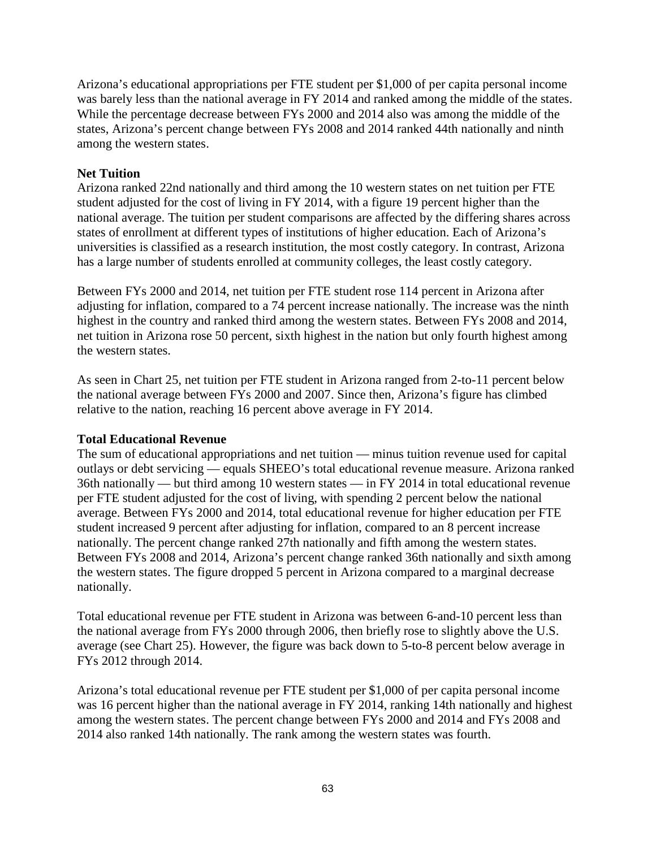Arizona's educational appropriations per FTE student per \$1,000 of per capita personal income was barely less than the national average in FY 2014 and ranked among the middle of the states. While the percentage decrease between FYs 2000 and 2014 also was among the middle of the states, Arizona's percent change between FYs 2008 and 2014 ranked 44th nationally and ninth among the western states.

## **Net Tuition**

Arizona ranked 22nd nationally and third among the 10 western states on net tuition per FTE student adjusted for the cost of living in FY 2014, with a figure 19 percent higher than the national average. The tuition per student comparisons are affected by the differing shares across states of enrollment at different types of institutions of higher education. Each of Arizona's universities is classified as a research institution, the most costly category. In contrast, Arizona has a large number of students enrolled at community colleges, the least costly category.

Between FYs 2000 and 2014, net tuition per FTE student rose 114 percent in Arizona after adjusting for inflation, compared to a 74 percent increase nationally. The increase was the ninth highest in the country and ranked third among the western states. Between FYs 2008 and 2014, net tuition in Arizona rose 50 percent, sixth highest in the nation but only fourth highest among the western states.

As seen in Chart 25, net tuition per FTE student in Arizona ranged from 2-to-11 percent below the national average between FYs 2000 and 2007. Since then, Arizona's figure has climbed relative to the nation, reaching 16 percent above average in FY 2014.

### **Total Educational Revenue**

The sum of educational appropriations and net tuition — minus tuition revenue used for capital outlays or debt servicing — equals SHEEO's total educational revenue measure. Arizona ranked 36th nationally — but third among 10 western states — in FY 2014 in total educational revenue per FTE student adjusted for the cost of living, with spending 2 percent below the national average. Between FYs 2000 and 2014, total educational revenue for higher education per FTE student increased 9 percent after adjusting for inflation, compared to an 8 percent increase nationally. The percent change ranked 27th nationally and fifth among the western states. Between FYs 2008 and 2014, Arizona's percent change ranked 36th nationally and sixth among the western states. The figure dropped 5 percent in Arizona compared to a marginal decrease nationally.

Total educational revenue per FTE student in Arizona was between 6-and-10 percent less than the national average from FYs 2000 through 2006, then briefly rose to slightly above the U.S. average (see Chart 25). However, the figure was back down to 5-to-8 percent below average in FYs 2012 through 2014.

Arizona's total educational revenue per FTE student per \$1,000 of per capita personal income was 16 percent higher than the national average in FY 2014, ranking 14th nationally and highest among the western states. The percent change between FYs 2000 and 2014 and FYs 2008 and 2014 also ranked 14th nationally. The rank among the western states was fourth.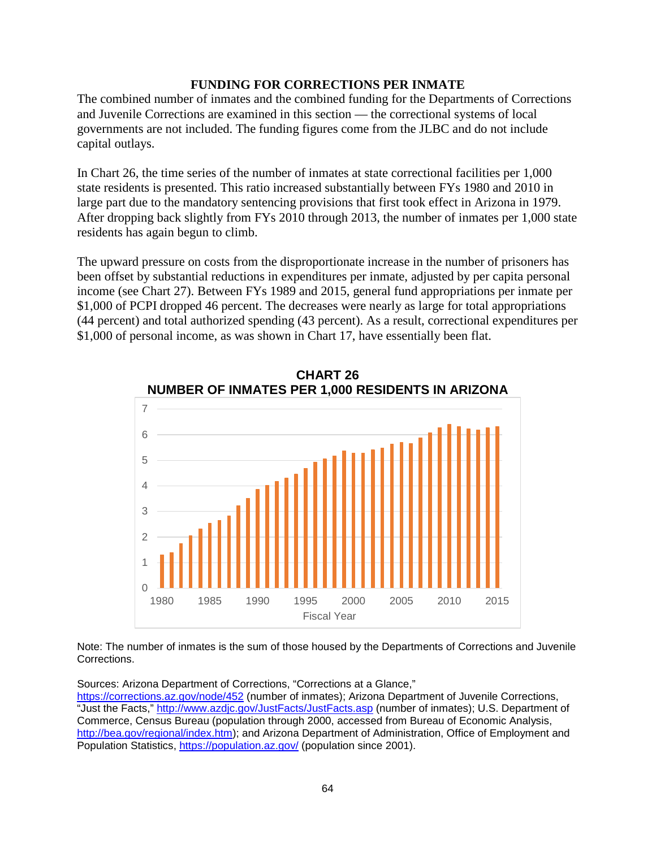### **FUNDING FOR CORRECTIONS PER INMATE**

The combined number of inmates and the combined funding for the Departments of Corrections and Juvenile Corrections are examined in this section — the correctional systems of local governments are not included. The funding figures come from the JLBC and do not include capital outlays.

In Chart 26, the time series of the number of inmates at state correctional facilities per 1,000 state residents is presented. This ratio increased substantially between FYs 1980 and 2010 in large part due to the mandatory sentencing provisions that first took effect in Arizona in 1979. After dropping back slightly from FYs 2010 through 2013, the number of inmates per 1,000 state residents has again begun to climb.

The upward pressure on costs from the disproportionate increase in the number of prisoners has been offset by substantial reductions in expenditures per inmate, adjusted by per capita personal income (see Chart 27). Between FYs 1989 and 2015, general fund appropriations per inmate per \$1,000 of PCPI dropped 46 percent. The decreases were nearly as large for total appropriations (44 percent) and total authorized spending (43 percent). As a result, correctional expenditures per \$1,000 of personal income, as was shown in Chart 17, have essentially been flat.





Note: The number of inmates is the sum of those housed by the Departments of Corrections and Juvenile Corrections.

Sources: Arizona Department of Corrections, "Corrections at a Glance,"

<https://corrections.az.gov/node/452> (number of inmates); Arizona Department of Juvenile Corrections, "Just the Facts,"<http://www.azdjc.gov/JustFacts/JustFacts.asp> (number of inmates); U.S. Department of Commerce, Census Bureau (population through 2000, accessed from Bureau of Economic Analysis, [http://bea.gov/regional/index.htm\)](http://bea.gov/regional/index.htm); and Arizona Department of Administration, Office of Employment and Population Statistics,<https://population.az.gov/> (population since 2001).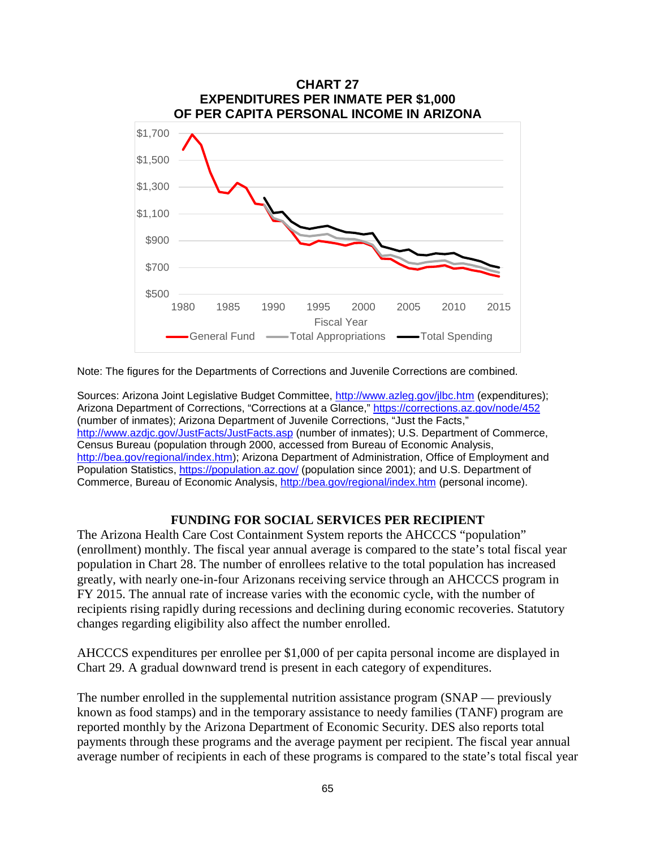

Note: The figures for the Departments of Corrections and Juvenile Corrections are combined.

Sources: Arizona Joint Legislative Budget Committee,<http://www.azleg.gov/jlbc.htm> (expenditures); Arizona Department of Corrections, "Corrections at a Glance,"<https://corrections.az.gov/node/452> (number of inmates); Arizona Department of Juvenile Corrections, "Just the Facts," <http://www.azdjc.gov/JustFacts/JustFacts.asp> (number of inmates); U.S. Department of Commerce, Census Bureau (population through 2000, accessed from Bureau of Economic Analysis, [http://bea.gov/regional/index.htm\)](http://bea.gov/regional/index.htm); Arizona Department of Administration, Office of Employment and Population Statistics,<https://population.az.gov/> (population since 2001); and U.S. Department of Commerce, Bureau of Economic Analysis,<http://bea.gov/regional/index.htm> (personal income).

### **FUNDING FOR SOCIAL SERVICES PER RECIPIENT**

The Arizona Health Care Cost Containment System reports the AHCCCS "population" (enrollment) monthly. The fiscal year annual average is compared to the state's total fiscal year population in Chart 28. The number of enrollees relative to the total population has increased greatly, with nearly one-in-four Arizonans receiving service through an AHCCCS program in FY 2015. The annual rate of increase varies with the economic cycle, with the number of recipients rising rapidly during recessions and declining during economic recoveries. Statutory changes regarding eligibility also affect the number enrolled.

AHCCCS expenditures per enrollee per \$1,000 of per capita personal income are displayed in Chart 29. A gradual downward trend is present in each category of expenditures.

The number enrolled in the supplemental nutrition assistance program (SNAP — previously known as food stamps) and in the temporary assistance to needy families (TANF) program are reported monthly by the Arizona Department of Economic Security. DES also reports total payments through these programs and the average payment per recipient. The fiscal year annual average number of recipients in each of these programs is compared to the state's total fiscal year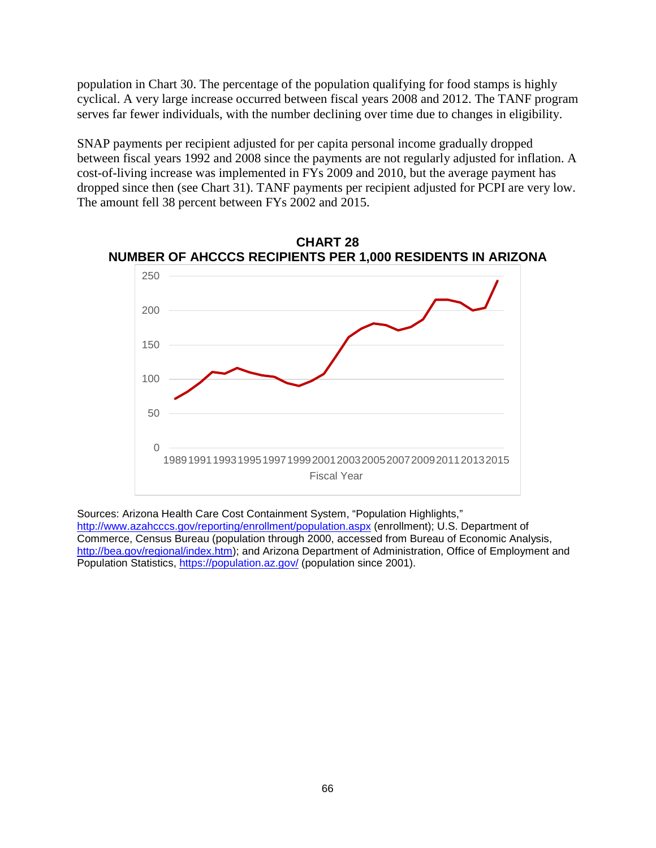population in Chart 30. The percentage of the population qualifying for food stamps is highly cyclical. A very large increase occurred between fiscal years 2008 and 2012. The TANF program serves far fewer individuals, with the number declining over time due to changes in eligibility.

SNAP payments per recipient adjusted for per capita personal income gradually dropped between fiscal years 1992 and 2008 since the payments are not regularly adjusted for inflation. A cost-of-living increase was implemented in FYs 2009 and 2010, but the average payment has dropped since then (see Chart 31). TANF payments per recipient adjusted for PCPI are very low. The amount fell 38 percent between FYs 2002 and 2015.



**CHART 28 NUMBER OF AHCCCS RECIPIENTS PER 1,000 RESIDENTS IN ARIZONA**

Sources: Arizona Health Care Cost Containment System, "Population Highlights," <http://www.azahcccs.gov/reporting/enrollment/population.aspx> (enrollment); U.S. Department of Commerce, Census Bureau (population through 2000, accessed from Bureau of Economic Analysis, [http://bea.gov/regional/index.htm\)](http://bea.gov/regional/index.htm); and Arizona Department of Administration, Office of Employment and Population Statistics,<https://population.az.gov/> (population since 2001).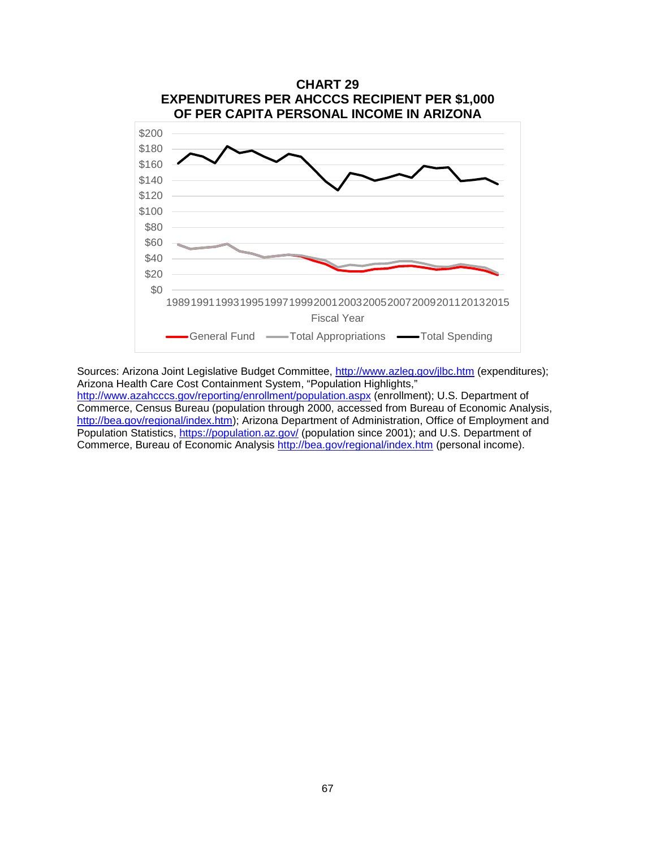

Sources: Arizona Joint Legislative Budget Committee,<http://www.azleg.gov/jlbc.htm> (expenditures); Arizona Health Care Cost Containment System, "Population Highlights," <http://www.azahcccs.gov/reporting/enrollment/population.aspx> (enrollment); U.S. Department of Commerce, Census Bureau (population through 2000, accessed from Bureau of Economic Analysis, [http://bea.gov/regional/index.htm\)](http://bea.gov/regional/index.htm); Arizona Department of Administration, Office of Employment and Population Statistics,<https://population.az.gov/> (population since 2001); and U.S. Department of Commerce, Bureau of Economic Analysis<http://bea.gov/regional/index.htm> (personal income).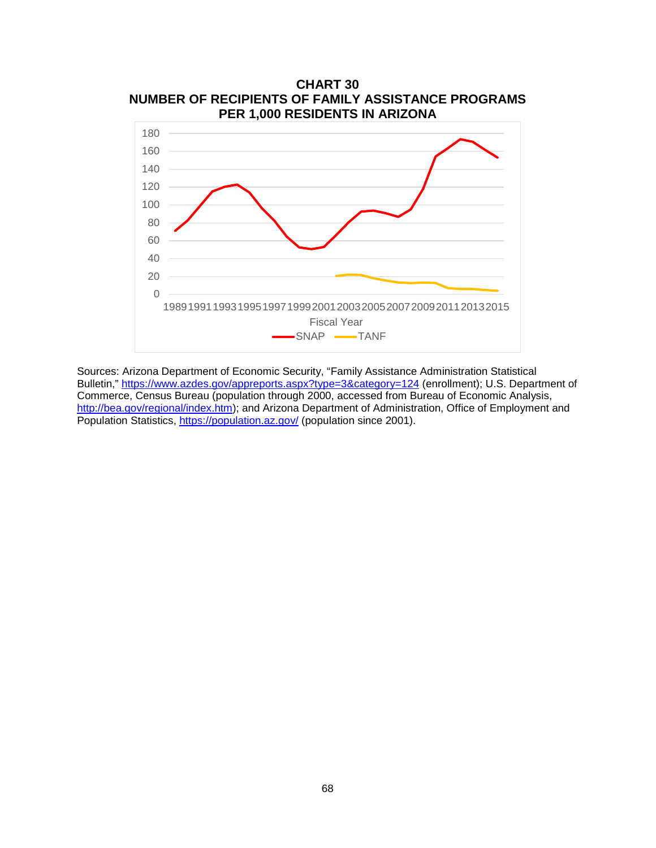

Sources: Arizona Department of Economic Security, "Family Assistance Administration Statistical Bulletin,"<https://www.azdes.gov/appreports.aspx?type=3&category=124> (enrollment); U.S. Department of Commerce, Census Bureau (population through 2000, accessed from Bureau of Economic Analysis, [http://bea.gov/regional/index.htm\)](http://bea.gov/regional/index.htm); and Arizona Department of Administration, Office of Employment and Population Statistics,<https://population.az.gov/> (population since 2001).